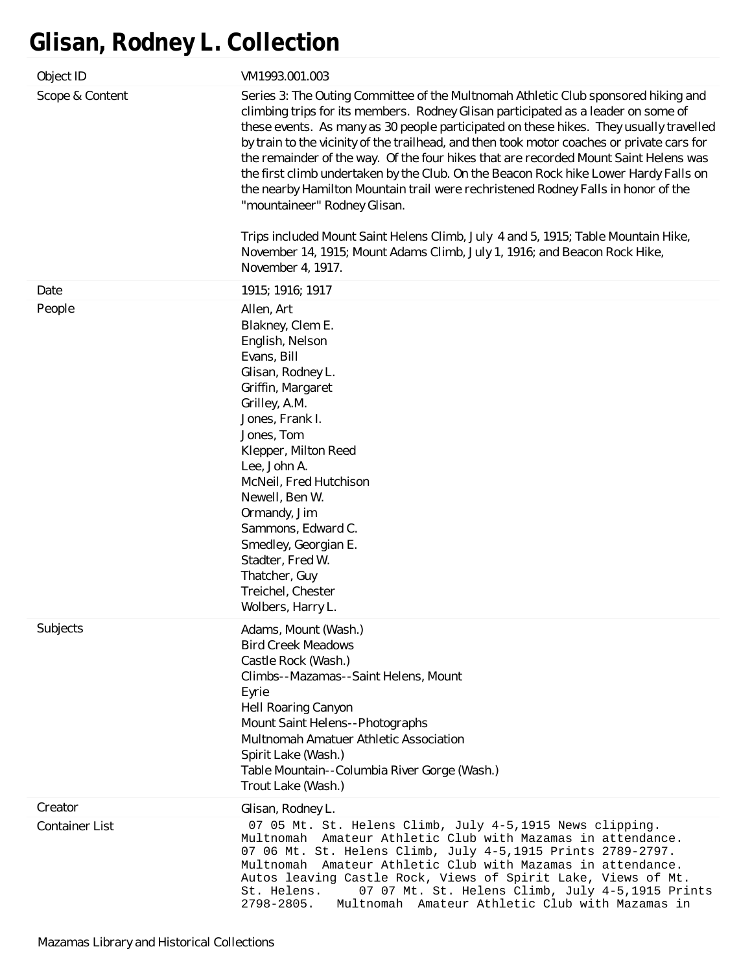# **Glisan, Rodney L. Collection**

| Object ID             | VM1993.001.003                                                                                                                                                                                                                                                                                                                                                                                                                                                                                                                                                                                                                                                                                                                                                                                                                                              |
|-----------------------|-------------------------------------------------------------------------------------------------------------------------------------------------------------------------------------------------------------------------------------------------------------------------------------------------------------------------------------------------------------------------------------------------------------------------------------------------------------------------------------------------------------------------------------------------------------------------------------------------------------------------------------------------------------------------------------------------------------------------------------------------------------------------------------------------------------------------------------------------------------|
| Scope & Content       | Series 3: The Outing Committee of the Multnomah Athletic Club sponsored hiking and<br>climbing trips for its members. Rodney Glisan participated as a leader on some of<br>these events. As many as 30 people participated on these hikes. They usually travelled<br>by train to the vicinity of the trailhead, and then took motor coaches or private cars for<br>the remainder of the way. Of the four hikes that are recorded Mount Saint Helens was<br>the first climb undertaken by the Club. On the Beacon Rock hike Lower Hardy Falls on<br>the nearby Hamilton Mountain trail were rechristened Rodney Falls in honor of the<br>"mountaineer" Rodney Glisan.<br>Trips included Mount Saint Helens Climb, July 4 and 5, 1915; Table Mountain Hike,<br>November 14, 1915; Mount Adams Climb, July 1, 1916; and Beacon Rock Hike,<br>November 4, 1917. |
| Date                  | 1915; 1916; 1917                                                                                                                                                                                                                                                                                                                                                                                                                                                                                                                                                                                                                                                                                                                                                                                                                                            |
| People                | Allen, Art<br>Blakney, Clem E.<br>English, Nelson<br>Evans, Bill<br>Glisan, Rodney L.<br>Griffin, Margaret<br>Grilley, A.M.<br>Jones, Frank I.<br>Jones, Tom<br>Klepper, Milton Reed<br>Lee, John A.<br>McNeil, Fred Hutchison<br>Newell, Ben W.<br>Ormandy, Jim<br>Sammons, Edward C.<br>Smedley, Georgian E.<br>Stadter, Fred W.<br>Thatcher, Guy<br>Treichel, Chester<br>Wolbers, Harry L.                                                                                                                                                                                                                                                                                                                                                                                                                                                               |
| Subjects              | Adams, Mount (Wash.)<br><b>Bird Creek Meadows</b><br>Castle Rock (Wash.)<br>Climbs--Mazamas--Saint Helens, Mount<br>Eyrie<br><b>Hell Roaring Canyon</b><br>Mount Saint Helens--Photographs<br><b>Multnomah Amatuer Athletic Association</b><br>Spirit Lake (Wash.)<br>Table Mountain--Columbia River Gorge (Wash.)<br>Trout Lake (Wash.)                                                                                                                                                                                                                                                                                                                                                                                                                                                                                                                    |
| Creator               | Glisan, Rodney L.                                                                                                                                                                                                                                                                                                                                                                                                                                                                                                                                                                                                                                                                                                                                                                                                                                           |
| <b>Container List</b> | 07 05 Mt. St. Helens Climb, July 4-5,1915 News clipping.<br>Multnomah Amateur Athletic Club with Mazamas in attendance.<br>07 06 Mt. St. Helens Climb, July 4-5,1915 Prints 2789-2797.<br>Multnomah Amateur Athletic Club with Mazamas in attendance.<br>Autos leaving Castle Rock, Views of Spirit Lake, Views of Mt.<br>07 07 Mt. St. Helens Climb, July 4-5,1915 Prints<br>St. Helens.<br>$2798 - 2805.$<br>Multnomah Amateur Athletic Club with Mazamas in                                                                                                                                                                                                                                                                                                                                                                                              |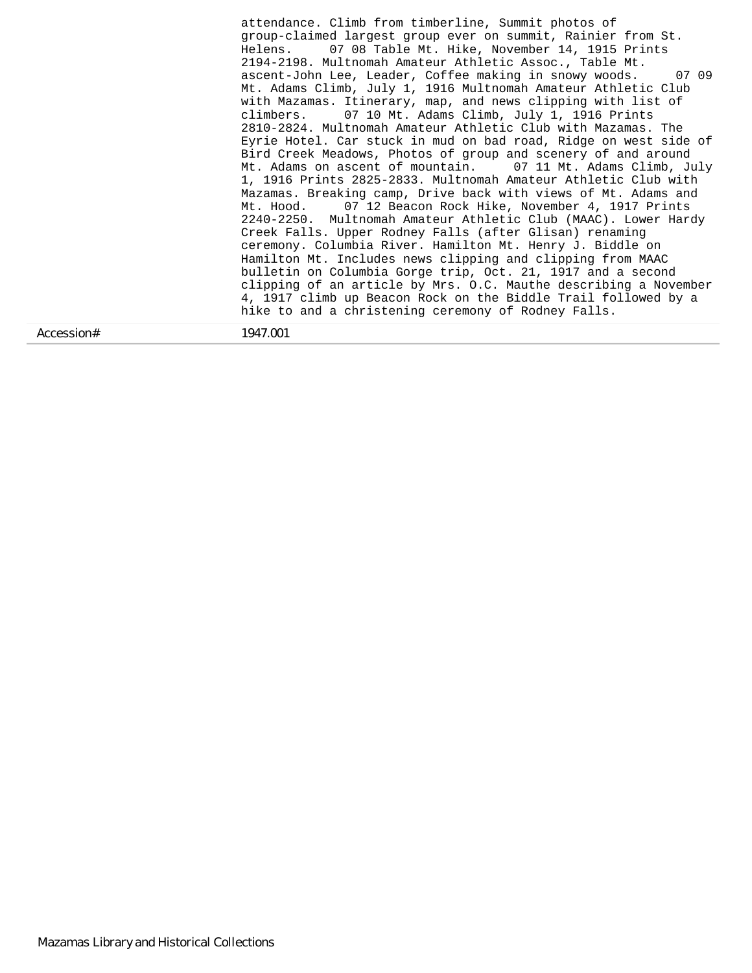Accession# 1947.001 attendance. Climb from timberline, Summit photos of group-claimed largest group ever on summit, Rainier from St. Helens. 07 08 Table Mt. Hike, November 14, 1915 Prints 2194-2198. Multnomah Amateur Athletic Assoc., Table Mt. ascent-John Lee, Leader, Coffee making in snowy woods. 07 09 Mt. Adams Climb, July 1, 1916 Multnomah Amateur Athletic Club with Mazamas. Itinerary, map, and news clipping with list of climbers. 07 10 Mt. Adams Climb, July 1, 1916 Prints 2810-2824. Multnomah Amateur Athletic Club with Mazamas. The Eyrie Hotel. Car stuck in mud on bad road, Ridge on west side of Bird Creek Meadows, Photos of group and scenery of and around Mt. Adams on ascent of mountain. 07 11 Mt. Adams Climb, July 1, 1916 Prints 2825-2833. Multnomah Amateur Athletic Club with Mazamas. Breaking camp, Drive back with views of Mt. Adams and Mt. Hood. 07 12 Beacon Rock Hike, November 4, 1917 Prints 2240-2250. Multnomah Amateur Athletic Club (MAAC). Lower Hardy Creek Falls. Upper Rodney Falls (after Glisan) renaming ceremony. Columbia River. Hamilton Mt. Henry J. Biddle on Hamilton Mt. Includes news clipping and clipping from MAAC bulletin on Columbia Gorge trip, Oct. 21, 1917 and a second clipping of an article by Mrs. O.C. Mauthe describing a November 4, 1917 climb up Beacon Rock on the Biddle Trail followed by a hike to and a christening ceremony of Rodney Falls.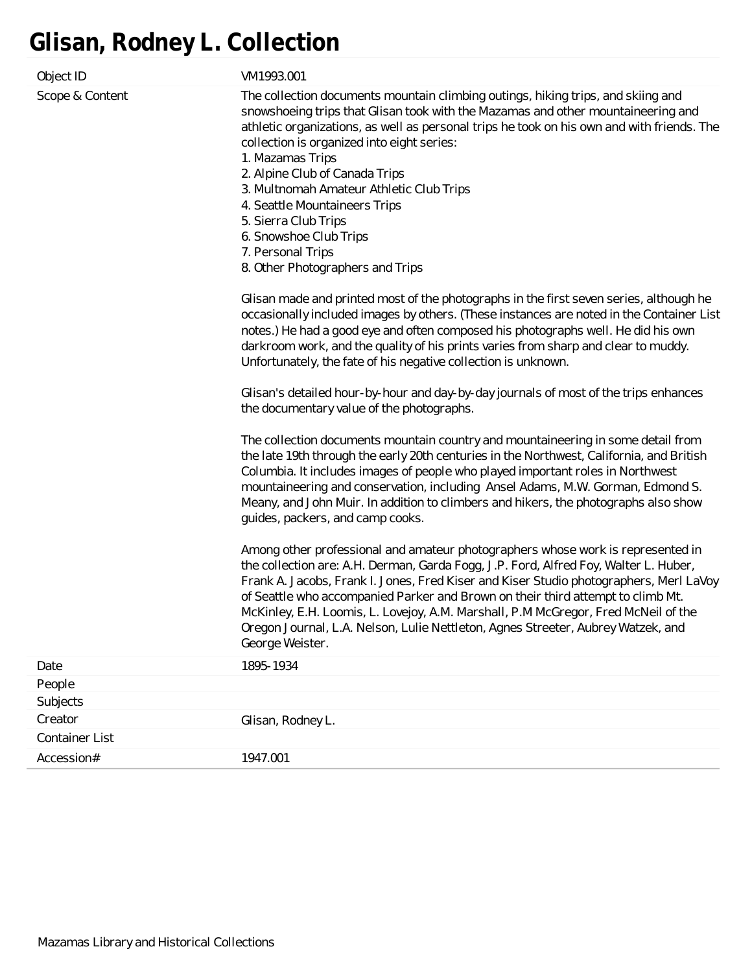# **Glisan, Rodney L. Collection**

| Object ID             | VM1993.001                                                                                                                                                                                                                                                                                                                                                                                                                                                                                                                                                                                                                                                                                                                                                                                                                                                                                                                                                                                                                                                                                                                                                                                                                                                                                                                                                                                                                                                                                                                                                                                                            |
|-----------------------|-----------------------------------------------------------------------------------------------------------------------------------------------------------------------------------------------------------------------------------------------------------------------------------------------------------------------------------------------------------------------------------------------------------------------------------------------------------------------------------------------------------------------------------------------------------------------------------------------------------------------------------------------------------------------------------------------------------------------------------------------------------------------------------------------------------------------------------------------------------------------------------------------------------------------------------------------------------------------------------------------------------------------------------------------------------------------------------------------------------------------------------------------------------------------------------------------------------------------------------------------------------------------------------------------------------------------------------------------------------------------------------------------------------------------------------------------------------------------------------------------------------------------------------------------------------------------------------------------------------------------|
| Scope & Content       | The collection documents mountain climbing outings, hiking trips, and skiing and<br>snowshoeing trips that Glisan took with the Mazamas and other mountaineering and<br>athletic organizations, as well as personal trips he took on his own and with friends. The<br>collection is organized into eight series:<br>1. Mazamas Trips<br>2. Alpine Club of Canada Trips<br>3. Multnomah Amateur Athletic Club Trips<br>4. Seattle Mountaineers Trips<br>5. Sierra Club Trips<br>6. Snowshoe Club Trips<br>7. Personal Trips<br>8. Other Photographers and Trips<br>Glisan made and printed most of the photographs in the first seven series, although he<br>occasionally included images by others. (These instances are noted in the Container List<br>notes.) He had a good eye and often composed his photographs well. He did his own<br>darkroom work, and the quality of his prints varies from sharp and clear to muddy.<br>Unfortunately, the fate of his negative collection is unknown.<br>Glisan's detailed hour-by-hour and day-by-day journals of most of the trips enhances<br>the documentary value of the photographs.<br>The collection documents mountain country and mountaineering in some detail from<br>the late 19th through the early 20th centuries in the Northwest, California, and British<br>Columbia. It includes images of people who played important roles in Northwest<br>mountaineering and conservation, including Ansel Adams, M.W. Gorman, Edmond S.<br>Meany, and John Muir. In addition to climbers and hikers, the photographs also show<br>guides, packers, and camp cooks. |
|                       | Among other professional and amateur photographers whose work is represented in<br>the collection are: A.H. Derman, Garda Fogg, J.P. Ford, Alfred Foy, Walter L. Huber,<br>Frank A. Jacobs, Frank I. Jones, Fred Kiser and Kiser Studio photographers, Merl LaVoy<br>of Seattle who accompanied Parker and Brown on their third attempt to climb Mt.<br>McKinley, E.H. Loomis, L. Lovejoy, A.M. Marshall, P.M McGregor, Fred McNeil of the<br>Oregon Journal, L.A. Nelson, Lulie Nettleton, Agnes Streeter, Aubrey Watzek, and<br>George Weister.                                                                                                                                                                                                                                                                                                                                                                                                                                                                                                                                                                                                                                                                                                                                                                                                                                                                                                                                                                                                                                                                     |
| Date                  | 1895-1934                                                                                                                                                                                                                                                                                                                                                                                                                                                                                                                                                                                                                                                                                                                                                                                                                                                                                                                                                                                                                                                                                                                                                                                                                                                                                                                                                                                                                                                                                                                                                                                                             |
| People                |                                                                                                                                                                                                                                                                                                                                                                                                                                                                                                                                                                                                                                                                                                                                                                                                                                                                                                                                                                                                                                                                                                                                                                                                                                                                                                                                                                                                                                                                                                                                                                                                                       |
| Subjects              |                                                                                                                                                                                                                                                                                                                                                                                                                                                                                                                                                                                                                                                                                                                                                                                                                                                                                                                                                                                                                                                                                                                                                                                                                                                                                                                                                                                                                                                                                                                                                                                                                       |
| Creator               | Glisan, Rodney L.                                                                                                                                                                                                                                                                                                                                                                                                                                                                                                                                                                                                                                                                                                                                                                                                                                                                                                                                                                                                                                                                                                                                                                                                                                                                                                                                                                                                                                                                                                                                                                                                     |
| <b>Container List</b> |                                                                                                                                                                                                                                                                                                                                                                                                                                                                                                                                                                                                                                                                                                                                                                                                                                                                                                                                                                                                                                                                                                                                                                                                                                                                                                                                                                                                                                                                                                                                                                                                                       |
| Accession#            | 1947.001                                                                                                                                                                                                                                                                                                                                                                                                                                                                                                                                                                                                                                                                                                                                                                                                                                                                                                                                                                                                                                                                                                                                                                                                                                                                                                                                                                                                                                                                                                                                                                                                              |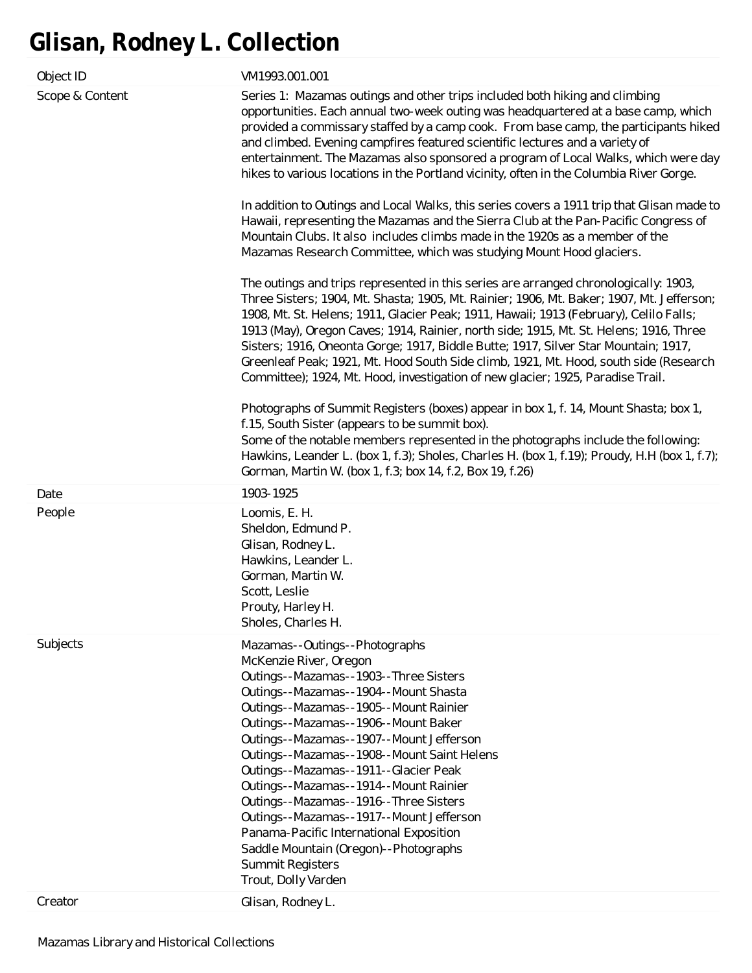# **Glisan, Rodney L. Collection**

| Object ID       | VM1993.001.001                                                                                                                                                                                                                                                                                                                                                                                                                                                                                                                                                                                                                           |
|-----------------|------------------------------------------------------------------------------------------------------------------------------------------------------------------------------------------------------------------------------------------------------------------------------------------------------------------------------------------------------------------------------------------------------------------------------------------------------------------------------------------------------------------------------------------------------------------------------------------------------------------------------------------|
| Scope & Content | Series 1: Mazamas outings and other trips included both hiking and climbing<br>opportunities. Each annual two-week outing was headquartered at a base camp, which<br>provided a commissary staffed by a camp cook. From base camp, the participants hiked<br>and climbed. Evening campfires featured scientific lectures and a variety of<br>entertainment. The Mazamas also sponsored a program of Local Walks, which were day<br>hikes to various locations in the Portland vicinity, often in the Columbia River Gorge.                                                                                                               |
|                 | In addition to Outings and Local Walks, this series covers a 1911 trip that Glisan made to<br>Hawaii, representing the Mazamas and the Sierra Club at the Pan-Pacific Congress of<br>Mountain Clubs. It also includes climbs made in the 1920s as a member of the<br>Mazamas Research Committee, which was studying Mount Hood glaciers.                                                                                                                                                                                                                                                                                                 |
|                 | The outings and trips represented in this series are arranged chronologically: 1903,<br>Three Sisters; 1904, Mt. Shasta; 1905, Mt. Rainier; 1906, Mt. Baker; 1907, Mt. Jefferson;<br>1908, Mt. St. Helens; 1911, Glacier Peak; 1911, Hawaii; 1913 (February), Celilo Falls;<br>1913 (May), Oregon Caves; 1914, Rainier, north side; 1915, Mt. St. Helens; 1916, Three<br>Sisters; 1916, Oneonta Gorge; 1917, Biddle Butte; 1917, Silver Star Mountain; 1917,<br>Greenleaf Peak; 1921, Mt. Hood South Side climb, 1921, Mt. Hood, south side (Research<br>Committee); 1924, Mt. Hood, investigation of new glacier; 1925, Paradise Trail. |
|                 | Photographs of Summit Registers (boxes) appear in box 1, f. 14, Mount Shasta; box 1,<br>f.15, South Sister (appears to be summit box).<br>Some of the notable members represented in the photographs include the following:<br>Hawkins, Leander L. (box 1, f.3); Sholes, Charles H. (box 1, f.19); Proudy, H.H (box 1, f.7);<br>Gorman, Martin W. (box 1, f.3; box 14, f.2, Box 19, f.26)                                                                                                                                                                                                                                                |
| Date            | 1903-1925                                                                                                                                                                                                                                                                                                                                                                                                                                                                                                                                                                                                                                |
| People          | Loomis, E. H.<br>Sheldon, Edmund P.<br>Glisan, Rodney L.<br>Hawkins, Leander L.<br>Gorman, Martin W.<br>Scott, Leslie<br>Prouty, Harley H.<br>Sholes, Charles H.                                                                                                                                                                                                                                                                                                                                                                                                                                                                         |
| Subjects        | Mazamas--Outings--Photographs<br>McKenzie River, Oregon<br>Outings--Mazamas--1903--Three Sisters<br>Outings--Mazamas--1904--Mount Shasta<br>Outings--Mazamas--1905--Mount Rainier<br>Outings--Mazamas--1906--Mount Baker<br>Outings--Mazamas--1907--Mount Jefferson<br>Outings--Mazamas--1908--Mount Saint Helens<br>Outings--Mazamas--1911--Glacier Peak<br>Outings--Mazamas--1914--Mount Rainier<br>Outings--Mazamas--1916--Three Sisters<br>Outings--Mazamas--1917--Mount Jefferson<br>Panama-Pacific International Exposition<br>Saddle Mountain (Oregon)--Photographs<br><b>Summit Registers</b><br>Trout, Dolly Varden             |
| Creator         | Glisan, Rodney L.                                                                                                                                                                                                                                                                                                                                                                                                                                                                                                                                                                                                                        |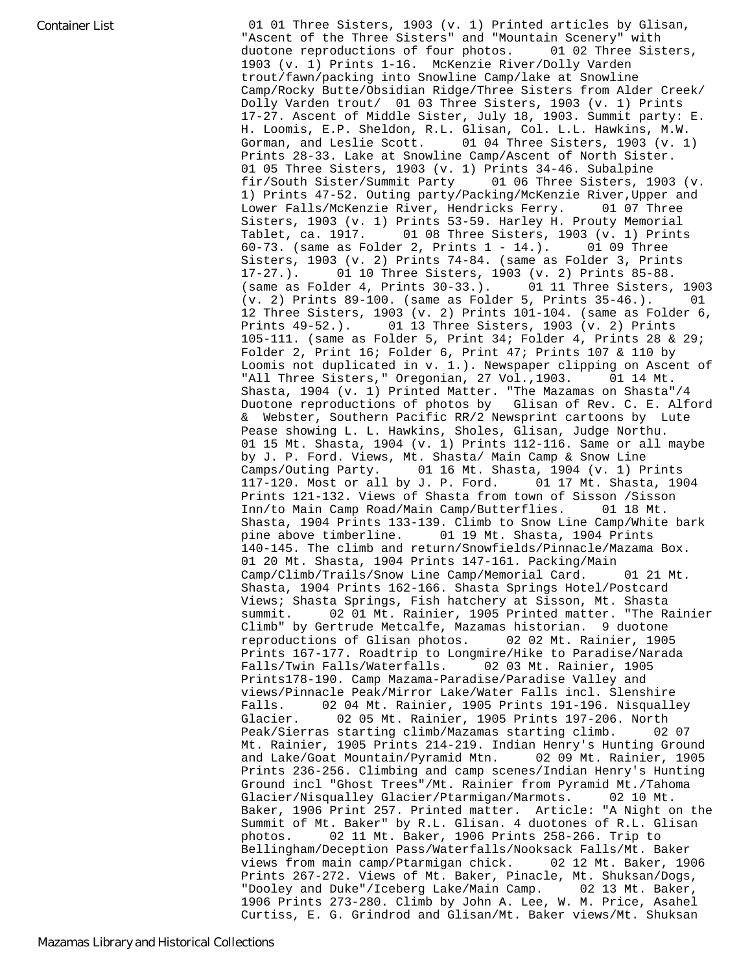Container List **Container List 1** O1 01 Three Sisters, 1903 (v. 1) Printed articles by Glisan, "Ascent of the Three Sisters" and "Mountain Scenery" with duotone reproductions of four photos. 01 02 Three Sisters, 1903 (v. 1) Prints 1-16. McKenzie River/Dolly Varden trout/fawn/packing into Snowline Camp/lake at Snowline Camp/Rocky Butte/Obsidian Ridge/Three Sisters from Alder Creek/ Dolly Varden trout/ 01 03 Three Sisters, 1903 (v. 1) Prints 17-27. Ascent of Middle Sister, July 18, 1903. Summit party: E. H. Loomis, E.P. Sheldon, R.L. Glisan, Col. L.L. Hawkins, M.W. Gorman, and Leslie Scott. 01 04 Three Sisters, 1903 (v. 1) Prints 28-33. Lake at Snowline Camp/Ascent of North Sister. 01 05 Three Sisters, 1903 (v. 1) Prints 34-46. Subalpine fir/South Sister/Summit Party 01 06 Three Sisters, 1903 (v. 1) Prints 47-52. Outing party/Packing/McKenzie River,Upper and Lower Falls/McKenzie River, Hendricks Ferry. 01 07 Three Sisters, 1903 (v. 1) Prints 53-59. Harley H. Prouty Memorial Tablet, ca. 1917. 01 08 Three Sisters, 1903 (v. 1) Prints 60-73. (same as Folder 2, Prints 1 - 14.). 01 09 Three Sisters, 1903 (v. 2) Prints 74-84. (same as Folder 3, Prints 17-27.). 01 10 Three Sisters, 1903 (v. 2) Prints 85-88. (same as Folder 4, Prints 30-33.). 01 11 Three Sisters, 1903 (v. 2) Prints 89-100. (same as Folder 5, Prints 35-46.). 01 12 Three Sisters, 1903 (v. 2) Prints 101-104. (same as Folder 6, Prints 49-52.). 01 13 Three Sisters, 1903 (v. 2) Prints 105-111. (same as Folder 5, Print 34; Folder 4, Prints 28 & 29; Folder 2, Print 16; Folder 6, Print 47; Prints 107 & 110 by Loomis not duplicated in v. 1.). Newspaper clipping on Ascent of "All Three Sisters," Oregonian, 27 Vol.,1903. 01 14 Mt. Shasta, 1904 (v. 1) Printed Matter. "The Mazamas on Shasta"/4 Duotone reproductions of photos by Glisan of Rev. C. E. Alford & Webster, Southern Pacific RR/2 Newsprint cartoons by Lute Pease showing L. L. Hawkins, Sholes, Glisan, Judge Northu. 01 15 Mt. Shasta, 1904 (v. 1) Prints 112-116. Same or all maybe by J. P. Ford. Views, Mt. Shasta/ Main Camp & Snow Line Camps/Outing Party. 01 16 Mt. Shasta, 1904 (v. 1) Prints 117-120. Most or all by J. P. Ford. 01 17 Mt. Shasta, 1904 Prints 121-132. Views of Shasta from town of Sisson /Sisson Inn/to Main Camp Road/Main Camp/Butterflies. 01 18 Mt. Shasta, 1904 Prints 133-139. Climb to Snow Line Camp/White bark pine above timberline. 01 19 Mt. Shasta, 1904 Prints 140-145. The climb and return/Snowfields/Pinnacle/Mazama Box. 01 20 Mt. Shasta, 1904 Prints 147-161. Packing/Main Camp/Climb/Trails/Snow Line Camp/Memorial Card. 01 21 Mt. Shasta, 1904 Prints 162-166. Shasta Springs Hotel/Postcard Views; Shasta Springs, Fish hatchery at Sisson, Mt. Shasta summit. 02 01 Mt. Rainier, 1905 Printed matter. "The Rainier Climb" by Gertrude Metcalfe, Mazamas historian. 9 duotone reproductions of Glisan photos. 02 02 Mt. Rainier, 1905 Prints 167-177. Roadtrip to Longmire/Hike to Paradise/Narada Falls/Twin Falls/Waterfalls. 02 03 Mt. Rainier, 1905 Prints178-190. Camp Mazama-Paradise/Paradise Valley and views/Pinnacle Peak/Mirror Lake/Water Falls incl. Slenshire Falls. 02 04 Mt. Rainier, 1905 Prints 191-196. Nisqualley Glacier. 02 05 Mt. Rainier, 1905 Prints 197-206. North Peak/Sierras starting climb/Mazamas starting climb. 02 07 Mt. Rainier, 1905 Prints 214-219. Indian Henry's Hunting Ground and Lake/Goat Mountain/Pyramid Mtn. 02 09 Mt. Rainier, 1905 Prints 236-256. Climbing and camp scenes/Indian Henry's Hunting Ground incl "Ghost Trees"/Mt. Rainier from Pyramid Mt./Tahoma Glacier/Nisqualley Glacier/Ptarmigan/Marmots. 02 10 Mt. Baker, 1906 Print 257. Printed matter. Article: "A Night on the Summit of Mt. Baker" by R.L. Glisan. 4 duotones of R.L. Glisan photos. 02 11 Mt. Baker, 1906 Prints 258-266. Trip to Bellingham/Deception Pass/Waterfalls/Nooksack Falls/Mt. Baker views from main camp/Ptarmigan chick. 02 12 Mt. Baker, 1906 Prints 267-272. Views of Mt. Baker, Pinacle, Mt. Shuksan/Dogs, "Dooley and Duke"/Iceberg Lake/Main Camp. 02 13 Mt. Baker, 1906 Prints 273-280. Climb by John A. Lee, W. M. Price, Asahel Curtiss, E. G. Grindrod and Glisan/Mt. Baker views/Mt. Shuksan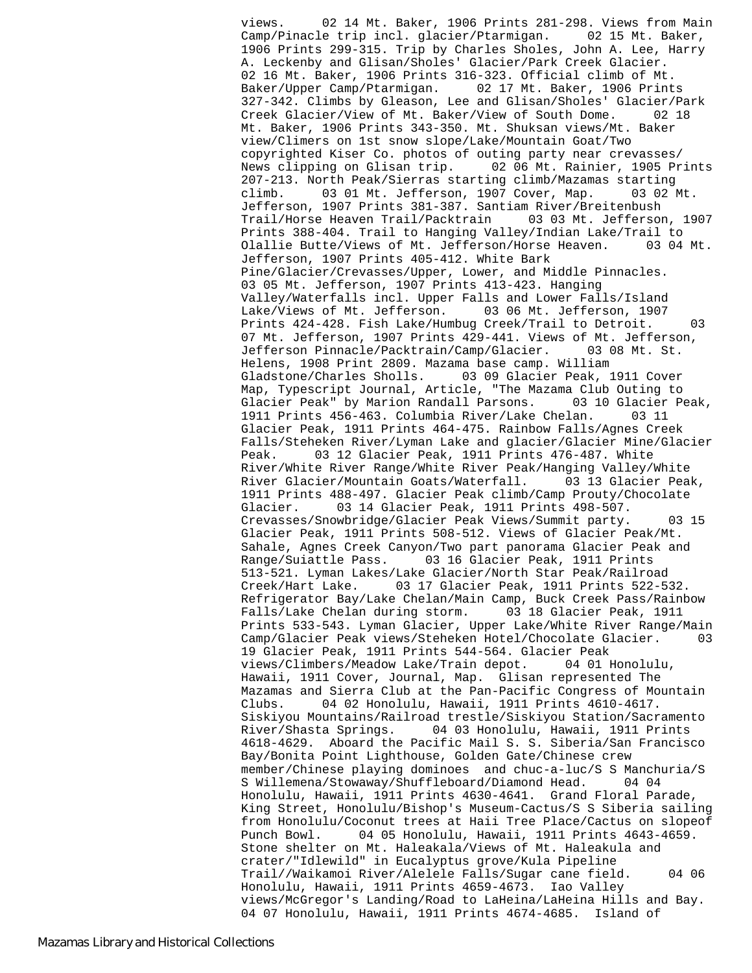views. 02 14 Mt. Baker, 1906 Prints 281-298. Views from Main Camp/Pinacle trip incl. glacier/Ptarmigan. 02 15 Mt. Baker, 1906 Prints 299-315. Trip by Charles Sholes, John A. Lee, Harry A. Leckenby and Glisan/Sholes' Glacier/Park Creek Glacier. 02 16 Mt. Baker, 1906 Prints 316-323. Official climb of Mt. Baker/Upper Camp/Ptarmigan. 02 17 Mt. Baker, 1906 Prints 327-342. Climbs by Gleason, Lee and Glisan/Sholes' Glacier/Park Creek Glacier/View of Mt. Baker/View of South Dome. 02 18 Mt. Baker, 1906 Prints 343-350. Mt. Shuksan views/Mt. Baker view/Climers on 1st snow slope/Lake/Mountain Goat/Two copyrighted Kiser Co. photos of outing party near crevasses/ News clipping on Glisan trip. 02 06 Mt. Rainier, 1905 Prints 207-213. North Peak/Sierras starting climb/Mazamas starting climb. 03 01 Mt. Jefferson, 1907 Cover, Map. 03 02 Mt. Jefferson, 1907 Prints 381-387. Santiam River/Breitenbush Trail/Horse Heaven Trail/Packtrain 03 03 Mt. Jefferson, 1907 Prints 388-404. Trail to Hanging Valley/Indian Lake/Trail to Olallie Butte/Views of Mt. Jefferson/Horse Heaven. 03 04 Mt. Jefferson, 1907 Prints 405-412. White Bark Pine/Glacier/Crevasses/Upper, Lower, and Middle Pinnacles. 03 05 Mt. Jefferson, 1907 Prints 413-423. Hanging Valley/Waterfalls incl. Upper Falls and Lower Falls/Island Lake/Views of Mt. Jefferson. 03 06 Mt. Jefferson, 1907 Prints 424-428. Fish Lake/Humbug Creek/Trail to Detroit. 03 07 Mt. Jefferson, 1907 Prints 429-441. Views of Mt. Jefferson, Jefferson Pinnacle/Packtrain/Camp/Glacier. 03 08 Mt. St. Helens, 1908 Print 2809. Mazama base camp. William Gladstone/Charles Sholls. 03 09 Glacier Peak, 1911 Cover Map, Typescript Journal, Article, "The Mazama Club Outing to Glacier Peak" by Marion Randall Parsons. 03 10 Glacier Peak, 1911 Prints 456-463. Columbia River/Lake Chelan. 03 11 Glacier Peak, 1911 Prints 464-475. Rainbow Falls/Agnes Creek Falls/Steheken River/Lyman Lake and glacier/Glacier Mine/Glacier Peak. 03 12 Glacier Peak, 1911 Prints 476-487. White River/White River Range/White River Peak/Hanging Valley/White River Glacier/Mountain Goats/Waterfall. 03 13 Glacier Peak, 1911 Prints 488-497. Glacier Peak climb/Camp Prouty/Chocolate Glacier. 03 14 Glacier Peak, 1911 Prints 498-507. Crevasses/Snowbridge/Glacier Peak Views/Summit party. 03 15 Glacier Peak, 1911 Prints 508-512. Views of Glacier Peak/Mt. Sahale, Agnes Creek Canyon/Two part panorama Glacier Peak and Range/Suiattle Pass. 03 16 Glacier Peak, 1911 Prints 513-521. Lyman Lakes/Lake Glacier/North Star Peak/Railroad Creek/Hart Lake. 03 17 Glacier Peak, 1911 Prints 522-532. Refrigerator Bay/Lake Chelan/Main Camp, Buck Creek Pass/Rainbow Falls/Lake Chelan during storm. 03 18 Glacier Peak, 1911 Prints 533-543. Lyman Glacier, Upper Lake/White River Range/Main Camp/Glacier Peak views/Steheken Hotel/Chocolate Glacier. 03 19 Glacier Peak, 1911 Prints 544-564. Glacier Peak views/Climbers/Meadow Lake/Train depot. 04 01 Honolulu, Hawaii, 1911 Cover, Journal, Map. Glisan represented The Mazamas and Sierra Club at the Pan-Pacific Congress of Mountain Clubs. 04 02 Honolulu, Hawaii, 1911 Prints 4610-4617. Siskiyou Mountains/Railroad trestle/Siskiyou Station/Sacramento River/Shasta Springs. 04 03 Honolulu, Hawaii, 1911 Prints 4618-4629. Aboard the Pacific Mail S. S. Siberia/San Francisco Bay/Bonita Point Lighthouse, Golden Gate/Chinese crew member/Chinese playing dominoes and chuc-a-luc/S S Manchuria/S S Willemena/Stowaway/Shuffleboard/Diamond Head. 04 04 Honolulu, Hawaii, 1911 Prints 4630-4641. Grand Floral Parade, King Street, Honolulu/Bishop's Museum-Cactus/S S Siberia sailing from Honolulu/Coconut trees at Haii Tree Place/Cactus on slopeof Punch Bowl. 04 05 Honolulu, Hawaii, 1911 Prints 4643-4659. Stone shelter on Mt. Haleakala/Views of Mt. Haleakula and crater/"Idlewild" in Eucalyptus grove/Kula Pipeline Trail//Waikamoi River/Alelele Falls/Sugar cane field. 04 06 Honolulu, Hawaii, 1911 Prints 4659-4673. Iao Valley views/McGregor's Landing/Road to LaHeina/LaHeina Hills and Bay. 04 07 Honolulu, Hawaii, 1911 Prints 4674-4685. Island of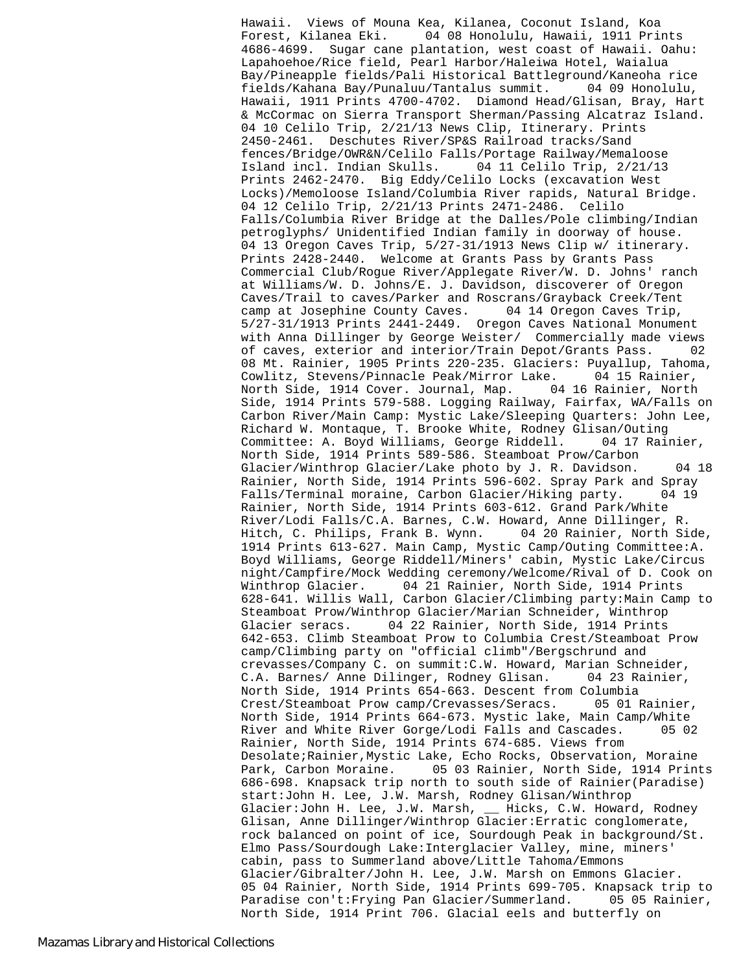Hawaii. Views of Mouna Kea, Kilanea, Coconut Island, Koa Forest, Kilanea Eki. 04 08 Honolulu, Hawaii, 1911 Prints 4686-4699. Sugar cane plantation, west coast of Hawaii. Oahu: Lapahoehoe/Rice field, Pearl Harbor/Haleiwa Hotel, Waialua Bay/Pineapple fields/Pali Historical Battleground/Kaneoha rice fields/Kahana Bay/Punaluu/Tantalus summit. 04 09 Honolulu, Hawaii, 1911 Prints 4700-4702. Diamond Head/Glisan, Bray, Hart & McCormac on Sierra Transport Sherman/Passing Alcatraz Island. 04 10 Celilo Trip, 2/21/13 News Clip, Itinerary. Prints 2450-2461. Deschutes River/SP&S Railroad tracks/Sand fences/Bridge/OWR&N/Celilo Falls/Portage Railway/Memaloose Island incl. Indian Skulls. 04 11 Celilo Trip, 2/21/13 Prints 2462-2470. Big Eddy/Celilo Locks (excavation West Locks)/Memoloose Island/Columbia River rapids, Natural Bridge. 04 12 Celilo Trip, 2/21/13 Prints 2471-2486. Celilo Falls/Columbia River Bridge at the Dalles/Pole climbing/Indian petroglyphs/ Unidentified Indian family in doorway of house. 04 13 Oregon Caves Trip, 5/27-31/1913 News Clip w/ itinerary. Prints 2428-2440. Welcome at Grants Pass by Grants Pass Commercial Club/Rogue River/Applegate River/W. D. Johns' ranch at Williams/W. D. Johns/E. J. Davidson, discoverer of Oregon Caves/Trail to caves/Parker and Roscrans/Grayback Creek/Tent camp at Josephine County Caves. 04 14 Oregon Caves Trip, 5/27-31/1913 Prints 2441-2449. Oregon Caves National Monument with Anna Dillinger by George Weister/ Commercially made views of caves, exterior and interior/Train Depot/Grants Pass. 02 08 Mt. Rainier, 1905 Prints 220-235. Glaciers: Puyallup, Tahoma, Cowlitz, Stevens/Pinnacle Peak/Mirror Lake. 04 15 Rainier, North Side, 1914 Cover. Journal, Map. 04 16 Rainier, North Side, 1914 Prints 579-588. Logging Railway, Fairfax, WA/Falls on Carbon River/Main Camp: Mystic Lake/Sleeping Quarters: John Lee, Richard W. Montaque, T. Brooke White, Rodney Glisan/Outing Committee: A. Boyd Williams, George Riddell. 04 17 Rainier, North Side, 1914 Prints 589-586. Steamboat Prow/Carbon Glacier/Winthrop Glacier/Lake photo by J. R. Davidson. 04 18 Rainier, North Side, 1914 Prints 596-602. Spray Park and Spray Falls/Terminal moraine, Carbon Glacier/Hiking party. 04 19 Rainier, North Side, 1914 Prints 603-612. Grand Park/White River/Lodi Falls/C.A. Barnes, C.W. Howard, Anne Dillinger, R. Hitch, C. Philips, Frank B. Wynn. 04 20 Rainier, North Side, 1914 Prints 613-627. Main Camp, Mystic Camp/Outing Committee:A. Boyd Williams, George Riddell/Miners' cabin, Mystic Lake/Circus night/Campfire/Mock Wedding ceremony/Welcome/Rival of D. Cook on Winthrop Glacier. 04 21 Rainier, North Side, 1914 Prints 628-641. Willis Wall, Carbon Glacier/Climbing party:Main Camp to Steamboat Prow/Winthrop Glacier/Marian Schneider, Winthrop Glacier seracs. 04 22 Rainier, North Side, 1914 Prints 642-653. Climb Steamboat Prow to Columbia Crest/Steamboat Prow camp/Climbing party on "official climb"/Bergschrund and crevasses/Company C. on summit:C.W. Howard, Marian Schneider, C.A. Barnes/ Anne Dilinger, Rodney Glisan. 04 23 Rainier, North Side, 1914 Prints 654-663. Descent from Columbia Crest/Steamboat Prow camp/Crevasses/Seracs. 05 01 Rainier, North Side, 1914 Prints 664-673. Mystic lake, Main Camp/White River and White River Gorge/Lodi Falls and Cascades. 05 02 Rainier, North Side, 1914 Prints 674-685. Views from Desolate;Rainier,Mystic Lake, Echo Rocks, Observation, Moraine Park, Carbon Moraine. 05 03 Rainier, North Side, 1914 Prints 686-698. Knapsack trip north to south side of Rainier(Paradise) start:John H. Lee, J.W. Marsh, Rodney Glisan/Winthrop Glacier:John H. Lee, J.W. Marsh, \_\_ Hicks, C.W. Howard, Rodney Glisan, Anne Dillinger/Winthrop Glacier:Erratic conglomerate, rock balanced on point of ice, Sourdough Peak in background/St. Elmo Pass/Sourdough Lake:Interglacier Valley, mine, miners' cabin, pass to Summerland above/Little Tahoma/Emmons Glacier/Gibralter/John H. Lee, J.W. Marsh on Emmons Glacier. 05 04 Rainier, North Side, 1914 Prints 699-705. Knapsack trip to Paradise con't:Frying Pan Glacier/Summerland. 05 05 Rainier, North Side, 1914 Print 706. Glacial eels and butterfly on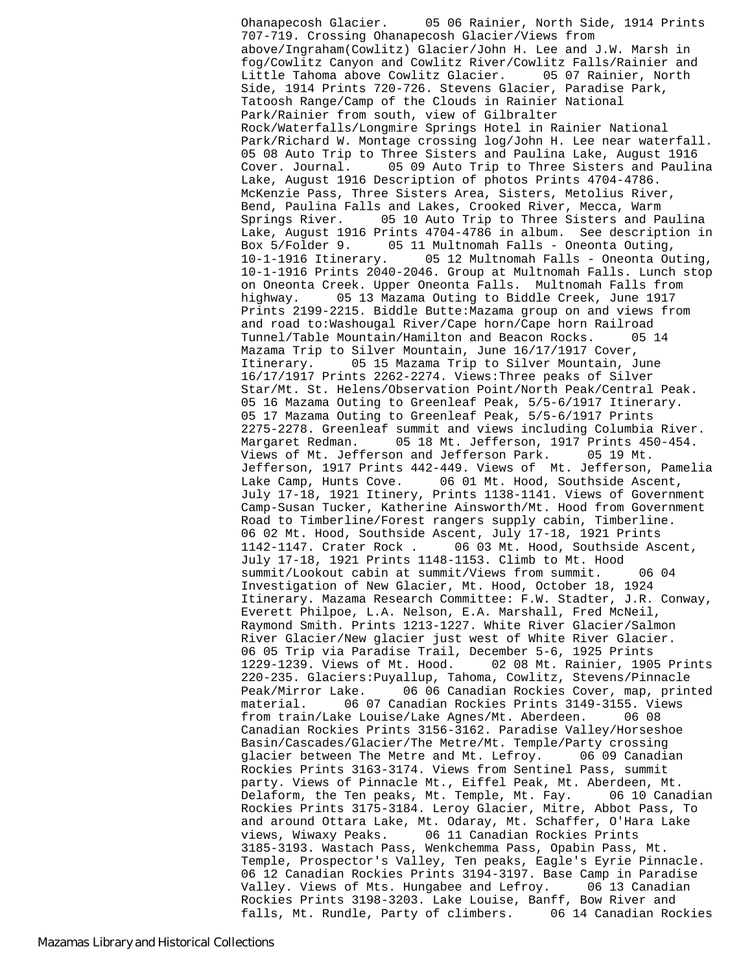Ohanapecosh Glacier. 05 06 Rainier, North Side, 1914 Prints 707-719. Crossing Ohanapecosh Glacier/Views from above/Ingraham(Cowlitz) Glacier/John H. Lee and J.W. Marsh in fog/Cowlitz Canyon and Cowlitz River/Cowlitz Falls/Rainier and Little Tahoma above Cowlitz Glacier. 05 07 Rainier, North Side, 1914 Prints 720-726. Stevens Glacier, Paradise Park, Tatoosh Range/Camp of the Clouds in Rainier National Park/Rainier from south, view of Gilbralter Rock/Waterfalls/Longmire Springs Hotel in Rainier National Park/Richard W. Montage crossing log/John H. Lee near waterfall. 05 08 Auto Trip to Three Sisters and Paulina Lake, August 1916 Cover. Journal. 05 09 Auto Trip to Three Sisters and Paulina Lake, August 1916 Description of photos Prints 4704-4786. McKenzie Pass, Three Sisters Area, Sisters, Metolius River, Bend, Paulina Falls and Lakes, Crooked River, Mecca, Warm Springs River. 05 10 Auto Trip to Three Sisters and Paulina Lake, August 1916 Prints 4704-4786 in album. See description in Box 5/Folder 9. 05 11 Multnomah Falls - Oneonta Outing, 10-1-1916 Itinerary. 05 12 Multnomah Falls - Oneonta Outing, 10-1-1916 Prints 2040-2046. Group at Multnomah Falls. Lunch stop on Oneonta Creek. Upper Oneonta Falls. Multnomah Falls from highway. 05 13 Mazama Outing to Biddle Creek, June 1917 Prints 2199-2215. Biddle Butte:Mazama group on and views from and road to:Washougal River/Cape horn/Cape horn Railroad Tunnel/Table Mountain/Hamilton and Beacon Rocks. 05 14 Mazama Trip to Silver Mountain, June 16/17/1917 Cover, Itinerary. 05 15 Mazama Trip to Silver Mountain, June 16/17/1917 Prints 2262-2274. Views:Three peaks of Silver Star/Mt. St. Helens/Observation Point/North Peak/Central Peak. 05 16 Mazama Outing to Greenleaf Peak, 5/5-6/1917 Itinerary. 05 17 Mazama Outing to Greenleaf Peak, 5/5-6/1917 Prints 2275-2278. Greenleaf summit and views including Columbia River. Margaret Redman. 05 18 Mt. Jefferson, 1917 Prints 450-454. Views of Mt. Jefferson and Jefferson Park. 05 19 Mt. Jefferson, 1917 Prints 442-449. Views of Mt. Jefferson, Pamelia Lake Camp, Hunts Cove. 06 01 Mt. Hood, Southside Ascent, July 17-18, 1921 Itinery, Prints 1138-1141. Views of Government Camp-Susan Tucker, Katherine Ainsworth/Mt. Hood from Government Road to Timberline/Forest rangers supply cabin, Timberline. 06 02 Mt. Hood, Southside Ascent, July 17-18, 1921 Prints 1142-1147. Crater Rock . 06 03 Mt. Hood, Southside Ascent, July 17-18, 1921 Prints 1148-1153. Climb to Mt. Hood summit/Lookout cabin at summit/Views from summit. 06 04 Investigation of New Glacier, Mt. Hood, October 18, 1924 Itinerary. Mazama Research Committee: F.W. Stadter, J.R. Conway, Everett Philpoe, L.A. Nelson, E.A. Marshall, Fred McNeil, Raymond Smith. Prints 1213-1227. White River Glacier/Salmon River Glacier/New glacier just west of White River Glacier. 06 05 Trip via Paradise Trail, December 5-6, 1925 Prints 1229-1239. Views of Mt. Hood. 02 08 Mt. Rainier, 1905 Prints 220-235. Glaciers:Puyallup, Tahoma, Cowlitz, Stevens/Pinnacle Peak/Mirror Lake. 06 06 Canadian Rockies Cover, map, printed material. 06 07 Canadian Rockies Prints 3149-3155. Views from train/Lake Louise/Lake Agnes/Mt. Aberdeen. 06 08 Canadian Rockies Prints 3156-3162. Paradise Valley/Horseshoe Basin/Cascades/Glacier/The Metre/Mt. Temple/Party crossing glacier between The Metre and Mt. Lefroy. 06 09 Canadian Rockies Prints 3163-3174. Views from Sentinel Pass, summit party. Views of Pinnacle Mt., Eiffel Peak, Mt. Aberdeen, Mt. Delaform, the Ten peaks, Mt. Temple, Mt. Fay. 06 10 Canadian Rockies Prints 3175-3184. Leroy Glacier, Mitre, Abbot Pass, To and around Ottara Lake, Mt. Odaray, Mt. Schaffer, O'Hara Lake views, Wiwaxy Peaks. 06 11 Canadian Rockies Prints 3185-3193. Wastach Pass, Wenkchemma Pass, Opabin Pass, Mt. Temple, Prospector's Valley, Ten peaks, Eagle's Eyrie Pinnacle. 06 12 Canadian Rockies Prints 3194-3197. Base Camp in Paradise Valley. Views of Mts. Hungabee and Lefroy. 06 13 Canadian Rockies Prints 3198-3203. Lake Louise, Banff, Bow River and falls, Mt. Rundle, Party of climbers. 06 14 Canadian Rockies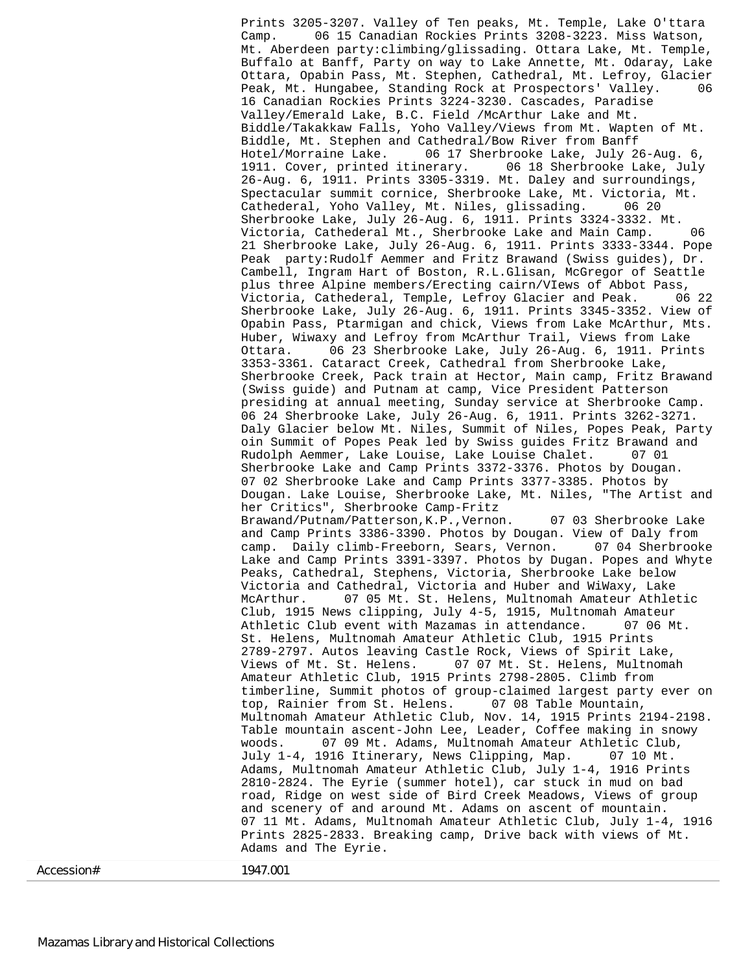Prints 3205-3207. Valley of Ten peaks, Mt. Temple, Lake O'ttara Camp. 06 15 Canadian Rockies Prints 3208-3223. Miss Watson, Mt. Aberdeen party:climbing/glissading. Ottara Lake, Mt. Temple, Buffalo at Banff, Party on way to Lake Annette, Mt. Odaray, Lake Ottara, Opabin Pass, Mt. Stephen, Cathedral, Mt. Lefroy, Glacier Peak, Mt. Hungabee, Standing Rock at Prospectors' Valley. 06 16 Canadian Rockies Prints 3224-3230. Cascades, Paradise Valley/Emerald Lake, B.C. Field /McArthur Lake and Mt. Biddle/Takakkaw Falls, Yoho Valley/Views from Mt. Wapten of Mt. Biddle, Mt. Stephen and Cathedral/Bow River from Banff Hotel/Morraine Lake. 06 17 Sherbrooke Lake, July 26-Aug. 6, 1911. Cover, printed itinerary. 06 18 Sherbrooke Lake, July 26-Aug. 6, 1911. Prints 3305-3319. Mt. Daley and surroundings, Spectacular summit cornice, Sherbrooke Lake, Mt. Victoria, Mt. Cathederal, Yoho Valley, Mt. Niles, glissading. 06 20 Sherbrooke Lake, July 26-Aug. 6, 1911. Prints 3324-3332. Mt. Victoria, Cathederal Mt., Sherbrooke Lake and Main Camp. 06 21 Sherbrooke Lake, July 26-Aug. 6, 1911. Prints 3333-3344. Pope Peak party:Rudolf Aemmer and Fritz Brawand (Swiss guides), Dr. Cambell, Ingram Hart of Boston, R.L.Glisan, McGregor of Seattle plus three Alpine members/Erecting cairn/VIews of Abbot Pass, Victoria, Cathederal, Temple, Lefroy Glacier and Peak. 06 22 Sherbrooke Lake, July 26-Aug. 6, 1911. Prints 3345-3352. View of Opabin Pass, Ptarmigan and chick, Views from Lake McArthur, Mts. Huber, Wiwaxy and Lefroy from McArthur Trail, Views from Lake Ottara. 06 23 Sherbrooke Lake, July 26-Aug. 6, 1911. Prints 3353-3361. Cataract Creek, Cathedral from Sherbrooke Lake, Sherbrooke Creek, Pack train at Hector, Main camp, Fritz Brawand (Swiss guide) and Putnam at camp, Vice President Patterson presiding at annual meeting, Sunday service at Sherbrooke Camp. 06 24 Sherbrooke Lake, July 26-Aug. 6, 1911. Prints 3262-3271. Daly Glacier below Mt. Niles, Summit of Niles, Popes Peak, Party oin Summit of Popes Peak led by Swiss guides Fritz Brawand and Rudolph Aemmer, Lake Louise, Lake Louise Chalet. 07 01 Sherbrooke Lake and Camp Prints 3372-3376. Photos by Dougan. 07 02 Sherbrooke Lake and Camp Prints 3377-3385. Photos by Dougan. Lake Louise, Sherbrooke Lake, Mt. Niles, "The Artist and her Critics", Sherbrooke Camp-Fritz Brawand/Putnam/Patterson,K.P.,Vernon. 07 03 Sherbrooke Lake and Camp Prints 3386-3390. Photos by Dougan. View of Daly from camp. Daily climb-Freeborn, Sears, Vernon. 07 04 Sherbrooke Lake and Camp Prints 3391-3397. Photos by Dugan. Popes and Whyte Peaks, Cathedral, Stephens, Victoria, Sherbrooke Lake below Victoria and Cathedral, Victoria and Huber and WiWaxy, Lake McArthur. 07 05 Mt. St. Helens, Multnomah Amateur Athletic Club, 1915 News clipping, July 4-5, 1915, Multnomah Amateur Athletic Club event with Mazamas in attendance. 07 06 Mt. St. Helens, Multnomah Amateur Athletic Club, 1915 Prints 2789-2797. Autos leaving Castle Rock, Views of Spirit Lake, Views of Mt. St. Helens. 07 07 Mt. St. Helens, Multnomah Amateur Athletic Club, 1915 Prints 2798-2805. Climb from timberline, Summit photos of group-claimed largest party ever on<br>top, Rainier from St. Helens. 07 08 Table Mountain, top, Rainier from St. Helens. Multnomah Amateur Athletic Club, Nov. 14, 1915 Prints 2194-2198. Table mountain ascent-John Lee, Leader, Coffee making in snowy woods. 07 09 Mt. Adams, Multnomah Amateur Athletic Club, July 1-4, 1916 Itinerary, News Clipping, Map. 07 10 Mt. Adams, Multnomah Amateur Athletic Club, July 1-4, 1916 Prints 2810-2824. The Eyrie (summer hotel), car stuck in mud on bad road, Ridge on west side of Bird Creek Meadows, Views of group and scenery of and around Mt. Adams on ascent of mountain. 07 11 Mt. Adams, Multnomah Amateur Athletic Club, July 1-4, 1916 Prints 2825-2833. Breaking camp, Drive back with views of Mt. Adams and The Eyrie.

Accession# 1947.001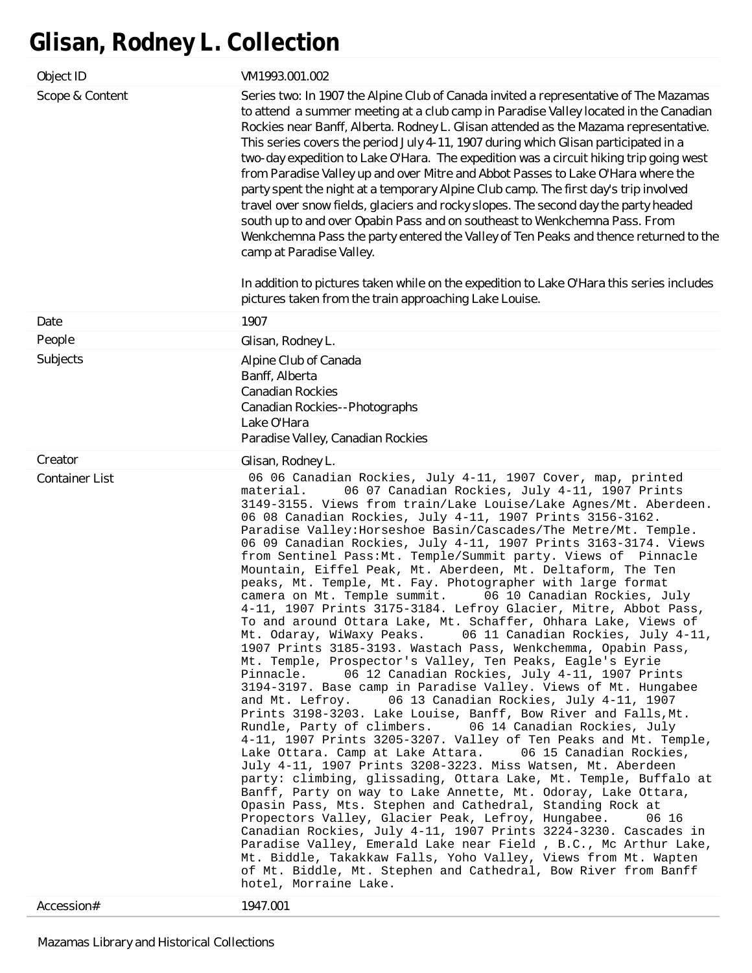# **Glisan, Rodney L. Collection**

| Object ID                           | VM1993.001.002                                                                                                                                                                                                                                                                                                                                                                                                                                                                                                                                                                                                                                                                                                                                                                                                                                                                                                                                                                                                                                                                                                                                                                                                                                                                                                                                                                                                                                                                                                                                                                                                                                                                                                                                                                                                                                                                                                                                                                                                                                                                                                            |
|-------------------------------------|---------------------------------------------------------------------------------------------------------------------------------------------------------------------------------------------------------------------------------------------------------------------------------------------------------------------------------------------------------------------------------------------------------------------------------------------------------------------------------------------------------------------------------------------------------------------------------------------------------------------------------------------------------------------------------------------------------------------------------------------------------------------------------------------------------------------------------------------------------------------------------------------------------------------------------------------------------------------------------------------------------------------------------------------------------------------------------------------------------------------------------------------------------------------------------------------------------------------------------------------------------------------------------------------------------------------------------------------------------------------------------------------------------------------------------------------------------------------------------------------------------------------------------------------------------------------------------------------------------------------------------------------------------------------------------------------------------------------------------------------------------------------------------------------------------------------------------------------------------------------------------------------------------------------------------------------------------------------------------------------------------------------------------------------------------------------------------------------------------------------------|
| Scope & Content                     | Series two: In 1907 the Alpine Club of Canada invited a representative of The Mazamas<br>to attend a summer meeting at a club camp in Paradise Valley located in the Canadian<br>Rockies near Banff, Alberta. Rodney L. Glisan attended as the Mazama representative.<br>This series covers the period July 4-11, 1907 during which Glisan participated in a<br>two-day expedition to Lake O'Hara. The expedition was a circuit hiking trip going west<br>from Paradise Valley up and over Mitre and Abbot Passes to Lake O'Hara where the<br>party spent the night at a temporary Alpine Club camp. The first day's trip involved<br>travel over snow fields, glaciers and rocky slopes. The second day the party headed<br>south up to and over Opabin Pass and on southeast to Wenkchemna Pass. From<br>Wenkchemna Pass the party entered the Valley of Ten Peaks and thence returned to the<br>camp at Paradise Valley.<br>In addition to pictures taken while on the expedition to Lake O'Hara this series includes<br>pictures taken from the train approaching Lake Louise.                                                                                                                                                                                                                                                                                                                                                                                                                                                                                                                                                                                                                                                                                                                                                                                                                                                                                                                                                                                                                                        |
| Date                                | 1907                                                                                                                                                                                                                                                                                                                                                                                                                                                                                                                                                                                                                                                                                                                                                                                                                                                                                                                                                                                                                                                                                                                                                                                                                                                                                                                                                                                                                                                                                                                                                                                                                                                                                                                                                                                                                                                                                                                                                                                                                                                                                                                      |
| People                              | Glisan, Rodney L.                                                                                                                                                                                                                                                                                                                                                                                                                                                                                                                                                                                                                                                                                                                                                                                                                                                                                                                                                                                                                                                                                                                                                                                                                                                                                                                                                                                                                                                                                                                                                                                                                                                                                                                                                                                                                                                                                                                                                                                                                                                                                                         |
| Subjects                            | Alpine Club of Canada<br>Banff, Alberta<br><b>Canadian Rockies</b><br>Canadian Rockies--Photographs<br>Lake O'Hara<br>Paradise Valley, Canadian Rockies                                                                                                                                                                                                                                                                                                                                                                                                                                                                                                                                                                                                                                                                                                                                                                                                                                                                                                                                                                                                                                                                                                                                                                                                                                                                                                                                                                                                                                                                                                                                                                                                                                                                                                                                                                                                                                                                                                                                                                   |
| Creator                             | Glisan, Rodney L.                                                                                                                                                                                                                                                                                                                                                                                                                                                                                                                                                                                                                                                                                                                                                                                                                                                                                                                                                                                                                                                                                                                                                                                                                                                                                                                                                                                                                                                                                                                                                                                                                                                                                                                                                                                                                                                                                                                                                                                                                                                                                                         |
| <b>Container List</b><br>Accession# | 06 06 Canadian Rockies, July 4-11, 1907 Cover, map, printed<br>06 07 Canadian Rockies, July 4-11, 1907 Prints<br>material.<br>3149-3155. Views from train/Lake Louise/Lake Agnes/Mt. Aberdeen.<br>06 08 Canadian Rockies, July 4-11, 1907 Prints 3156-3162.<br>Paradise Valley: Horseshoe Basin/Cascades/The Metre/Mt. Temple.<br>06 09 Canadian Rockies, July 4-11, 1907 Prints 3163-3174. Views<br>from Sentinel Pass: Mt. Temple/Summit party. Views of Pinnacle<br>Mountain, Eiffel Peak, Mt. Aberdeen, Mt. Deltaform, The Ten<br>peaks, Mt. Temple, Mt. Fay. Photographer with large format<br>camera on Mt. Temple summit.<br>06 10 Canadian Rockies, July<br>4-11, 1907 Prints 3175-3184. Lefroy Glacier, Mitre, Abbot Pass,<br>To and around Ottara Lake, Mt. Schaffer, Ohhara Lake, Views of<br>Mt. Odaray, WiWaxy Peaks.<br>06 11 Canadian Rockies, July 4-11,<br>1907 Prints 3185-3193. Wastach Pass, Wenkchemma, Opabin Pass,<br>Mt. Temple, Prospector's Valley, Ten Peaks, Eagle's Eyrie<br>06 12 Canadian Rockies, July 4-11, 1907 Prints<br>Pinnacle.<br>3194-3197. Base camp in Paradise Valley. Views of Mt. Hungabee<br>and Mt. Lefrov.<br>06 13 Canadian Rockies, July 4-11, 1907<br>Prints 3198-3203. Lake Louise, Banff, Bow River and Falls, Mt.<br>Rundle, Party of climbers.<br>06 14 Canadian Rockies, July<br>4-11, 1907 Prints 3205-3207. Valley of Ten Peaks and Mt. Temple,<br>06 15 Canadian Rockies,<br>Lake Ottara. Camp at Lake Attara.<br>July 4-11, 1907 Prints 3208-3223. Miss Watsen, Mt. Aberdeen<br>party: climbing, glissading, Ottara Lake, Mt. Temple, Buffalo at<br>Banff, Party on way to Lake Annette, Mt. Odoray, Lake Ottara,<br>Opasin Pass, Mts. Stephen and Cathedral, Standing Rock at<br>Propectors Valley, Glacier Peak, Lefroy, Hungabee.<br>06 16<br>Canadian Rockies, July 4-11, 1907 Prints 3224-3230. Cascades in<br>Paradise Valley, Emerald Lake near Field , B.C., Mc Arthur Lake,<br>Mt. Biddle, Takakkaw Falls, Yoho Valley, Views from Mt. Wapten<br>of Mt. Biddle, Mt. Stephen and Cathedral, Bow River from Banff<br>hotel, Morraine Lake.<br>1947.001 |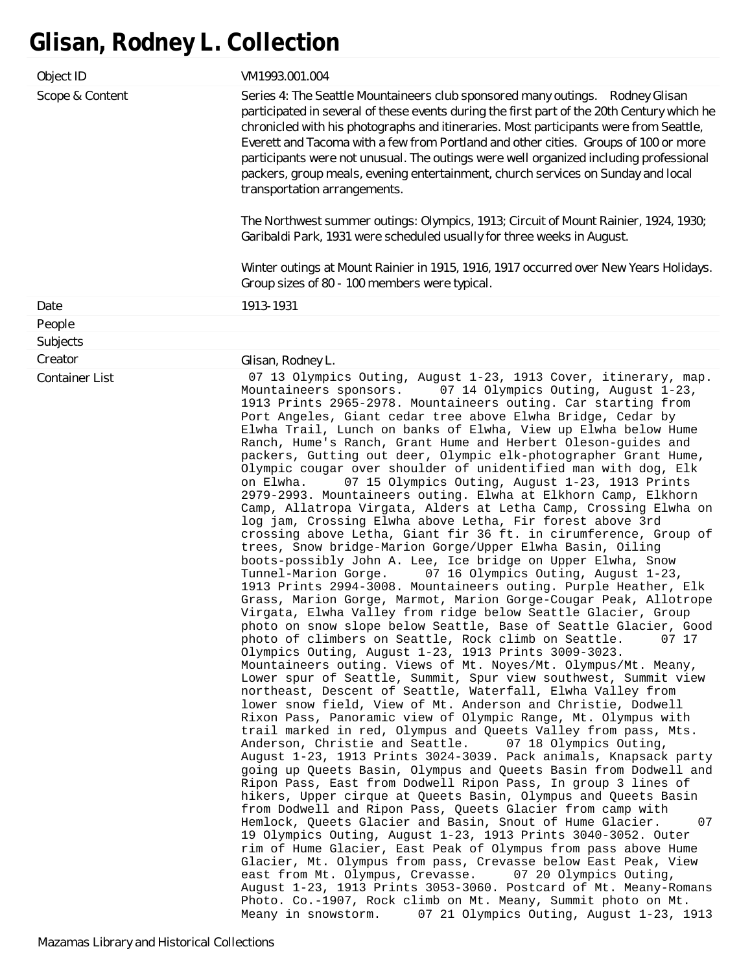# **Glisan, Rodney L. Collection**

| Object ID             | VM1993.001.004                                                                                                                                                                                                                                                                                                                                                                                                                                                                                                                                                                                                                                                                                                                                                                                                                                                                                                                                                                                                                                                                                                                                                                                                                                                                                                                                                                                                                                                                                                                                                                                                                                                                                                                                                                                                                                                                                                                                                                                                                                                                                                                                                                                                                                                                                                                                                                                                                                                                                                                                                                                                                                                                                                                                                                                                                             |
|-----------------------|--------------------------------------------------------------------------------------------------------------------------------------------------------------------------------------------------------------------------------------------------------------------------------------------------------------------------------------------------------------------------------------------------------------------------------------------------------------------------------------------------------------------------------------------------------------------------------------------------------------------------------------------------------------------------------------------------------------------------------------------------------------------------------------------------------------------------------------------------------------------------------------------------------------------------------------------------------------------------------------------------------------------------------------------------------------------------------------------------------------------------------------------------------------------------------------------------------------------------------------------------------------------------------------------------------------------------------------------------------------------------------------------------------------------------------------------------------------------------------------------------------------------------------------------------------------------------------------------------------------------------------------------------------------------------------------------------------------------------------------------------------------------------------------------------------------------------------------------------------------------------------------------------------------------------------------------------------------------------------------------------------------------------------------------------------------------------------------------------------------------------------------------------------------------------------------------------------------------------------------------------------------------------------------------------------------------------------------------------------------------------------------------------------------------------------------------------------------------------------------------------------------------------------------------------------------------------------------------------------------------------------------------------------------------------------------------------------------------------------------------------------------------------------------------------------------------------------------------|
| Scope & Content       | Series 4: The Seattle Mountaineers club sponsored many outings. Rodney Glisan<br>participated in several of these events during the first part of the 20th Century which he<br>chronicled with his photographs and itineraries. Most participants were from Seattle,<br>Everett and Tacoma with a few from Portland and other cities. Groups of 100 or more<br>participants were not unusual. The outings were well organized including professional<br>packers, group meals, evening entertainment, church services on Sunday and local<br>transportation arrangements.<br>The Northwest summer outings: Olympics, 1913; Circuit of Mount Rainier, 1924, 1930;<br>Garibaldi Park, 1931 were scheduled usually for three weeks in August.<br>Winter outings at Mount Rainier in 1915, 1916, 1917 occurred over New Years Holidays.<br>Group sizes of 80 - 100 members were typical.                                                                                                                                                                                                                                                                                                                                                                                                                                                                                                                                                                                                                                                                                                                                                                                                                                                                                                                                                                                                                                                                                                                                                                                                                                                                                                                                                                                                                                                                                                                                                                                                                                                                                                                                                                                                                                                                                                                                                        |
| Date                  | 1913-1931                                                                                                                                                                                                                                                                                                                                                                                                                                                                                                                                                                                                                                                                                                                                                                                                                                                                                                                                                                                                                                                                                                                                                                                                                                                                                                                                                                                                                                                                                                                                                                                                                                                                                                                                                                                                                                                                                                                                                                                                                                                                                                                                                                                                                                                                                                                                                                                                                                                                                                                                                                                                                                                                                                                                                                                                                                  |
| People                |                                                                                                                                                                                                                                                                                                                                                                                                                                                                                                                                                                                                                                                                                                                                                                                                                                                                                                                                                                                                                                                                                                                                                                                                                                                                                                                                                                                                                                                                                                                                                                                                                                                                                                                                                                                                                                                                                                                                                                                                                                                                                                                                                                                                                                                                                                                                                                                                                                                                                                                                                                                                                                                                                                                                                                                                                                            |
| Subjects              |                                                                                                                                                                                                                                                                                                                                                                                                                                                                                                                                                                                                                                                                                                                                                                                                                                                                                                                                                                                                                                                                                                                                                                                                                                                                                                                                                                                                                                                                                                                                                                                                                                                                                                                                                                                                                                                                                                                                                                                                                                                                                                                                                                                                                                                                                                                                                                                                                                                                                                                                                                                                                                                                                                                                                                                                                                            |
| Creator               | Glisan, Rodney L.                                                                                                                                                                                                                                                                                                                                                                                                                                                                                                                                                                                                                                                                                                                                                                                                                                                                                                                                                                                                                                                                                                                                                                                                                                                                                                                                                                                                                                                                                                                                                                                                                                                                                                                                                                                                                                                                                                                                                                                                                                                                                                                                                                                                                                                                                                                                                                                                                                                                                                                                                                                                                                                                                                                                                                                                                          |
| <b>Container List</b> | 07 13 Olympics Outing, August 1-23, 1913 Cover, itinerary, map.<br>Mountaineers sponsors.<br>07 14 Olympics Outing, August 1-23,<br>1913 Prints 2965-2978. Mountaineers outing. Car starting from<br>Port Angeles, Giant cedar tree above Elwha Bridge, Cedar by<br>Elwha Trail, Lunch on banks of Elwha, View up Elwha below Hume<br>Ranch, Hume's Ranch, Grant Hume and Herbert Oleson-guides and<br>packers, Gutting out deer, Olympic elk-photographer Grant Hume,<br>Olympic cougar over shoulder of unidentified man with dog, Elk<br>07 15 Olympics Outing, August 1-23, 1913 Prints<br>on Elwha.<br>2979-2993. Mountaineers outing. Elwha at Elkhorn Camp, Elkhorn<br>Camp, Allatropa Virgata, Alders at Letha Camp, Crossing Elwha on<br>log jam, Crossing Elwha above Letha, Fir forest above 3rd<br>crossing above Letha, Giant fir 36 ft. in cirumference, Group of<br>trees, Snow bridge-Marion Gorge/Upper Elwha Basin, Oiling<br>boots-possibly John A. Lee, Ice bridge on Upper Elwha, Snow<br>07 16 Olympics Outing, August 1-23,<br>Tunnel-Marion Gorge.<br>1913 Prints 2994-3008. Mountaineers outing. Purple Heather, Elk<br>Grass, Marion Gorge, Marmot, Marion Gorge-Cougar Peak, Allotrope<br>Virgata, Elwha Valley from ridge below Seattle Glacier, Group<br>photo on snow slope below Seattle, Base of Seattle Glacier, Good<br>photo of climbers on Seattle, Rock climb on Seattle.<br>07 17<br>Olympics Outing, August 1-23, 1913 Prints 3009-3023.<br>Mountaineers outing. Views of Mt. Noyes/Mt. Olympus/Mt. Meany,<br>Lower spur of Seattle, Summit, Spur view southwest, Summit view<br>northeast, Descent of Seattle, Waterfall, Elwha Valley from<br>lower snow field, View of Mt. Anderson and Christie, Dodwell<br>Rixon Pass, Panoramic view of Olympic Range, Mt. Olympus with<br>trail marked in red, Olympus and Queets Valley from pass, Mts.<br>Anderson, Christie and Seattle.<br>07 18 Olympics Outing,<br>August 1-23, 1913 Prints 3024-3039. Pack animals, Knapsack party<br>going up Queets Basin, Olympus and Queets Basin from Dodwell and<br>Ripon Pass, East from Dodwell Ripon Pass, In group 3 lines of<br>hikers, Upper cirque at Queets Basin, Olympus and Queets Basin<br>from Dodwell and Ripon Pass, Queets Glacier from camp with<br>Hemlock, Queets Glacier and Basin, Snout of Hume Glacier.<br>07<br>19 Olympics Outing, August 1-23, 1913 Prints 3040-3052. Outer<br>rim of Hume Glacier, East Peak of Olympus from pass above Hume<br>Glacier, Mt. Olympus from pass, Crevasse below East Peak, View<br>east from Mt. Olympus, Crevasse.<br>07 20 Olympics Outing,<br>August 1-23, 1913 Prints 3053-3060. Postcard of Mt. Meany-Romans<br>Photo. Co.-1907, Rock climb on Mt. Meany, Summit photo on Mt.<br>07 21 Olympics Outing, August 1-23, 1913<br>Meany in snowstorm. |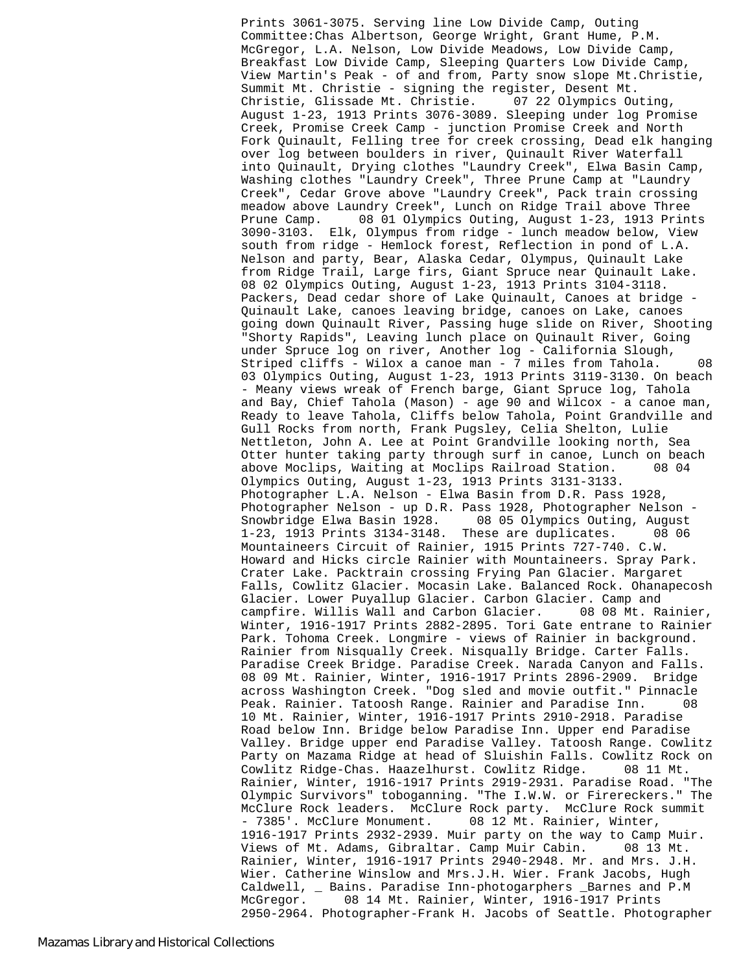Prints 3061-3075. Serving line Low Divide Camp, Outing Committee:Chas Albertson, George Wright, Grant Hume, P.M. McGregor, L.A. Nelson, Low Divide Meadows, Low Divide Camp, Breakfast Low Divide Camp, Sleeping Quarters Low Divide Camp, View Martin's Peak - of and from, Party snow slope Mt.Christie, Summit Mt. Christie - signing the register, Desent Mt.<br>Christie, Glissade Mt. Christie. 07 22 Olympics Outing, Christie, Glissade Mt. Christie. August 1-23, 1913 Prints 3076-3089. Sleeping under log Promise Creek, Promise Creek Camp - junction Promise Creek and North Fork Quinault, Felling tree for creek crossing, Dead elk hanging over log between boulders in river, Quinault River Waterfall into Quinault, Drying clothes "Laundry Creek", Elwa Basin Camp, Washing clothes "Laundry Creek", Three Prune Camp at "Laundry Creek", Cedar Grove above "Laundry Creek", Pack train crossing meadow above Laundry Creek", Lunch on Ridge Trail above Three Prune Camp. 08 01 Olympics Outing, August 1-23, 1913 Prints 3090-3103. Elk, Olympus from ridge - lunch meadow below, View south from ridge - Hemlock forest, Reflection in pond of L.A. Nelson and party, Bear, Alaska Cedar, Olympus, Quinault Lake from Ridge Trail, Large firs, Giant Spruce near Quinault Lake. 08 02 Olympics Outing, August 1-23, 1913 Prints 3104-3118. Packers, Dead cedar shore of Lake Quinault, Canoes at bridge - Quinault Lake, canoes leaving bridge, canoes on Lake, canoes going down Quinault River, Passing huge slide on River, Shooting "Shorty Rapids", Leaving lunch place on Quinault River, Going under Spruce log on river, Another log - California Slough, Striped cliffs - Wilox a canoe man - 7 miles from Tahola. 08 03 Olympics Outing, August 1-23, 1913 Prints 3119-3130. On beach - Meany views wreak of French barge, Giant Spruce log, Tahola and Bay, Chief Tahola (Mason) - age 90 and Wilcox - a canoe man, Ready to leave Tahola, Cliffs below Tahola, Point Grandville and Gull Rocks from north, Frank Pugsley, Celia Shelton, Lulie Nettleton, John A. Lee at Point Grandville looking north, Sea Otter hunter taking party through surf in canoe, Lunch on beach above Moclips, Waiting at Moclips Railroad Station. 08 04 Olympics Outing, August 1-23, 1913 Prints 3131-3133. Photographer L.A. Nelson - Elwa Basin from D.R. Pass 1928, Photographer Nelson - up D.R. Pass 1928, Photographer Nelson - Snowbridge Elwa Basin 1928. 08 05 Olympics Outing, August 1-23, 1913 Prints 3134-3148. These are duplicates. 08 06 Mountaineers Circuit of Rainier, 1915 Prints 727-740. C.W. Howard and Hicks circle Rainier with Mountaineers. Spray Park. Crater Lake. Packtrain crossing Frying Pan Glacier. Margaret Falls, Cowlitz Glacier. Mocasin Lake. Balanced Rock. Ohanapecosh Glacier. Lower Puyallup Glacier. Carbon Glacier. Camp and campfire. Willis Wall and Carbon Glacier. 08 08 Mt. Rainier, Winter, 1916-1917 Prints 2882-2895. Tori Gate entrane to Rainier Park. Tohoma Creek. Longmire - views of Rainier in background. Rainier from Nisqually Creek. Nisqually Bridge. Carter Falls. Paradise Creek Bridge. Paradise Creek. Narada Canyon and Falls. 08 09 Mt. Rainier, Winter, 1916-1917 Prints 2896-2909. Bridge across Washington Creek. "Dog sled and movie outfit." Pinnacle Peak. Rainier. Tatoosh Range. Rainier and Paradise Inn. 08 10 Mt. Rainier, Winter, 1916-1917 Prints 2910-2918. Paradise Road below Inn. Bridge below Paradise Inn. Upper end Paradise Valley. Bridge upper end Paradise Valley. Tatoosh Range. Cowlitz Party on Mazama Ridge at head of Sluishin Falls. Cowlitz Rock on Cowlitz Ridge-Chas. Haazelhurst. Cowlitz Ridge. 08 11 Mt. Rainier, Winter, 1916-1917 Prints 2919-2931. Paradise Road. "The Olympic Survivors" toboganning. "The I.W.W. or Firereckers." The McClure Rock leaders. McClure Rock party. McClure Rock summit - 7385'. McClure Monument. 08 12 Mt. Rainier, Winter, 1916-1917 Prints 2932-2939. Muir party on the way to Camp Muir. Views of Mt. Adams, Gibraltar. Camp Muir Cabin. 08 13 Mt. Rainier, Winter, 1916-1917 Prints 2940-2948. Mr. and Mrs. J.H. Wier. Catherine Winslow and Mrs.J.H. Wier. Frank Jacobs, Hugh Caldwell, \_ Bains. Paradise Inn-photogarphers \_Barnes and P.M McGregor. 08 14 Mt. Rainier, Winter, 1916-1917 Prints 2950-2964. Photographer-Frank H. Jacobs of Seattle. Photographer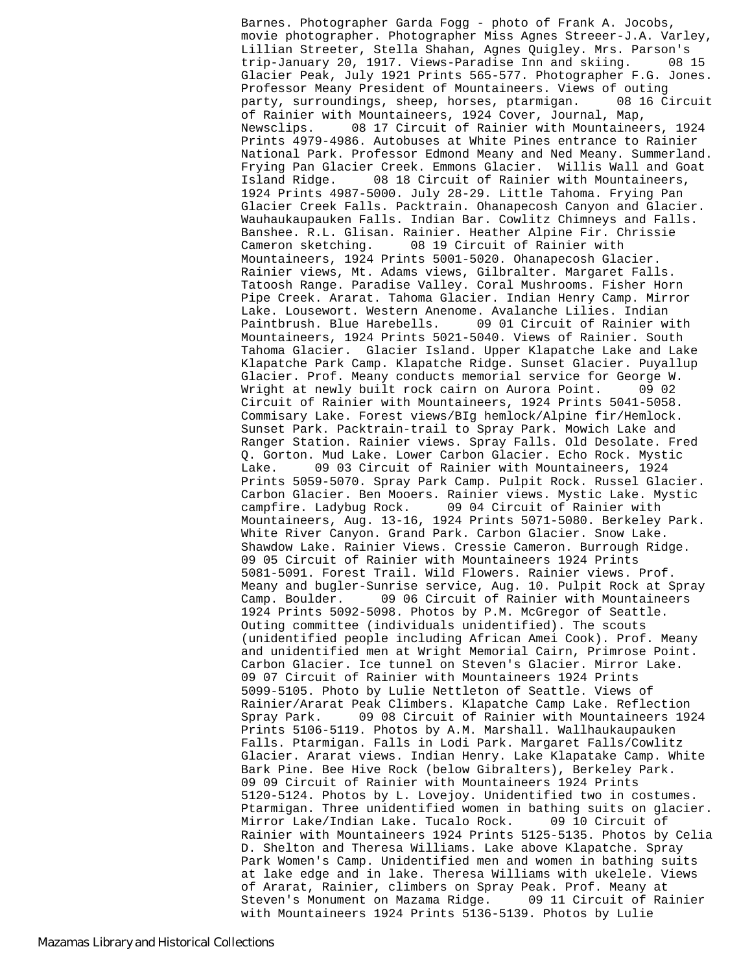Barnes. Photographer Garda Fogg - photo of Frank A. Jocobs, movie photographer. Photographer Miss Agnes Streeer-J.A. Varley, Lillian Streeter, Stella Shahan, Agnes Quigley. Mrs. Parson's trip-January 20, 1917. Views-Paradise Inn and skiing. 08 15 Glacier Peak, July 1921 Prints 565-577. Photographer F.G. Jones. Professor Meany President of Mountaineers. Views of outing party, surroundings, sheep, horses, ptarmigan. 08 16 Circuit of Rainier with Mountaineers, 1924 Cover, Journal, Map, Newsclips. 08 17 Circuit of Rainier with Mountaineers, 1924 Prints 4979-4986. Autobuses at White Pines entrance to Rainier National Park. Professor Edmond Meany and Ned Meany. Summerland. Frying Pan Glacier Creek. Emmons Glacier. Willis Wall and Goat Island Ridge. 08 18 Circuit of Rainier with Mountaineers, 1924 Prints 4987-5000. July 28-29. Little Tahoma. Frying Pan Glacier Creek Falls. Packtrain. Ohanapecosh Canyon and Glacier. Wauhaukaupauken Falls. Indian Bar. Cowlitz Chimneys and Falls. Banshee. R.L. Glisan. Rainier. Heather Alpine Fir. Chrissie Cameron sketching. 08 19 Circuit of Rainier with Mountaineers, 1924 Prints 5001-5020. Ohanapecosh Glacier. Rainier views, Mt. Adams views, Gilbralter. Margaret Falls. Tatoosh Range. Paradise Valley. Coral Mushrooms. Fisher Horn Pipe Creek. Ararat. Tahoma Glacier. Indian Henry Camp. Mirror Lake. Lousewort. Western Anenome. Avalanche Lilies. Indian Paintbrush. Blue Harebells. 09 01 Circuit of Rainier with Mountaineers, 1924 Prints 5021-5040. Views of Rainier. South Tahoma Glacier. Glacier Island. Upper Klapatche Lake and Lake Klapatche Park Camp. Klapatche Ridge. Sunset Glacier. Puyallup Glacier. Prof. Meany conducts memorial service for George W. Wright at newly built rock cairn on Aurora Point. 09 02 Circuit of Rainier with Mountaineers, 1924 Prints 5041-5058. Commisary Lake. Forest views/BIg hemlock/Alpine fir/Hemlock. Sunset Park. Packtrain-trail to Spray Park. Mowich Lake and Ranger Station. Rainier views. Spray Falls. Old Desolate. Fred Q. Gorton. Mud Lake. Lower Carbon Glacier. Echo Rock. Mystic Lake. 09 03 Circuit of Rainier with Mountaineers, 1924 Prints 5059-5070. Spray Park Camp. Pulpit Rock. Russel Glacier. Carbon Glacier. Ben Mooers. Rainier views. Mystic Lake. Mystic campfire. Ladybug Rock. 09 04 Circuit of Rainier with Mountaineers, Aug. 13-16, 1924 Prints 5071-5080. Berkeley Park. White River Canyon. Grand Park. Carbon Glacier. Snow Lake. Shawdow Lake. Rainier Views. Cressie Cameron. Burrough Ridge. 09 05 Circuit of Rainier with Mountaineers 1924 Prints 5081-5091. Forest Trail. Wild Flowers. Rainier views. Prof. Meany and bugler-Sunrise service, Aug. 10. Pulpit Rock at Spray<br>Camp. Boulder. 09 06 Circuit of Rainier with Mountaineers 09 06 Circuit of Rainier with Mountaineers 1924 Prints 5092-5098. Photos by P.M. McGregor of Seattle. Outing committee (individuals unidentified). The scouts (unidentified people including African Amei Cook). Prof. Meany and unidentified men at Wright Memorial Cairn, Primrose Point. Carbon Glacier. Ice tunnel on Steven's Glacier. Mirror Lake. 09 07 Circuit of Rainier with Mountaineers 1924 Prints 5099-5105. Photo by Lulie Nettleton of Seattle. Views of Rainier/Ararat Peak Climbers. Klapatche Camp Lake. Reflection Spray Park. 09 08 Circuit of Rainier with Mountaineers 1924 Prints 5106-5119. Photos by A.M. Marshall. Wallhaukaupauken Falls. Ptarmigan. Falls in Lodi Park. Margaret Falls/Cowlitz Glacier. Ararat views. Indian Henry. Lake Klapatake Camp. White Bark Pine. Bee Hive Rock (below Gibralters), Berkeley Park. 09 09 Circuit of Rainier with Mountaineers 1924 Prints 5120-5124. Photos by L. Lovejoy. Unidentified two in costumes. Ptarmigan. Three unidentified women in bathing suits on glacier. Mirror Lake/Indian Lake. Tucalo Rock. 09 10 Circuit of Rainier with Mountaineers 1924 Prints 5125-5135. Photos by Celia D. Shelton and Theresa Williams. Lake above Klapatche. Spray Park Women's Camp. Unidentified men and women in bathing suits at lake edge and in lake. Theresa Williams with ukelele. Views of Ararat, Rainier, climbers on Spray Peak. Prof. Meany at Steven's Monument on Mazama Ridge. 09 11 Circuit of Rainier with Mountaineers 1924 Prints 5136-5139. Photos by Lulie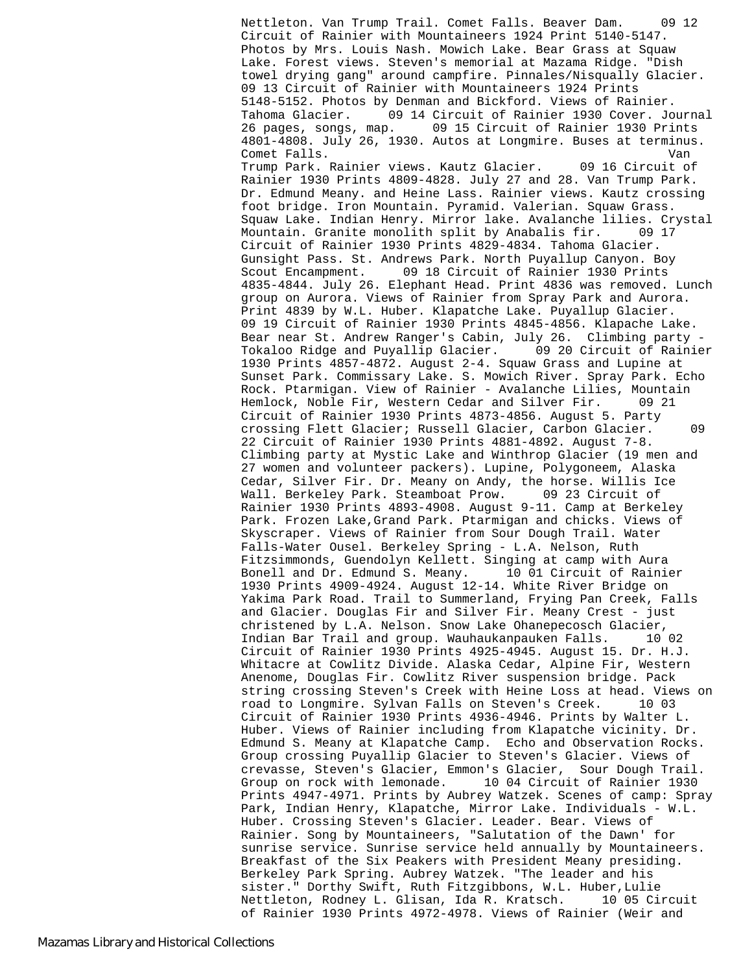Nettleton. Van Trump Trail. Comet Falls. Beaver Dam. 09 12 Circuit of Rainier with Mountaineers 1924 Print 5140-5147. Photos by Mrs. Louis Nash. Mowich Lake. Bear Grass at Squaw Lake. Forest views. Steven's memorial at Mazama Ridge. "Dish towel drying gang" around campfire. Pinnales/Nisqually Glacier. 09 13 Circuit of Rainier with Mountaineers 1924 Prints 5148-5152. Photos by Denman and Bickford. Views of Rainier. Tahoma Glacier. 09 14 Circuit of Rainier 1930 Cover. Journal 26 pages, songs, map. 09 15 Circuit of Rainier 1930 Prints 4801-4808. July 26, 1930. Autos at Longmire. Buses at terminus. Comet Falls. Van Trump Park. Rainier views. Kautz Glacier. 09 16 Circuit of Rainier 1930 Prints 4809-4828. July 27 and 28. Van Trump Park. Dr. Edmund Meany. and Heine Lass. Rainier views. Kautz crossing foot bridge. Iron Mountain. Pyramid. Valerian. Squaw Grass. Squaw Lake. Indian Henry. Mirror lake. Avalanche lilies. Crystal Mountain. Granite monolith split by Anabalis fir. 09 17 Circuit of Rainier 1930 Prints 4829-4834. Tahoma Glacier. Gunsight Pass. St. Andrews Park. North Puyallup Canyon. Boy Scout Encampment. 09 18 Circuit of Rainier 1930 Prints 4835-4844. July 26. Elephant Head. Print 4836 was removed. Lunch group on Aurora. Views of Rainier from Spray Park and Aurora. Print 4839 by W.L. Huber. Klapatche Lake. Puyallup Glacier. 09 19 Circuit of Rainier 1930 Prints 4845-4856. Klapache Lake. Bear near St. Andrew Ranger's Cabin, July 26. Climbing party - Tokaloo Ridge and Puyallip Glacier. 09 20 Circuit of Rainier 1930 Prints 4857-4872. August 2-4. Squaw Grass and Lupine at Sunset Park. Commissary Lake. S. Mowich River. Spray Park. Echo Rock. Ptarmigan. View of Rainier - Avalanche Lilies, Mountain Hemlock, Noble Fir, Western Cedar and Silver Fir. 09 21 Circuit of Rainier 1930 Prints 4873-4856. August 5. Party crossing Flett Glacier; Russell Glacier, Carbon Glacier. 09 22 Circuit of Rainier 1930 Prints 4881-4892. August 7-8. Climbing party at Mystic Lake and Winthrop Glacier (19 men and 27 women and volunteer packers). Lupine, Polygoneem, Alaska Cedar, Silver Fir. Dr. Meany on Andy, the horse. Willis Ice Wall. Berkeley Park. Steamboat Prow. 09 23 Circuit of Rainier 1930 Prints 4893-4908. August 9-11. Camp at Berkeley Park. Frozen Lake,Grand Park. Ptarmigan and chicks. Views of Skyscraper. Views of Rainier from Sour Dough Trail. Water Falls-Water Ousel. Berkeley Spring - L.A. Nelson, Ruth Fitzsimmonds, Guendolyn Kellett. Singing at camp with Aura Bonell and Dr. Edmund S. Meany. 10 01 Circuit of Rainier 1930 Prints 4909-4924. August 12-14. White River Bridge on Yakima Park Road. Trail to Summerland, Frying Pan Creek, Falls and Glacier. Douglas Fir and Silver Fir. Meany Crest - just christened by L.A. Nelson. Snow Lake Ohanepecosch Glacier, Indian Bar Trail and group. Wauhaukanpauken Falls. 10 02 Circuit of Rainier 1930 Prints 4925-4945. August 15. Dr. H.J. Whitacre at Cowlitz Divide. Alaska Cedar, Alpine Fir, Western Anenome, Douglas Fir. Cowlitz River suspension bridge. Pack string crossing Steven's Creek with Heine Loss at head. Views on road to Longmire. Sylvan Falls on Steven's Creek. 10 03 Circuit of Rainier 1930 Prints 4936-4946. Prints by Walter L. Huber. Views of Rainier including from Klapatche vicinity. Dr. Edmund S. Meany at Klapatche Camp. Echo and Observation Rocks. Group crossing Puyallip Glacier to Steven's Glacier. Views of crevasse, Steven's Glacier, Emmon's Glacier, Sour Dough Trail. Group on rock with lemonade. 10 04 Circuit of Rainier 1930 Prints 4947-4971. Prints by Aubrey Watzek. Scenes of camp: Spray Park, Indian Henry, Klapatche, Mirror Lake. Individuals - W.L. Huber. Crossing Steven's Glacier. Leader. Bear. Views of Rainier. Song by Mountaineers, "Salutation of the Dawn' for sunrise service. Sunrise service held annually by Mountaineers. Breakfast of the Six Peakers with President Meany presiding. Berkeley Park Spring. Aubrey Watzek. "The leader and his sister." Dorthy Swift, Ruth Fitzgibbons, W.L. Huber,Lulie Nettleton, Rodney L. Glisan, Ida R. Kratsch. 10 05 Circuit of Rainier 1930 Prints 4972-4978. Views of Rainier (Weir and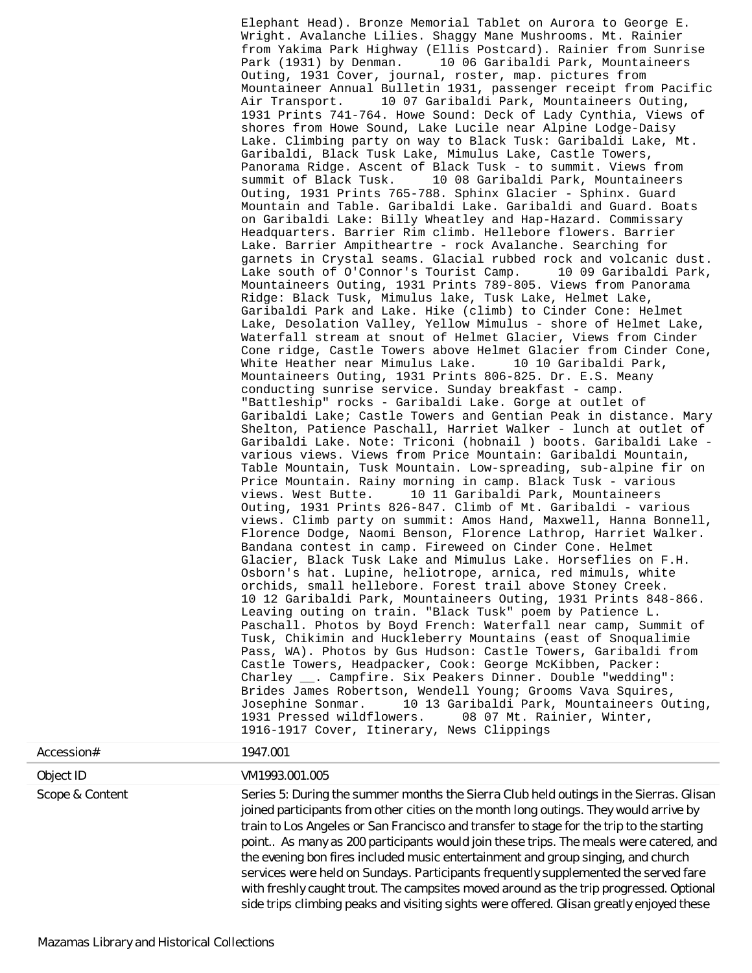Elephant Head). Bronze Memorial Tablet on Aurora to George E. Wright. Avalanche Lilies. Shaggy Mane Mushrooms. Mt. Rainier from Yakima Park Highway (Ellis Postcard). Rainier from Sunrise Park (1931) by Denman. 10 06 Garibaldi Park, Mountaineers Outing, 1931 Cover, journal, roster, map. pictures from Mountaineer Annual Bulletin 1931, passenger receipt from Pacific Air Transport. 10 07 Garibaldi Park, Mountaineers Outing, 1931 Prints 741-764. Howe Sound: Deck of Lady Cynthia, Views of shores from Howe Sound, Lake Lucile near Alpine Lodge-Daisy Lake. Climbing party on way to Black Tusk: Garibaldi Lake, Mt. Garibaldi, Black Tusk Lake, Mimulus Lake, Castle Towers, Panorama Ridge. Ascent of Black Tusk - to summit. Views from summit of Black Tusk. 10 08 Garibaldi Park, Mountaineers Outing, 1931 Prints 765-788. Sphinx Glacier - Sphinx. Guard Mountain and Table. Garibaldi Lake. Garibaldi and Guard. Boats on Garibaldi Lake: Billy Wheatley and Hap-Hazard. Commissary Headquarters. Barrier Rim climb. Hellebore flowers. Barrier Lake. Barrier Ampitheartre - rock Avalanche. Searching for garnets in Crystal seams. Glacial rubbed rock and volcanic dust. Lake south of O'Connor's Tourist Camp. 10 09 Garibaldi Park, Mountaineers Outing, 1931 Prints 789-805. Views from Panorama Ridge: Black Tusk, Mimulus lake, Tusk Lake, Helmet Lake, Garibaldi Park and Lake. Hike (climb) to Cinder Cone: Helmet Lake, Desolation Valley, Yellow Mimulus - shore of Helmet Lake, Waterfall stream at snout of Helmet Glacier, Views from Cinder Cone ridge, Castle Towers above Helmet Glacier from Cinder Cone, White Heather near Mimulus Lake. 10 10 Garibaldi Park, Mountaineers Outing, 1931 Prints 806-825. Dr. E.S. Meany conducting sunrise service. Sunday breakfast - camp. "Battleship" rocks - Garibaldi Lake. Gorge at outlet of Garibaldi Lake; Castle Towers and Gentian Peak in distance. Mary Shelton, Patience Paschall, Harriet Walker - lunch at outlet of Garibaldi Lake. Note: Triconi (hobnail ) boots. Garibaldi Lake various views. Views from Price Mountain: Garibaldi Mountain, Table Mountain, Tusk Mountain. Low-spreading, sub-alpine fir on Price Mountain. Rainy morning in camp. Black Tusk - various views. West Butte. 10 11 Garibaldi Park, Mountaineers Outing, 1931 Prints 826-847. Climb of Mt. Garibaldi - various views. Climb party on summit: Amos Hand, Maxwell, Hanna Bonnell, Florence Dodge, Naomi Benson, Florence Lathrop, Harriet Walker. Bandana contest in camp. Fireweed on Cinder Cone. Helmet Glacier, Black Tusk Lake and Mimulus Lake. Horseflies on F.H. Osborn's hat. Lupine, heliotrope, arnica, red mimuls, white orchids, small hellebore. Forest trail above Stoney Creek. 10 12 Garibaldi Park, Mountaineers Outing, 1931 Prints 848-866. Leaving outing on train. "Black Tusk" poem by Patience L. Paschall. Photos by Boyd French: Waterfall near camp, Summit of Tusk, Chikimin and Huckleberry Mountains (east of Snoqualimie Pass, WA). Photos by Gus Hudson: Castle Towers, Garibaldi from Castle Towers, Headpacker, Cook: George McKibben, Packer: Charley \_\_. Campfire. Six Peakers Dinner. Double "wedding": Brides James Robertson, Wendell Young; Grooms Vava Squires, Josephine Sonmar. 10 13 Garibaldi Park, Mountaineers Outing, 08 07 Mt. Rainier, Winter, 1916-1917 Cover, Itinerary, News Clippings

| Accession#      | 1947.001                                                                                                                                                                                                                                                                                                                                                                                                                                                                                                                                                                                                                                                                                                                              |
|-----------------|---------------------------------------------------------------------------------------------------------------------------------------------------------------------------------------------------------------------------------------------------------------------------------------------------------------------------------------------------------------------------------------------------------------------------------------------------------------------------------------------------------------------------------------------------------------------------------------------------------------------------------------------------------------------------------------------------------------------------------------|
| Object ID       | VM1993.001.005                                                                                                                                                                                                                                                                                                                                                                                                                                                                                                                                                                                                                                                                                                                        |
| Scope & Content | Series 5: During the summer months the Sierra Club held outings in the Sierras. Glisan<br>joined participants from other cities on the month long outings. They would arrive by<br>train to Los Angeles or San Francisco and transfer to stage for the trip to the starting<br>point As many as 200 participants would join these trips. The meals were catered, and<br>the evening bon fires included music entertainment and group singing, and church<br>services were held on Sundays. Participants frequently supplemented the served fare<br>with freshly caught trout. The campsites moved around as the trip progressed. Optional<br>side trips climbing peaks and visiting sights were offered. Glisan greatly enjoyed these |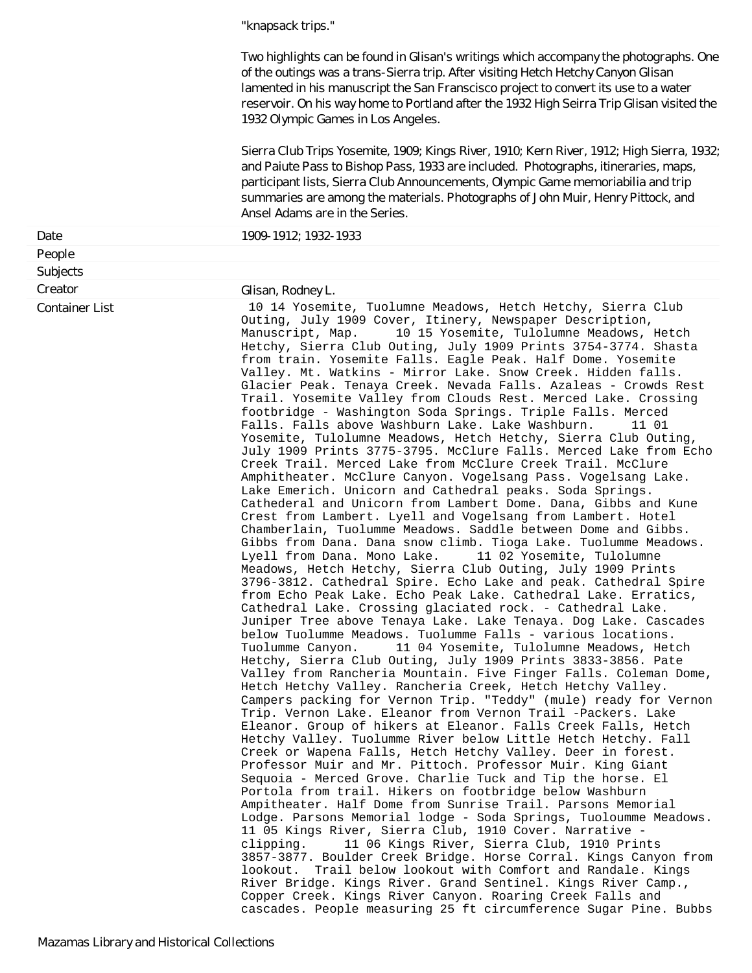"knapsack trips."

Two highlights can be found in Glisan's writings which accompany the photographs. One of the outings was a trans-Sierra trip. After visiting Hetch Hetchy Canyon Glisan lamented in his manuscript the San Franscisco project to convert its use to a water reservoir. On his way home to Portland after the 1932 High Seirra Trip Glisan visited the 1932 Olympic Games in Los Angeles.

Sierra Club Trips Yosemite, 1909; Kings River, 1910; Kern River, 1912; High Sierra, 1932; and Paiute Pass to Bishop Pass, 1933 are included. Photographs, itineraries, maps, participant lists, Sierra Club Announcements, Olympic Game memoriabilia and trip summaries are among the materials. Photographs of John Muir, Henry Pittock, and Ansel Adams are in the Series.

| Date                  | 1909-1912; 1932-1933                                                                                                                                                                                                                                                                                                                                                                                                                                                                                                                                                                                                                                                                                                                                                                                                                                                                                                                                                                                                                                                                                                                                                                                                                                                                                                                                                                                                                                                                                                                                                                                                                                                                                                                                                                                                                                                                                                                                                                                                                                                                                                                                                                                                                                                                                                                                                                                                                                                                                                                                                                                                                                                                                                                                                                                                                                                                                                                                                                                                                                                                                                        |
|-----------------------|-----------------------------------------------------------------------------------------------------------------------------------------------------------------------------------------------------------------------------------------------------------------------------------------------------------------------------------------------------------------------------------------------------------------------------------------------------------------------------------------------------------------------------------------------------------------------------------------------------------------------------------------------------------------------------------------------------------------------------------------------------------------------------------------------------------------------------------------------------------------------------------------------------------------------------------------------------------------------------------------------------------------------------------------------------------------------------------------------------------------------------------------------------------------------------------------------------------------------------------------------------------------------------------------------------------------------------------------------------------------------------------------------------------------------------------------------------------------------------------------------------------------------------------------------------------------------------------------------------------------------------------------------------------------------------------------------------------------------------------------------------------------------------------------------------------------------------------------------------------------------------------------------------------------------------------------------------------------------------------------------------------------------------------------------------------------------------------------------------------------------------------------------------------------------------------------------------------------------------------------------------------------------------------------------------------------------------------------------------------------------------------------------------------------------------------------------------------------------------------------------------------------------------------------------------------------------------------------------------------------------------------------------------------------------------------------------------------------------------------------------------------------------------------------------------------------------------------------------------------------------------------------------------------------------------------------------------------------------------------------------------------------------------------------------------------------------------------------------------------------------------|
| People                |                                                                                                                                                                                                                                                                                                                                                                                                                                                                                                                                                                                                                                                                                                                                                                                                                                                                                                                                                                                                                                                                                                                                                                                                                                                                                                                                                                                                                                                                                                                                                                                                                                                                                                                                                                                                                                                                                                                                                                                                                                                                                                                                                                                                                                                                                                                                                                                                                                                                                                                                                                                                                                                                                                                                                                                                                                                                                                                                                                                                                                                                                                                             |
| Subjects              |                                                                                                                                                                                                                                                                                                                                                                                                                                                                                                                                                                                                                                                                                                                                                                                                                                                                                                                                                                                                                                                                                                                                                                                                                                                                                                                                                                                                                                                                                                                                                                                                                                                                                                                                                                                                                                                                                                                                                                                                                                                                                                                                                                                                                                                                                                                                                                                                                                                                                                                                                                                                                                                                                                                                                                                                                                                                                                                                                                                                                                                                                                                             |
| Creator               | Glisan, Rodney L.                                                                                                                                                                                                                                                                                                                                                                                                                                                                                                                                                                                                                                                                                                                                                                                                                                                                                                                                                                                                                                                                                                                                                                                                                                                                                                                                                                                                                                                                                                                                                                                                                                                                                                                                                                                                                                                                                                                                                                                                                                                                                                                                                                                                                                                                                                                                                                                                                                                                                                                                                                                                                                                                                                                                                                                                                                                                                                                                                                                                                                                                                                           |
| <b>Container List</b> | 10 14 Yosemite, Tuolumne Meadows, Hetch Hetchy, Sierra Club<br>Outing, July 1909 Cover, Itinery, Newspaper Description,<br>Manuscript, Map.<br>10 15 Yosemite, Tulolumne Meadows, Hetch<br>Hetchy, Sierra Club Outing, July 1909 Prints 3754-3774. Shasta<br>from train. Yosemite Falls. Eagle Peak. Half Dome. Yosemite<br>Valley. Mt. Watkins - Mirror Lake. Snow Creek. Hidden falls.<br>Glacier Peak. Tenaya Creek. Nevada Falls. Azaleas - Crowds Rest<br>Trail. Yosemite Valley from Clouds Rest. Merced Lake. Crossing<br>footbridge - Washington Soda Springs. Triple Falls. Merced<br>Falls. Falls above Washburn Lake. Lake Washburn.<br>11 01<br>Yosemite, Tulolumne Meadows, Hetch Hetchy, Sierra Club Outing,<br>July 1909 Prints 3775-3795. McClure Falls. Merced Lake from Echo<br>Creek Trail. Merced Lake from McClure Creek Trail. McClure<br>Amphitheater. McClure Canyon. Vogelsang Pass. Vogelsang Lake.<br>Lake Emerich. Unicorn and Cathedral peaks. Soda Springs.<br>Cathederal and Unicorn from Lambert Dome. Dana, Gibbs and Kune<br>Crest from Lambert. Lyell and Vogelsang from Lambert. Hotel<br>Chamberlain, Tuolumme Meadows. Saddle between Dome and Gibbs.<br>Gibbs from Dana. Dana snow climb. Tioga Lake. Tuolumme Meadows.<br>Lyell from Dana. Mono Lake.<br>11 02 Yosemite, Tulolumne<br>Meadows, Hetch Hetchy, Sierra Club Outing, July 1909 Prints<br>3796-3812. Cathedral Spire. Echo Lake and peak. Cathedral Spire<br>from Echo Peak Lake. Echo Peak Lake. Cathedral Lake. Erratics,<br>Cathedral Lake. Crossing glaciated rock. - Cathedral Lake.<br>Juniper Tree above Tenaya Lake. Lake Tenaya. Dog Lake. Cascades<br>below Tuolumme Meadows. Tuolumme Falls - various locations.<br>11 04 Yosemite, Tulolumne Meadows, Hetch<br>Tuolumme Canyon.<br>Hetchy, Sierra Club Outing, July 1909 Prints 3833-3856. Pate<br>Valley from Rancheria Mountain. Five Finger Falls. Coleman Dome,<br>Hetch Hetchy Valley. Rancheria Creek, Hetch Hetchy Valley.<br>Campers packing for Vernon Trip. "Teddy" (mule) ready for Vernon<br>Trip. Vernon Lake. Eleanor from Vernon Trail -Packers. Lake<br>Eleanor. Group of hikers at Eleanor. Falls Creek Falls, Hetch<br>Hetchy Valley. Tuolumme River below Little Hetch Hetchy. Fall<br>Creek or Wapena Falls, Hetch Hetchy Valley. Deer in forest.<br>Professor Muir and Mr. Pittoch. Professor Muir. King Giant<br>Sequoia - Merced Grove. Charlie Tuck and Tip the horse. El<br>Portola from trail. Hikers on footbridge below Washburn<br>Ampitheater. Half Dome from Sunrise Trail. Parsons Memorial<br>Lodge. Parsons Memorial lodge - Soda Springs, Tuoloumme Meadows.<br>11 05 Kings River, Sierra Club, 1910 Cover. Narrative -<br>11 06 Kings River, Sierra Club, 1910 Prints<br>clipping.<br>3857-3877. Boulder Creek Bridge. Horse Corral. Kings Canyon from<br>lookout. Trail below lookout with Comfort and Randale. Kings<br>River Bridge. Kings River. Grand Sentinel. Kings River Camp.,<br>Copper Creek. Kings River Canyon. Roaring Creek Falls and<br>cascades. People measuring 25 ft circumference Sugar Pine. Bubbs |
|                       |                                                                                                                                                                                                                                                                                                                                                                                                                                                                                                                                                                                                                                                                                                                                                                                                                                                                                                                                                                                                                                                                                                                                                                                                                                                                                                                                                                                                                                                                                                                                                                                                                                                                                                                                                                                                                                                                                                                                                                                                                                                                                                                                                                                                                                                                                                                                                                                                                                                                                                                                                                                                                                                                                                                                                                                                                                                                                                                                                                                                                                                                                                                             |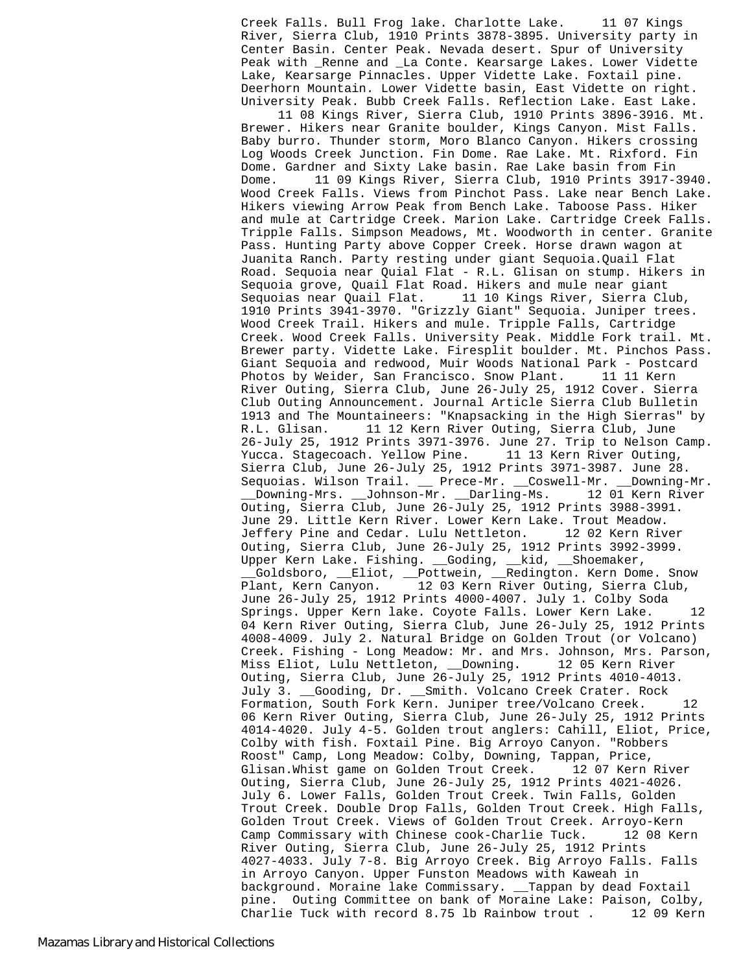Creek Falls. Bull Frog lake. Charlotte Lake. 11 07 Kings River, Sierra Club, 1910 Prints 3878-3895. University party in Center Basin. Center Peak. Nevada desert. Spur of University Peak with Renne and La Conte. Kearsarge Lakes. Lower Vidette Lake, Kearsarge Pinnacles. Upper Vidette Lake. Foxtail pine. Deerhorn Mountain. Lower Vidette basin, East Vidette on right. University Peak. Bubb Creek Falls. Reflection Lake. East Lake.

 11 08 Kings River, Sierra Club, 1910 Prints 3896-3916. Mt. Brewer. Hikers near Granite boulder, Kings Canyon. Mist Falls. Baby burro. Thunder storm, Moro Blanco Canyon. Hikers crossing Log Woods Creek Junction. Fin Dome. Rae Lake. Mt. Rixford. Fin Dome. Gardner and Sixty Lake basin. Rae Lake basin from Fin Dome. 11 09 Kings River, Sierra Club, 1910 Prints 3917-3940. Wood Creek Falls. Views from Pinchot Pass. Lake near Bench Lake. Hikers viewing Arrow Peak from Bench Lake. Taboose Pass. Hiker and mule at Cartridge Creek. Marion Lake. Cartridge Creek Falls. Tripple Falls. Simpson Meadows, Mt. Woodworth in center. Granite Pass. Hunting Party above Copper Creek. Horse drawn wagon at Juanita Ranch. Party resting under giant Sequoia.Quail Flat Road. Sequoia near Quial Flat - R.L. Glisan on stump. Hikers in Sequoia grove, Quail Flat Road. Hikers and mule near giant Sequoias near Quail Flat. 11 10 Kings River, Sierra Club, 1910 Prints 3941-3970. "Grizzly Giant" Sequoia. Juniper trees. Wood Creek Trail. Hikers and mule. Tripple Falls, Cartridge Creek. Wood Creek Falls. University Peak. Middle Fork trail. Mt. Brewer party. Vidette Lake. Firesplit boulder. Mt. Pinchos Pass. Giant Sequoia and redwood, Muir Woods National Park - Postcard Photos by Weider, San Francisco. Snow Plant. 11 11 Kern River Outing, Sierra Club, June 26-July 25, 1912 Cover. Sierra Club Outing Announcement. Journal Article Sierra Club Bulletin 1913 and The Mountaineers: "Knapsacking in the High Sierras" by R.L. Glisan. 11 12 Kern River Outing, Sierra Club, June 26-July 25, 1912 Prints 3971-3976. June 27. Trip to Nelson Camp. Yucca. Stagecoach. Yellow Pine. 11 13 Kern River Outing, Sierra Club, June 26-July 25, 1912 Prints 3971-3987. June 28. Sequoias. Wilson Trail. \_\_ Prece-Mr. \_\_Coswell-Mr. \_\_Downing-Mr. \_\_Downing-Mrs. \_\_Johnson-Mr. \_\_Darling-Ms. 12 01 Kern River Outing, Sierra Club, June 26-July 25, 1912 Prints 3988-3991. June 29. Little Kern River. Lower Kern Lake. Trout Meadow. Jeffery Pine and Cedar. Lulu Nettleton. 12 02 Kern River Outing, Sierra Club, June 26-July 25, 1912 Prints 3992-3999. Upper Kern Lake. Fishing. \_\_Goding, \_\_kid, \_\_Shoemaker, \_\_Goldsboro, \_\_Eliot, \_\_Pottwein, \_\_Redington. Kern Dome. Snow Plant, Kern Canyon. 12 03 Kern River Outing, Sierra Club, June 26-July 25, 1912 Prints 4000-4007. July 1. Colby Soda Springs. Upper Kern lake. Coyote Falls. Lower Kern Lake. 12 04 Kern River Outing, Sierra Club, June 26-July 25, 1912 Prints 4008-4009. July 2. Natural Bridge on Golden Trout (or Volcano) Creek. Fishing - Long Meadow: Mr. and Mrs. Johnson, Mrs. Parson, Miss Eliot, Lulu Nettleton, \_\_Downing. 12 05 Kern River Outing, Sierra Club, June 26-July 25, 1912 Prints 4010-4013. July 3. \_\_Gooding, Dr. \_\_Smith. Volcano Creek Crater. Rock Formation, South Fork Kern. Juniper tree/Volcano Creek. 12 06 Kern River Outing, Sierra Club, June 26-July 25, 1912 Prints 4014-4020. July 4-5. Golden trout anglers: Cahill, Eliot, Price, Colby with fish. Foxtail Pine. Big Arroyo Canyon. "Robbers Roost" Camp, Long Meadow: Colby, Downing, Tappan, Price, Glisan.Whist game on Golden Trout Creek. Outing, Sierra Club, June 26-July 25, 1912 Prints 4021-4026. July 6. Lower Falls, Golden Trout Creek. Twin Falls, Golden Trout Creek. Double Drop Falls, Golden Trout Creek. High Falls, Golden Trout Creek. Views of Golden Trout Creek. Arroyo-Kern<br>Camp Commissary with Chinese cook-Charlie Tuck. 12 08 Kern Camp Commissary with Chinese cook-Charlie Tuck. River Outing, Sierra Club, June 26-July 25, 1912 Prints 4027-4033. July 7-8. Big Arroyo Creek. Big Arroyo Falls. Falls in Arroyo Canyon. Upper Funston Meadows with Kaweah in background. Moraine lake Commissary. \_\_Tappan by dead Foxtail pine. Outing Committee on bank of Moraine Lake: Paison, Colby, Charlie Tuck with record 8.75 lb Rainbow trout . 12 09 Kern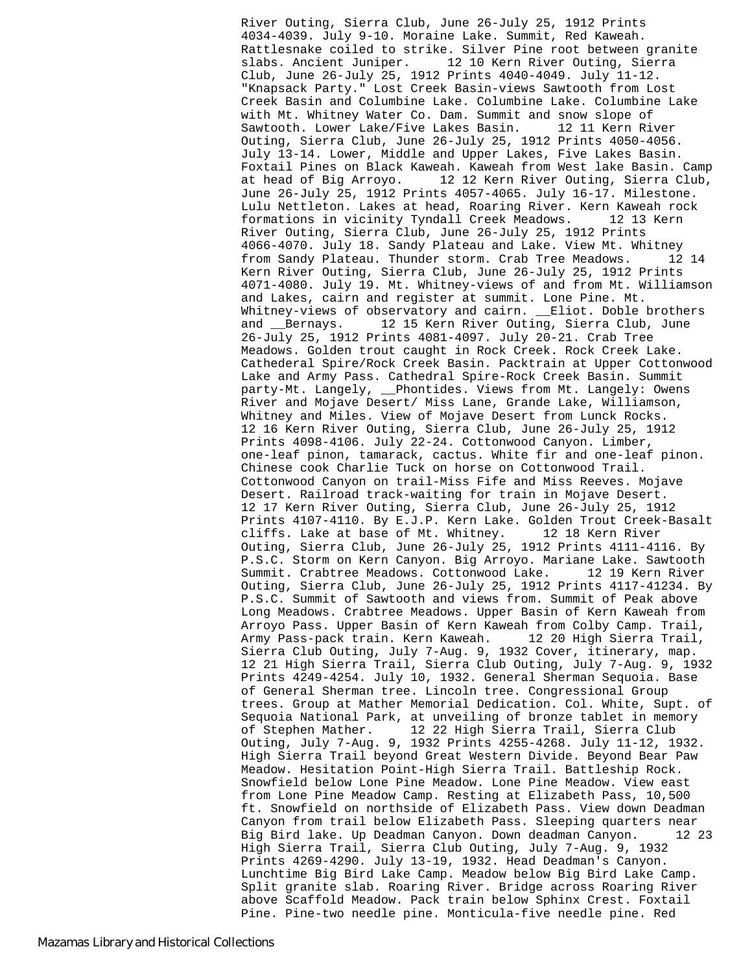River Outing, Sierra Club, June 26-July 25, 1912 Prints 4034-4039. July 9-10. Moraine Lake. Summit, Red Kaweah. Rattlesnake coiled to strike. Silver Pine root between granite slabs. Ancient Juniper. 12 10 Kern River Outing, Sierra Club, June 26-July 25, 1912 Prints 4040-4049. July 11-12. "Knapsack Party." Lost Creek Basin-views Sawtooth from Lost Creek Basin and Columbine Lake. Columbine Lake. Columbine Lake with Mt. Whitney Water Co. Dam. Summit and snow slope of Sawtooth. Lower Lake/Five Lakes Basin. 12 11 Kern River Outing, Sierra Club, June 26-July 25, 1912 Prints 4050-4056. July 13-14. Lower, Middle and Upper Lakes, Five Lakes Basin. Foxtail Pines on Black Kaweah. Kaweah from West lake Basin. Camp at head of Big Arroyo. 12 12 Kern River Outing, Sierra Club, June 26-July 25, 1912 Prints 4057-4065. July 16-17. Milestone. Lulu Nettleton. Lakes at head, Roaring River. Kern Kaweah rock formations in vicinity Tyndall Creek Meadows. 12 13 Kern River Outing, Sierra Club, June 26-July 25, 1912 Prints 4066-4070. July 18. Sandy Plateau and Lake. View Mt. Whitney from Sandy Plateau. Thunder storm. Crab Tree Meadows. 12 14 Kern River Outing, Sierra Club, June 26-July 25, 1912 Prints 4071-4080. July 19. Mt. Whitney-views of and from Mt. Williamson and Lakes, cairn and register at summit. Lone Pine. Mt. Whitney-views of observatory and cairn. \_\_Eliot. Doble brothers and \_\_Bernays. 12 15 Kern River Outing, Sierra Club, June 26-July 25, 1912 Prints 4081-4097. July 20-21. Crab Tree Meadows. Golden trout caught in Rock Creek. Rock Creek Lake. Cathederal Spire/Rock Creek Basin. Packtrain at Upper Cottonwood Lake and Army Pass. Cathedral Spire-Rock Creek Basin. Summit party-Mt. Langely, \_\_Phontides. Views from Mt. Langely: Owens River and Mojave Desert/ Miss Lane, Grande Lake, Williamson, Whitney and Miles. View of Mojave Desert from Lunck Rocks. 12 16 Kern River Outing, Sierra Club, June 26-July 25, 1912 Prints 4098-4106. July 22-24. Cottonwood Canyon. Limber, one-leaf pinon, tamarack, cactus. White fir and one-leaf pinon. Chinese cook Charlie Tuck on horse on Cottonwood Trail. Cottonwood Canyon on trail-Miss Fife and Miss Reeves. Mojave Desert. Railroad track-waiting for train in Mojave Desert. 12 17 Kern River Outing, Sierra Club, June 26-July 25, 1912 Prints 4107-4110. By E.J.P. Kern Lake. Golden Trout Creek-Basalt cliffs. Lake at base of Mt. Whitney. 12 18 Kern River Outing, Sierra Club, June 26-July 25, 1912 Prints 4111-4116. By P.S.C. Storm on Kern Canyon. Big Arroyo. Mariane Lake. Sawtooth Summit. Crabtree Meadows. Cottonwood Lake. 12 19 Kern River Outing, Sierra Club, June 26-July 25, 1912 Prints 4117-41234. By P.S.C. Summit of Sawtooth and views from. Summit of Peak above Long Meadows. Crabtree Meadows. Upper Basin of Kern Kaweah from Arroyo Pass. Upper Basin of Kern Kaweah from Colby Camp. Trail, Army Pass-pack train. Kern Kaweah. 12 20 High Sierra Trail, Sierra Club Outing, July 7-Aug. 9, 1932 Cover, itinerary, map. 12 21 High Sierra Trail, Sierra Club Outing, July 7-Aug. 9, 1932 Prints 4249-4254. July 10, 1932. General Sherman Sequoia. Base of General Sherman tree. Lincoln tree. Congressional Group trees. Group at Mather Memorial Dedication. Col. White, Supt. of Sequoia National Park, at unveiling of bronze tablet in memory of Stephen Mather. 12 22 High Sierra Trail, Sierra Club Outing, July 7-Aug. 9, 1932 Prints 4255-4268. July 11-12, 1932. High Sierra Trail beyond Great Western Divide. Beyond Bear Paw Meadow. Hesitation Point-High Sierra Trail. Battleship Rock. Snowfield below Lone Pine Meadow. Lone Pine Meadow. View east from Lone Pine Meadow Camp. Resting at Elizabeth Pass, 10,500 ft. Snowfield on northside of Elizabeth Pass. View down Deadman Canyon from trail below Elizabeth Pass. Sleeping quarters near Big Bird lake. Up Deadman Canyon. Down deadman Canyon. 12 23 High Sierra Trail, Sierra Club Outing, July 7-Aug. 9, 1932 Prints 4269-4290. July 13-19, 1932. Head Deadman's Canyon. Lunchtime Big Bird Lake Camp. Meadow below Big Bird Lake Camp. Split granite slab. Roaring River. Bridge across Roaring River above Scaffold Meadow. Pack train below Sphinx Crest. Foxtail Pine. Pine-two needle pine. Monticula-five needle pine. Red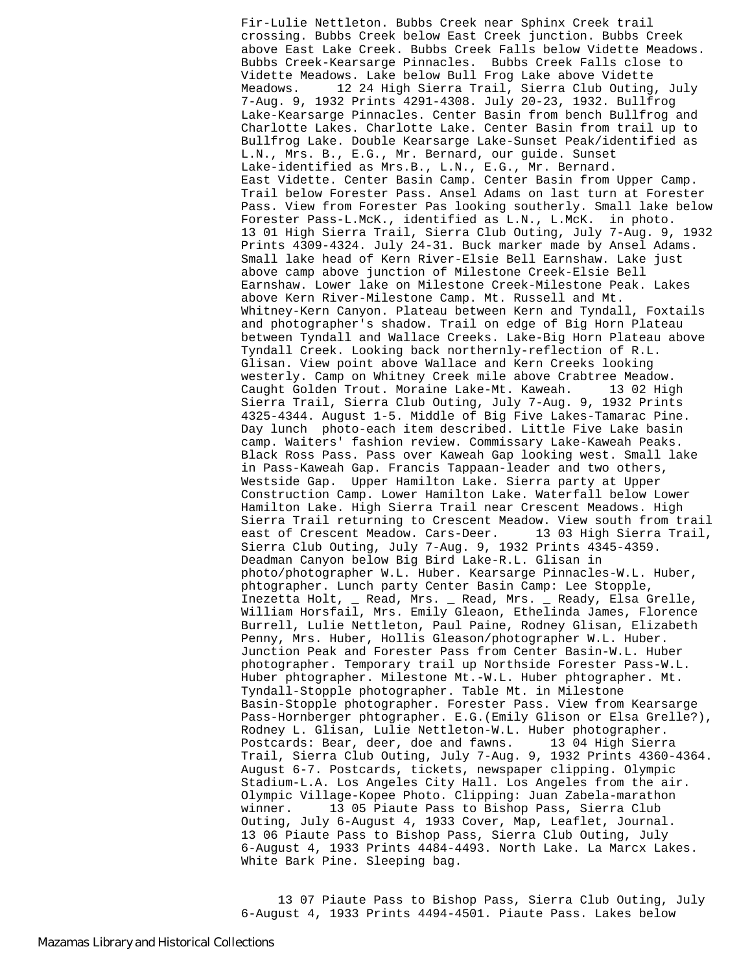Fir-Lulie Nettleton. Bubbs Creek near Sphinx Creek trail crossing. Bubbs Creek below East Creek junction. Bubbs Creek above East Lake Creek. Bubbs Creek Falls below Vidette Meadows. Bubbs Creek-Kearsarge Pinnacles. Bubbs Creek Falls close to Vidette Meadows. Lake below Bull Frog Lake above Vidette Meadows. 12 24 High Sierra Trail, Sierra Club Outing, July 7-Aug. 9, 1932 Prints 4291-4308. July 20-23, 1932. Bullfrog Lake-Kearsarge Pinnacles. Center Basin from bench Bullfrog and Charlotte Lakes. Charlotte Lake. Center Basin from trail up to Bullfrog Lake. Double Kearsarge Lake-Sunset Peak/identified as L.N., Mrs. B., E.G., Mr. Bernard, our guide. Sunset Lake-identified as Mrs.B., L.N., E.G., Mr. Bernard. East Vidette. Center Basin Camp. Center Basin from Upper Camp. Trail below Forester Pass. Ansel Adams on last turn at Forester Pass. View from Forester Pas looking southerly. Small lake below Forester Pass-L.McK., identified as L.N., L.McK. in photo. 13 01 High Sierra Trail, Sierra Club Outing, July 7-Aug. 9, 1932 Prints 4309-4324. July 24-31. Buck marker made by Ansel Adams. Small lake head of Kern River-Elsie Bell Earnshaw. Lake just above camp above junction of Milestone Creek-Elsie Bell Earnshaw. Lower lake on Milestone Creek-Milestone Peak. Lakes above Kern River-Milestone Camp. Mt. Russell and Mt. Whitney-Kern Canyon. Plateau between Kern and Tyndall, Foxtails and photographer's shadow. Trail on edge of Big Horn Plateau between Tyndall and Wallace Creeks. Lake-Big Horn Plateau above Tyndall Creek. Looking back northernly-reflection of R.L. Glisan. View point above Wallace and Kern Creeks looking westerly. Camp on Whitney Creek mile above Crabtree Meadow. Caught Golden Trout. Moraine Lake-Mt. Kaweah. 13 02 High Sierra Trail, Sierra Club Outing, July 7-Aug. 9, 1932 Prints 4325-4344. August 1-5. Middle of Big Five Lakes-Tamarac Pine. Day lunch photo-each item described. Little Five Lake basin camp. Waiters' fashion review. Commissary Lake-Kaweah Peaks. Black Ross Pass. Pass over Kaweah Gap looking west. Small lake in Pass-Kaweah Gap. Francis Tappaan-leader and two others, Westside Gap. Upper Hamilton Lake. Sierra party at Upper Construction Camp. Lower Hamilton Lake. Waterfall below Lower Hamilton Lake. High Sierra Trail near Crescent Meadows. High Sierra Trail returning to Crescent Meadow. View south from trail<br>east of Crescent Meadow. Cars-Deer. 13 03 High Sierra Trail, east of Crescent Meadow. Cars-Deer. Sierra Club Outing, July 7-Aug. 9, 1932 Prints 4345-4359. Deadman Canyon below Big Bird Lake-R.L. Glisan in photo/photographer W.L. Huber. Kearsarge Pinnacles-W.L. Huber, phtographer. Lunch party Center Basin Camp: Lee Stopple, Inezetta Holt, \_ Read, Mrs. \_ Read, Mrs. \_ Ready, Elsa Grelle, William Horsfail, Mrs. Emily Gleaon, Ethelinda James, Florence Burrell, Lulie Nettleton, Paul Paine, Rodney Glisan, Elizabeth Penny, Mrs. Huber, Hollis Gleason/photographer W.L. Huber. Junction Peak and Forester Pass from Center Basin-W.L. Huber photographer. Temporary trail up Northside Forester Pass-W.L. Huber phtographer. Milestone Mt.-W.L. Huber phtographer. Mt. Tyndall-Stopple photographer. Table Mt. in Milestone Basin-Stopple photographer. Forester Pass. View from Kearsarge Pass-Hornberger phtographer. E.G.(Emily Glison or Elsa Grelle?), Rodney L. Glisan, Lulie Nettleton-W.L. Huber photographer. Postcards: Bear, deer, doe and fawns. 13 04 High Sierra Trail, Sierra Club Outing, July 7-Aug. 9, 1932 Prints 4360-4364. August 6-7. Postcards, tickets, newspaper clipping. Olympic Stadium-L.A. Los Angeles City Hall. Los Angeles from the air. Olympic Village-Kopee Photo. Clipping: Juan Zabela-marathon winner. 13 05 Piaute Pass to Bishop Pass, Sierra Club Outing, July 6-August 4, 1933 Cover, Map, Leaflet, Journal. 13 06 Piaute Pass to Bishop Pass, Sierra Club Outing, July 6-August 4, 1933 Prints 4484-4493. North Lake. La Marcx Lakes. White Bark Pine. Sleeping bag.

 13 07 Piaute Pass to Bishop Pass, Sierra Club Outing, July 6-August 4, 1933 Prints 4494-4501. Piaute Pass. Lakes below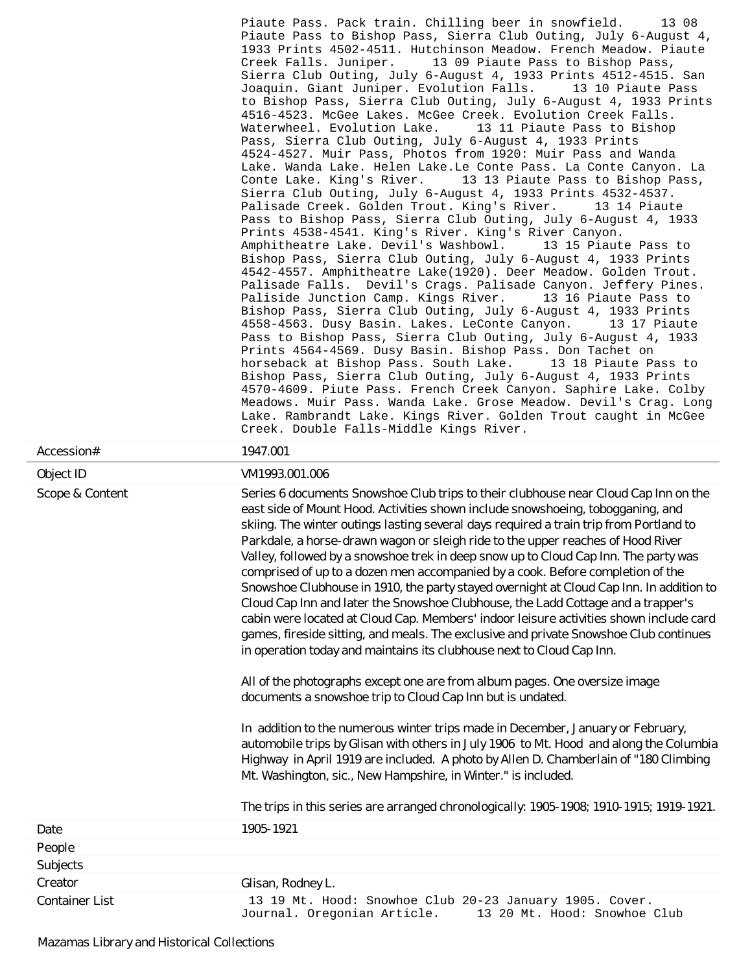| Accession#         | Piaute Pass. Pack train. Chilling beer in snowfield.<br>13 08<br>Piaute Pass to Bishop Pass, Sierra Club Outing, July 6-August 4,<br>1933 Prints 4502-4511. Hutchinson Meadow. French Meadow. Piaute<br>Creek Falls. Juniper.<br>13 09 Piaute Pass to Bishop Pass,<br>Sierra Club Outing, July 6-August 4, 1933 Prints 4512-4515. San<br>Joaquin. Giant Juniper. Evolution Falls.<br>13 10 Piaute Pass<br>to Bishop Pass, Sierra Club Outing, July 6-August 4, 1933 Prints<br>4516-4523. McGee Lakes. McGee Creek. Evolution Creek Falls.<br>Waterwheel. Evolution Lake.<br>13 11 Piaute Pass to Bishop<br>Pass, Sierra Club Outing, July 6-August 4, 1933 Prints<br>4524-4527. Muir Pass, Photos from 1920: Muir Pass and Wanda<br>Lake. Wanda Lake. Helen Lake.Le Conte Pass. La Conte Canyon. La<br>Conte Lake. King's River. 13 13 Piaute Pass to Bishop Pass,<br>Sierra Club Outing, July 6-August 4, 1933 Prints 4532-4537.<br>Palisade Creek. Golden Trout. King's River.<br>13 14 Piaute<br>Pass to Bishop Pass, Sierra Club Outing, July 6-August 4, 1933<br>Prints 4538-4541. King's River. King's River Canyon.<br>Amphitheatre Lake. Devil's Washbowl.<br>13 15 Piaute Pass to<br>Bishop Pass, Sierra Club Outing, July 6-August 4, 1933 Prints<br>4542-4557. Amphitheatre Lake(1920). Deer Meadow. Golden Trout.<br>Palisade Falls. Devil's Crags. Palisade Canyon. Jeffery Pines.<br>Paliside Junction Camp. Kings River.<br>13 16 Piaute Pass to<br>Bishop Pass, Sierra Club Outing, July 6-August 4, 1933 Prints<br>4558-4563. Dusy Basin. Lakes. LeConte Canyon.<br>13 17 Piaute<br>Pass to Bishop Pass, Sierra Club Outing, July 6-August 4, 1933<br>Prints 4564-4569. Dusy Basin. Bishop Pass. Don Tachet on<br>horseback at Bishop Pass. South Lake.<br>13 18 Piaute Pass to<br>Bishop Pass, Sierra Club Outing, July 6-August 4, 1933 Prints<br>4570-4609. Piute Pass. French Creek Canyon. Saphire Lake. Colby<br>Meadows. Muir Pass. Wanda Lake. Grose Meadow. Devil's Crag. Long<br>Lake. Rambrandt Lake. Kings River. Golden Trout caught in McGee<br>Creek. Double Falls-Middle Kings River.<br>1947.001 |
|--------------------|------------------------------------------------------------------------------------------------------------------------------------------------------------------------------------------------------------------------------------------------------------------------------------------------------------------------------------------------------------------------------------------------------------------------------------------------------------------------------------------------------------------------------------------------------------------------------------------------------------------------------------------------------------------------------------------------------------------------------------------------------------------------------------------------------------------------------------------------------------------------------------------------------------------------------------------------------------------------------------------------------------------------------------------------------------------------------------------------------------------------------------------------------------------------------------------------------------------------------------------------------------------------------------------------------------------------------------------------------------------------------------------------------------------------------------------------------------------------------------------------------------------------------------------------------------------------------------------------------------------------------------------------------------------------------------------------------------------------------------------------------------------------------------------------------------------------------------------------------------------------------------------------------------------------------------------------------------------------------------------------------------------------------------------------------------------------------------------------------------------------------------|
| Object ID          | VM1993.001.006                                                                                                                                                                                                                                                                                                                                                                                                                                                                                                                                                                                                                                                                                                                                                                                                                                                                                                                                                                                                                                                                                                                                                                                                                                                                                                                                                                                                                                                                                                                                                                                                                                                                                                                                                                                                                                                                                                                                                                                                                                                                                                                     |
| Scope & Content    | Series 6 documents Snowshoe Club trips to their clubhouse near Cloud Cap Inn on the<br>east side of Mount Hood. Activities shown include snowshoeing, tobogganing, and<br>skiing. The winter outings lasting several days required a train trip from Portland to<br>Parkdale, a horse-drawn wagon or sleigh ride to the upper reaches of Hood River<br>Valley, followed by a snowshoe trek in deep snow up to Cloud Cap Inn. The party was<br>comprised of up to a dozen men accompanied by a cook. Before completion of the<br>Snowshoe Clubhouse in 1910, the party stayed overnight at Cloud Cap Inn. In addition to<br>Cloud Cap Inn and later the Snowshoe Clubhouse, the Ladd Cottage and a trapper's<br>cabin were located at Cloud Cap. Members' indoor leisure activities shown include card<br>games, fireside sitting, and meals. The exclusive and private Snowshoe Club continues<br>in operation today and maintains its clubhouse next to Cloud Cap Inn.<br>All of the photographs except one are from album pages. One oversize image<br>documents a snowshoe trip to Cloud Cap Inn but is undated.<br>In addition to the numerous winter trips made in December, January or February,<br>automobile trips by Glisan with others in July 1906 to Mt. Hood and along the Columbia<br>Highway in April 1919 are included. A photo by Allen D. Chamberlain of "180 Climbing<br>Mt. Washington, sic., New Hampshire, in Winter." is included.<br>The trips in this series are arranged chronologically: 1905-1908; 1910-1915; 1919-1921.                                                                                                                                                                                                                                                                                                                                                                                                                                                                                                                                                                               |
| Date               | 1905-1921                                                                                                                                                                                                                                                                                                                                                                                                                                                                                                                                                                                                                                                                                                                                                                                                                                                                                                                                                                                                                                                                                                                                                                                                                                                                                                                                                                                                                                                                                                                                                                                                                                                                                                                                                                                                                                                                                                                                                                                                                                                                                                                          |
| People<br>Subjects |                                                                                                                                                                                                                                                                                                                                                                                                                                                                                                                                                                                                                                                                                                                                                                                                                                                                                                                                                                                                                                                                                                                                                                                                                                                                                                                                                                                                                                                                                                                                                                                                                                                                                                                                                                                                                                                                                                                                                                                                                                                                                                                                    |
| Creator            | Glisan, Rodney L.                                                                                                                                                                                                                                                                                                                                                                                                                                                                                                                                                                                                                                                                                                                                                                                                                                                                                                                                                                                                                                                                                                                                                                                                                                                                                                                                                                                                                                                                                                                                                                                                                                                                                                                                                                                                                                                                                                                                                                                                                                                                                                                  |

Container List 13 13 19 Mt. Hood: Snowhoe Club 20-23 January 1905. Cover.

Journal. Oregonian Article. 13 20 Mt. Hood: Snowhoe Club

Mazamas Library and Historical Collections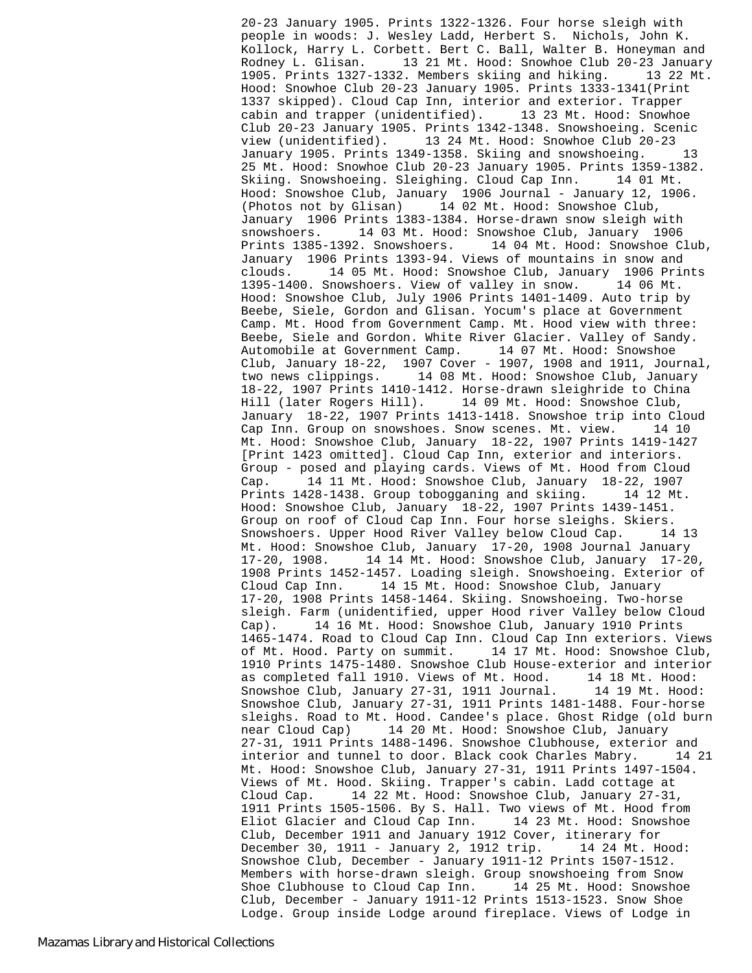20-23 January 1905. Prints 1322-1326. Four horse sleigh with people in woods: J. Wesley Ladd, Herbert S. Nichols, John K. Kollock, Harry L. Corbett. Bert C. Ball, Walter B. Honeyman and Rodney L. Glisan. 13 21 Mt. Hood: Snowhoe Club 20-23 January 1905. Prints 1327-1332. Members skiing and hiking. 13 22 Mt. Hood: Snowhoe Club 20-23 January 1905. Prints 1333-1341(Print 1337 skipped). Cloud Cap Inn, interior and exterior. Trapper cabin and trapper (unidentified). 13 23 Mt. Hood: Snowhoe Club 20-23 January 1905. Prints 1342-1348. Snowshoeing. Scenic view (unidentified). 13 24 Mt. Hood: Snowhoe Club 20-23 January 1905. Prints 1349-1358. Skiing and snowshoeing. 13 25 Mt. Hood: Snowhoe Club 20-23 January 1905. Prints 1359-1382. Skiing. Snowshoeing. Sleighing. Cloud Cap Inn. 14 01 Mt. Hood: Snowshoe Club, January 1906 Journal - January 12, 1906. (Photos not by Glisan) 14 02 Mt. Hood: Snowshoe Club, January 1906 Prints 1383-1384. Horse-drawn snow sleigh with snowshoers. 14 03 Mt. Hood: Snowshoe Club, January 1906 Prints 1385-1392. Snowshoers. 14 04 Mt. Hood: Snowshoe Club, January 1906 Prints 1393-94. Views of mountains in snow and clouds. 14 05 Mt. Hood: Snowshoe Club, January 1906 Prints 1395-1400. Snowshoers. View of valley in snow. 14 06 Mt. Hood: Snowshoe Club, July 1906 Prints 1401-1409. Auto trip by Beebe, Siele, Gordon and Glisan. Yocum's place at Government Camp. Mt. Hood from Government Camp. Mt. Hood view with three: Beebe, Siele and Gordon. White River Glacier. Valley of Sandy. Automobile at Government Camp. 14 07 Mt. Hood: Snowshoe Club, January 18-22, 1907 Cover - 1907, 1908 and 1911, Journal, two news clippings. 14 08 Mt. Hood: Snowshoe Club, January 18-22, 1907 Prints 1410-1412. Horse-drawn sleighride to China Hill (later Rogers Hill). 14 09 Mt. Hood: Snowshoe Club, January 18-22, 1907 Prints 1413-1418. Snowshoe trip into Cloud Cap Inn. Group on snowshoes. Snow scenes. Mt. view. 14 10 Mt. Hood: Snowshoe Club, January 18-22, 1907 Prints 1419-1427 [Print 1423 omitted]. Cloud Cap Inn, exterior and interiors. Group - posed and playing cards. Views of Mt. Hood from Cloud Cap. 14 11 Mt. Hood: Snowshoe Club, January 18-22, 1907 Prints 1428-1438. Group tobogganing and skiing. 14 12 Mt. Hood: Snowshoe Club, January 18-22, 1907 Prints 1439-1451. Group on roof of Cloud Cap Inn. Four horse sleighs. Skiers. Snowshoers. Upper Hood River Valley below Cloud Cap. 14 13 Mt. Hood: Snowshoe Club, January 17-20, 1908 Journal January 17-20, 1908. 14 14 Mt. Hood: Snowshoe Club, January 17-20, 1908 Prints 1452-1457. Loading sleigh. Snowshoeing. Exterior of Cloud Cap Inn. 14 15 Mt. Hood: Snowshoe Club, January 17-20, 1908 Prints 1458-1464. Skiing. Snowshoeing. Two-horse sleigh. Farm (unidentified, upper Hood river Valley below Cloud Cap). 14 16 Mt. Hood: Snowshoe Club, January 1910 Prints 1465-1474. Road to Cloud Cap Inn. Cloud Cap Inn exteriors. Views of Mt. Hood. Party on summit. 14 17 Mt. Hood: Snowshoe Club, 1910 Prints 1475-1480. Snowshoe Club House-exterior and interior as completed fall 1910. Views of Mt. Hood. 14 18 Mt. Hood: Snowshoe Club, January 27-31, 1911 Journal. 14 19 Mt. Hood: Snowshoe Club, January 27-31, 1911 Prints 1481-1488. Four-horse sleighs. Road to Mt. Hood. Candee's place. Ghost Ridge (old burn near Cloud Cap) 14 20 Mt. Hood: Snowshoe Club, January 27-31, 1911 Prints 1488-1496. Snowshoe Clubhouse, exterior and interior and tunnel to door. Black cook Charles Mabry. 14 21 Mt. Hood: Snowshoe Club, January 27-31, 1911 Prints 1497-1504. Views of Mt. Hood. Skiing. Trapper's cabin. Ladd cottage at Cloud Cap. 14 22 Mt. Hood: Snowshoe Club, January 27-31, 1911 Prints 1505-1506. By S. Hall. Two views of Mt. Hood from Eliot Glacier and Cloud Cap Inn. 14 23 Mt. Hood: Snowshoe Club, December 1911 and January 1912 Cover, itinerary for December 30, 1911 - January 2, 1912 trip. 14 24 Mt. Hood: Snowshoe Club, December - January 1911-12 Prints 1507-1512. Members with horse-drawn sleigh. Group snowshoeing from Snow Shoe Clubhouse to Cloud Cap Inn. 14 25 Mt. Hood: Snowshoe Club, December - January 1911-12 Prints 1513-1523. Snow Shoe Lodge. Group inside Lodge around fireplace. Views of Lodge in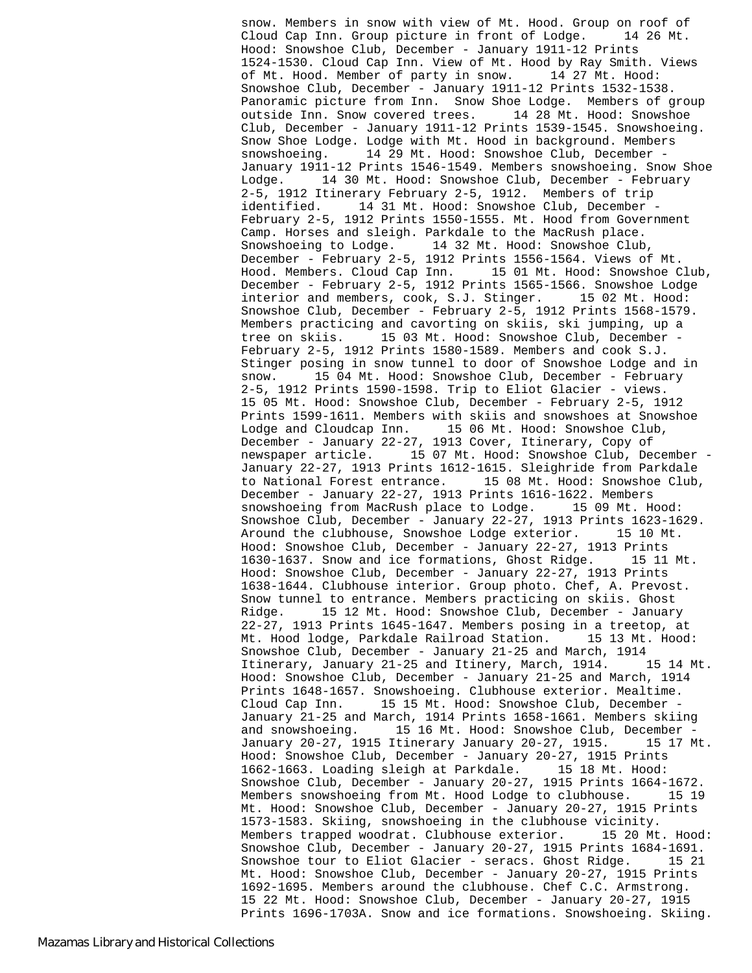snow. Members in snow with view of Mt. Hood. Group on roof of Cloud Cap Inn. Group picture in front of Lodge. 14 26 Mt. Hood: Snowshoe Club, December - January 1911-12 Prints 1524-1530. Cloud Cap Inn. View of Mt. Hood by Ray Smith. Views of Mt. Hood. Member of party in snow. 14 27 Mt. Hood: Snowshoe Club, December - January 1911-12 Prints 1532-1538. Panoramic picture from Inn. Snow Shoe Lodge. Members of group outside Inn. Snow covered trees. 14 28 Mt. Hood: Snowshoe Club, December - January 1911-12 Prints 1539-1545. Snowshoeing. Snow Shoe Lodge. Lodge with Mt. Hood in background. Members snowshoeing. 14 29 Mt. Hood: Snowshoe Club, December -January 1911-12 Prints 1546-1549. Members snowshoeing. Snow Shoe Lodge. 14 30 Mt. Hood: Snowshoe Club, December - February 2-5, 1912 Itinerary February 2-5, 1912. Members of trip identified. 14 31 Mt. Hood: Snowshoe Club, December -February 2-5, 1912 Prints 1550-1555. Mt. Hood from Government Camp. Horses and sleigh. Parkdale to the MacRush place. Snowshoeing to Lodge. 14 32 Mt. Hood: Snowshoe Club, December - February 2-5, 1912 Prints 1556-1564. Views of Mt. Hood. Members. Cloud Cap Inn. 15 01 Mt. Hood: Snowshoe Club, December - February 2-5, 1912 Prints 1565-1566. Snowshoe Lodge interior and members, cook, S.J. Stinger. 15 02 Mt. Hood: Snowshoe Club, December - February 2-5, 1912 Prints 1568-1579. Members practicing and cavorting on skiis, ski jumping, up a tree on skiis. 15 03 Mt. Hood: Snowshoe Club, December - February 2-5, 1912 Prints 1580-1589. Members and cook S.J. Stinger posing in snow tunnel to door of Snowshoe Lodge and in snow. 15 04 Mt. Hood: Snowshoe Club, December - February 2-5, 1912 Prints 1590-1598. Trip to Eliot Glacier - views. 15 05 Mt. Hood: Snowshoe Club, December - February 2-5, 1912 Prints 1599-1611. Members with skiis and snowshoes at Snowshoe Lodge and Cloudcap Inn. 15 06 Mt. Hood: Snowshoe Club, December - January 22-27, 1913 Cover, Itinerary, Copy of newspaper article. 15 07 Mt. Hood: Snowshoe Club, December - January 22-27, 1913 Prints 1612-1615. Sleighride from Parkdale to National Forest entrance. 15 08 Mt. Hood: Snowshoe Club, December - January 22-27, 1913 Prints 1616-1622. Members snowshoeing from MacRush place to Lodge. 15 09 Mt. Hood: Snowshoe Club, December - January 22-27, 1913 Prints 1623-1629. Around the clubhouse, Snowshoe Lodge exterior. 15 10 Mt. Hood: Snowshoe Club, December - January 22-27, 1913 Prints 1630-1637. Snow and ice formations, Ghost Ridge. 15 11 Mt. Hood: Snowshoe Club, December - January 22-27, 1913 Prints 1638-1644. Clubhouse interior. Group photo. Chef, A. Prevost. Snow tunnel to entrance. Members practicing on skiis. Ghost Ridge. 15 12 Mt. Hood: Snowshoe Club, December - January 22-27, 1913 Prints 1645-1647. Members posing in a treetop, at Mt. Hood lodge, Parkdale Railroad Station. 15 13 Mt. Hood: Snowshoe Club, December - January 21-25 and March, 1914 Itinerary, January 21-25 and Itinery, March, 1914. 15 14 Mt. Hood: Snowshoe Club, December - January 21-25 and March, 1914 Prints 1648-1657. Snowshoeing. Clubhouse exterior. Mealtime. Cloud Cap Inn. 15 15 Mt. Hood: Snowshoe Club, December - January 21-25 and March, 1914 Prints 1658-1661. Members skiing and snowshoeing. 15 16 Mt. Hood: Snowshoe Club, December -<br>January 20-27, 1915 Itinerary January 20-27, 1915. 15 17 Mt. January 20-27, 1915 Itinerary January 20-27, 1915. Hood: Snowshoe Club, December - January 20-27, 1915 Prints 1662-1663. Loading sleigh at Parkdale. Snowshoe Club, December - January 20-27, 1915 Prints 1664-1672. Members snowshoeing from Mt. Hood Lodge to clubhouse. 15 19 Mt. Hood: Snowshoe Club, December - January 20-27, 1915 Prints 1573-1583. Skiing, snowshoeing in the clubhouse vicinity. Members trapped woodrat. Clubhouse exterior. 15 20 Mt. Hood: Snowshoe Club, December - January 20-27, 1915 Prints 1684-1691. Snowshoe tour to Eliot Glacier - seracs. Ghost Ridge. 15 21 Mt. Hood: Snowshoe Club, December - January 20-27, 1915 Prints 1692-1695. Members around the clubhouse. Chef C.C. Armstrong. 15 22 Mt. Hood: Snowshoe Club, December - January 20-27, 1915 Prints 1696-1703A. Snow and ice formations. Snowshoeing. Skiing.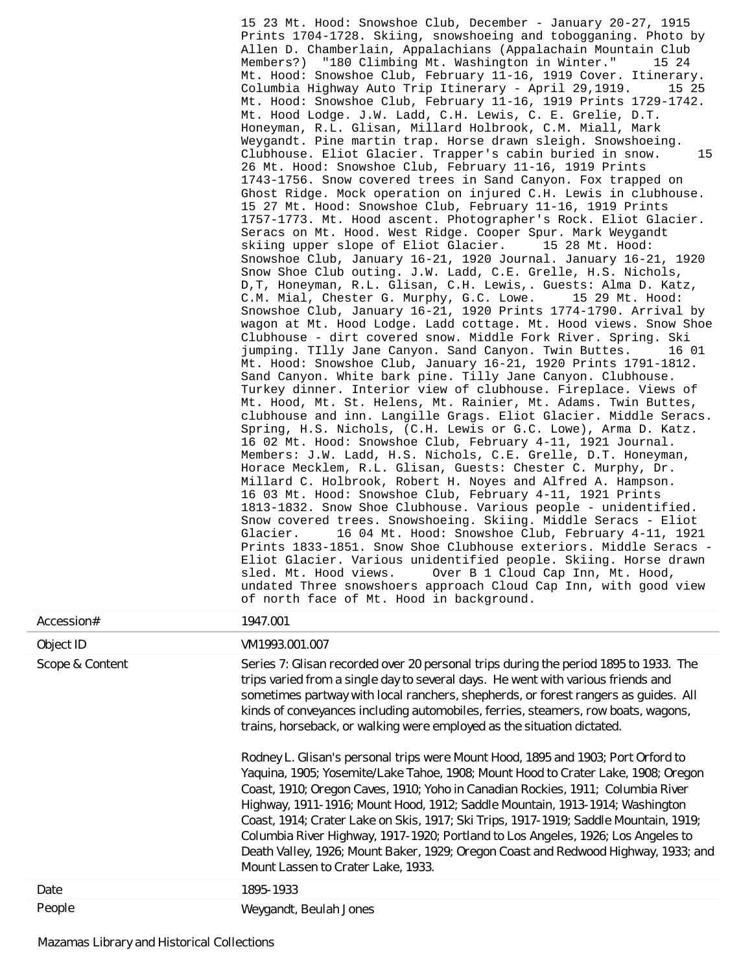15 23 Mt. Hood: Snowshoe Club, December - January 20-27, 1915 Prints 1704-1728. Skiing, snowshoeing and tobogganing. Photo by Allen D. Chamberlain, Appalachians (Appalachain Mountain Club Members?) "180 Climbing Mt. Washington in Winter." 15 24 Mt. Hood: Snowshoe Club, February 11-16, 1919 Cover. Itinerary. Columbia Highway Auto Trip Itinerary - April 29,1919. 15 25 Mt. Hood: Snowshoe Club, February 11-16, 1919 Prints 1729-1742. Mt. Hood Lodge. J.W. Ladd, C.H. Lewis, C. E. Grelie, D.T. Honeyman, R.L. Glisan, Millard Holbrook, C.M. Miall, Mark Weygandt. Pine martin trap. Horse drawn sleigh. Snowshoeing. Clubhouse. Eliot Glacier. Trapper's cabin buried in snow. 15 26 Mt. Hood: Snowshoe Club, February 11-16, 1919 Prints 1743-1756. Snow covered trees in Sand Canyon. Fox trapped on Ghost Ridge. Mock operation on injured C.H. Lewis in clubhouse. 15 27 Mt. Hood: Snowshoe Club, February 11-16, 1919 Prints 1757-1773. Mt. Hood ascent. Photographer's Rock. Eliot Glacier. Seracs on Mt. Hood. West Ridge. Cooper Spur. Mark Weygandt skiing upper slope of Eliot Glacier. 15 28 Mt. Hood: Snowshoe Club, January 16-21, 1920 Journal. January 16-21, 1920 Snow Shoe Club outing. J.W. Ladd, C.E. Grelle, H.S. Nichols, D,T, Honeyman, R.L. Glisan, C.H. Lewis,. Guests: Alma D. Katz, C.M. Mial, Chester G. Murphy, G.C. Lowe. 15 29 Mt. Hood: Snowshoe Club, January 16-21, 1920 Prints 1774-1790. Arrival by wagon at Mt. Hood Lodge. Ladd cottage. Mt. Hood views. Snow Shoe Clubhouse - dirt covered snow. Middle Fork River. Spring. Ski jumping. TIlly Jane Canyon. Sand Canyon. Twin Buttes. 16 01 Mt. Hood: Snowshoe Club, January 16-21, 1920 Prints 1791-1812. Sand Canyon. White bark pine. Tilly Jane Canyon. Clubhouse. Turkey dinner. Interior view of clubhouse. Fireplace. Views of Mt. Hood, Mt. St. Helens, Mt. Rainier, Mt. Adams. Twin Buttes, clubhouse and inn. Langille Grags. Eliot Glacier. Middle Seracs. Spring, H.S. Nichols, (C.H. Lewis or G.C. Lowe), Arma D. Katz. 16 02 Mt. Hood: Snowshoe Club, February 4-11, 1921 Journal. Members: J.W. Ladd, H.S. Nichols, C.E. Grelle, D.T. Honeyman, Horace Mecklem, R.L. Glisan, Guests: Chester C. Murphy, Dr. Millard C. Holbrook, Robert H. Noyes and Alfred A. Hampson. 16 03 Mt. Hood: Snowshoe Club, February 4-11, 1921 Prints 1813-1832. Snow Shoe Clubhouse. Various people - unidentified. Snow covered trees. Snowshoeing. Skiing. Middle Seracs - Eliot<br>Glacier. 16 04 Mt. Hood: Snowshoe Club, February 4-11, 192 16 04 Mt. Hood: Snowshoe Club, February 4-11, 1921 Prints 1833-1851. Snow Shoe Clubhouse exteriors. Middle Seracs - Eliot Glacier. Various unidentified people. Skiing. Horse drawn sled. Mt. Hood views. Over B 1 Cloud Cap Inn, Mt. Hood, undated Three snowshoers approach Cloud Cap Inn, with good view of north face of Mt. Hood in background.

| Accession#      | 1947.001                                                                                                                                                                                                                                                                                                                                                                                                                                                                                                                                                                                                                                                                                                                                                                                                                                                                                                                                                                                                                                                                          |
|-----------------|-----------------------------------------------------------------------------------------------------------------------------------------------------------------------------------------------------------------------------------------------------------------------------------------------------------------------------------------------------------------------------------------------------------------------------------------------------------------------------------------------------------------------------------------------------------------------------------------------------------------------------------------------------------------------------------------------------------------------------------------------------------------------------------------------------------------------------------------------------------------------------------------------------------------------------------------------------------------------------------------------------------------------------------------------------------------------------------|
| Object ID       | VM1993.001.007                                                                                                                                                                                                                                                                                                                                                                                                                                                                                                                                                                                                                                                                                                                                                                                                                                                                                                                                                                                                                                                                    |
| Scope & Content | Series 7: Glisan recorded over 20 personal trips during the period 1895 to 1933. The<br>trips varied from a single day to several days. He went with various friends and<br>sometimes partway with local ranchers, shepherds, or forest rangers as guides. All<br>kinds of conveyances including automobiles, ferries, steamers, row boats, wagons,<br>trains, horseback, or walking were employed as the situation dictated.<br>Rodney L. Glisan's personal trips were Mount Hood, 1895 and 1903; Port Orford to<br>Yaquina, 1905; Yosemite/Lake Tahoe, 1908; Mount Hood to Crater Lake, 1908; Oregon<br>Coast, 1910; Oregon Caves, 1910; Yoho in Canadian Rockies, 1911; Columbia River<br>Highway, 1911-1916; Mount Hood, 1912; Saddle Mountain, 1913-1914; Washington<br>Coast, 1914; Crater Lake on Skis, 1917; Ski Trips, 1917-1919; Saddle Mountain, 1919;<br>Columbia River Highway, 1917-1920; Portland to Los Angeles, 1926; Los Angeles to<br>Death Valley, 1926; Mount Baker, 1929; Oregon Coast and Redwood Highway, 1933; and<br>Mount Lassen to Crater Lake, 1933. |
| Date            | 1895-1933                                                                                                                                                                                                                                                                                                                                                                                                                                                                                                                                                                                                                                                                                                                                                                                                                                                                                                                                                                                                                                                                         |
| <b>Decate</b>   | $\overline{a}$                                                                                                                                                                                                                                                                                                                                                                                                                                                                                                                                                                                                                                                                                                                                                                                                                                                                                                                                                                                                                                                                    |

People Weygandt, Beulah Jones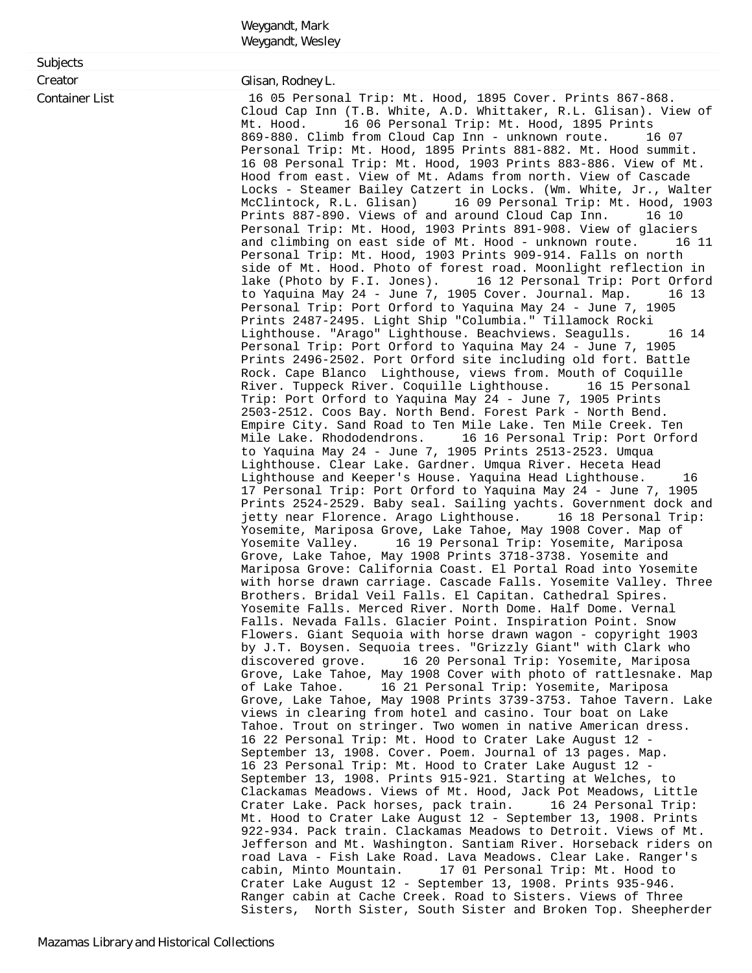|                                              | Weygandt, Mark                                                                                                                                                                                                                                                                                                                                                                                                                                                                                                                                                                                                                                                                                                                                                                                                                                                                                                                                                                                                                                                                                                                                                                                                                                                                                                                                                                                                                                                                                                                                                                                                                                                                                                                                                                                                                                                                                                                                                                        |
|----------------------------------------------|---------------------------------------------------------------------------------------------------------------------------------------------------------------------------------------------------------------------------------------------------------------------------------------------------------------------------------------------------------------------------------------------------------------------------------------------------------------------------------------------------------------------------------------------------------------------------------------------------------------------------------------------------------------------------------------------------------------------------------------------------------------------------------------------------------------------------------------------------------------------------------------------------------------------------------------------------------------------------------------------------------------------------------------------------------------------------------------------------------------------------------------------------------------------------------------------------------------------------------------------------------------------------------------------------------------------------------------------------------------------------------------------------------------------------------------------------------------------------------------------------------------------------------------------------------------------------------------------------------------------------------------------------------------------------------------------------------------------------------------------------------------------------------------------------------------------------------------------------------------------------------------------------------------------------------------------------------------------------------------|
|                                              | Weygandt, Wesley                                                                                                                                                                                                                                                                                                                                                                                                                                                                                                                                                                                                                                                                                                                                                                                                                                                                                                                                                                                                                                                                                                                                                                                                                                                                                                                                                                                                                                                                                                                                                                                                                                                                                                                                                                                                                                                                                                                                                                      |
|                                              |                                                                                                                                                                                                                                                                                                                                                                                                                                                                                                                                                                                                                                                                                                                                                                                                                                                                                                                                                                                                                                                                                                                                                                                                                                                                                                                                                                                                                                                                                                                                                                                                                                                                                                                                                                                                                                                                                                                                                                                       |
| Subjects<br>Creator<br><b>Container List</b> | Glisan, Rodney L.<br>16 05 Personal Trip: Mt. Hood, 1895 Cover. Prints 867-868.<br>Cloud Cap Inn (T.B. White, A.D. Whittaker, R.L. Glisan). View of<br>Mt. Hood.<br>16 06 Personal Trip: Mt. Hood, 1895 Prints<br>869-880. Climb from Cloud Cap Inn - unknown route.<br>16 07<br>Personal Trip: Mt. Hood, 1895 Prints 881-882. Mt. Hood summit.<br>16 08 Personal Trip: Mt. Hood, 1903 Prints 883-886. View of Mt.<br>Hood from east. View of Mt. Adams from north. View of Cascade<br>Locks - Steamer Bailey Catzert in Locks. (Wm. White, Jr., Walter<br>McClintock, R.L. Glisan)<br>16 09 Personal Trip: Mt. Hood, 1903<br>Prints 887-890. Views of and around Cloud Cap Inn.<br>16 10<br>Personal Trip: Mt. Hood, 1903 Prints 891-908. View of glaciers<br>and climbing on east side of Mt. Hood - unknown route.<br>16 11<br>Personal Trip: Mt. Hood, 1903 Prints 909-914. Falls on north<br>side of Mt. Hood. Photo of forest road. Moonlight reflection in<br>lake (Photo by F.I. Jones). 16 12 Personal Trip: Port Orford<br>16 13                                                                                                                                                                                                                                                                                                                                                                                                                                                                                                                                                                                                                                                                                                                                                                                                                                                                                                                                            |
|                                              | to Yaquina May 24 - June 7, 1905 Cover. Journal. Map.<br>Personal Trip: Port Orford to Yaquina May 24 - June 7, 1905<br>Prints 2487-2495. Light Ship "Columbia." Tillamock Rocki<br>Lighthouse. "Arago" Lighthouse. Beachviews. Seagulls.<br>16 14<br>Personal Trip: Port Orford to Yaquina May 24 - June 7, 1905<br>Prints 2496-2502. Port Orford site including old fort. Battle<br>Rock. Cape Blanco Lighthouse, views from. Mouth of Coquille<br>River. Tuppeck River. Coquille Lighthouse.<br>16 15 Personal<br>Trip: Port Orford to Yaquina May 24 - June 7, 1905 Prints<br>2503-2512. Coos Bay. North Bend. Forest Park - North Bend.<br>Empire City. Sand Road to Ten Mile Lake. Ten Mile Creek. Ten<br>Mile Lake. Rhododendrons.<br>16 16 Personal Trip: Port Orford<br>to Yaquina May 24 - June 7, 1905 Prints 2513-2523. Umqua<br>Lighthouse. Clear Lake. Gardner. Umqua River. Heceta Head<br>Lighthouse and Keeper's House. Yaquina Head Lighthouse.<br>16<br>17 Personal Trip: Port Orford to Yaquina May 24 - June 7, 1905<br>Prints 2524-2529. Baby seal. Sailing yachts. Government dock and<br>jetty near Florence. Arago Lighthouse.<br>16 18 Personal Trip:<br>Yosemite, Mariposa Grove, Lake Tahoe, May 1908 Cover. Map of<br>16 19 Personal Trip: Yosemite, Mariposa<br>Yosemite Valley.<br>Grove, Lake Tahoe, May 1908 Prints 3718-3738. Yosemite and<br>Mariposa Grove: California Coast. El Portal Road into Yosemite<br>with horse drawn carriage. Cascade Falls. Yosemite Valley. Three<br>Brothers. Bridal Veil Falls. El Capitan. Cathedral Spires.<br>Yosemite Falls. Merced River. North Dome. Half Dome. Vernal<br>Falls. Nevada Falls. Glacier Point. Inspiration Point. Snow<br>Flowers. Giant Sequoia with horse drawn wagon - copyright 1903<br>by J.T. Boysen. Sequoia trees. "Grizzly Giant" with Clark who<br>16 20 Personal Trip: Yosemite, Mariposa<br>discovered grove.<br>Grove, Lake Tahoe, May 1908 Cover with photo of rattlesnake. Map |
|                                              | 16 21 Personal Trip: Yosemite, Mariposa<br>of Lake Tahoe.<br>Grove, Lake Tahoe, May 1908 Prints 3739-3753. Tahoe Tavern. Lake<br>views in clearing from hotel and casino. Tour boat on Lake<br>Tahoe. Trout on stringer. Two women in native American dress.<br>16 22 Personal Trip: Mt. Hood to Crater Lake August 12 -<br>September 13, 1908. Cover. Poem. Journal of 13 pages. Map.<br>16 23 Personal Trip: Mt. Hood to Crater Lake August 12 -<br>September 13, 1908. Prints 915-921. Starting at Welches, to<br>Clackamas Meadows. Views of Mt. Hood, Jack Pot Meadows, Little<br>Crater Lake. Pack horses, pack train.<br>16 24 Personal Trip:<br>Mt. Hood to Crater Lake August 12 - September 13, 1908. Prints<br>922-934. Pack train. Clackamas Meadows to Detroit. Views of Mt.<br>Jefferson and Mt. Washington. Santiam River. Horseback riders on<br>road Lava - Fish Lake Road. Lava Meadows. Clear Lake. Ranger's<br>17 01 Personal Trip: Mt. Hood to<br>cabin, Minto Mountain.<br>Crater Lake August 12 - September 13, 1908. Prints 935-946.<br>Ranger cabin at Cache Creek. Road to Sisters. Views of Three<br>Sisters, North Sister, South Sister and Broken Top. Sheepherder                                                                                                                                                                                                                                                                                                                                                                                                                                                                                                                                                                                                                                                                                                                                                                                       |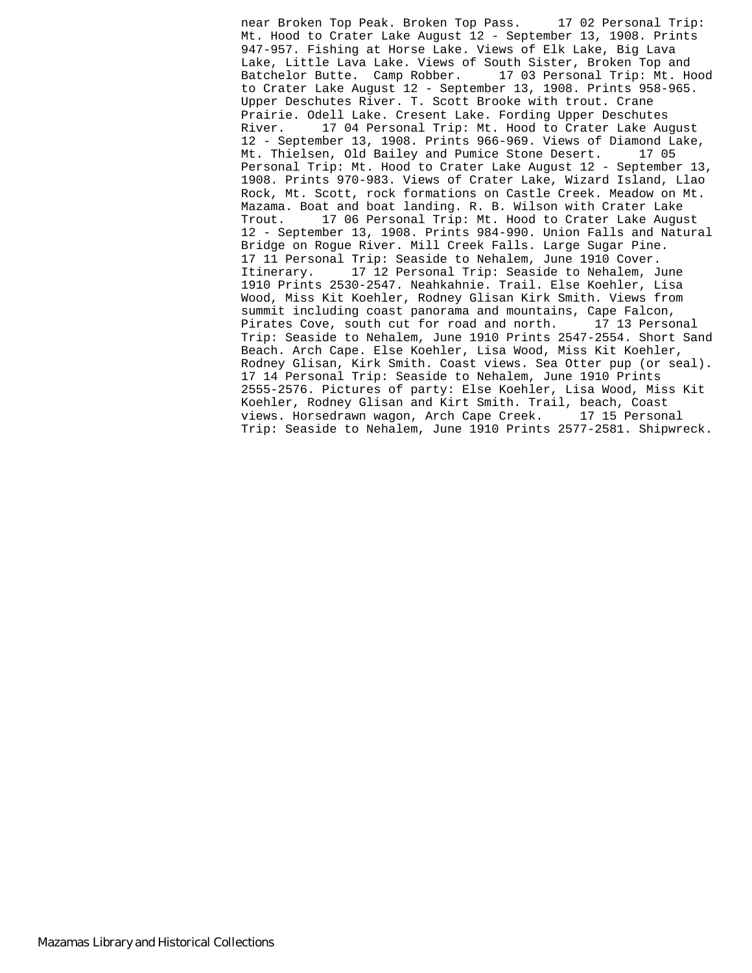near Broken Top Peak. Broken Top Pass. 17 02 Personal Trip: Mt. Hood to Crater Lake August 12 - September 13, 1908. Prints 947-957. Fishing at Horse Lake. Views of Elk Lake, Big Lava Lake, Little Lava Lake. Views of South Sister, Broken Top and<br>Batchelor Butte. Camp Robber. 17 03 Personal Trip: Mt. Hood Batchelor Butte. Camp Robber. to Crater Lake August 12 - September 13, 1908. Prints 958-965. Upper Deschutes River. T. Scott Brooke with trout. Crane Prairie. Odell Lake. Cresent Lake. Fording Upper Deschutes River. 17 04 Personal Trip: Mt. Hood to Crater Lake August 12 - September 13, 1908. Prints 966-969. Views of Diamond Lake, Mt. Thielsen, Old Bailey and Pumice Stone Desert. 17 05 Personal Trip: Mt. Hood to Crater Lake August 12 - September 13, 1908. Prints 970-983. Views of Crater Lake, Wizard Island, Llao Rock, Mt. Scott, rock formations on Castle Creek. Meadow on Mt. Mazama. Boat and boat landing. R. B. Wilson with Crater Lake Trout. 17 06 Personal Trip: Mt. Hood to Crater Lake August 12 - September 13, 1908. Prints 984-990. Union Falls and Natural Bridge on Rogue River. Mill Creek Falls. Large Sugar Pine. 17 11 Personal Trip: Seaside to Nehalem, June 1910 Cover. Itinerary. 17 12 Personal Trip: Seaside to Nehalem, June 1910 Prints 2530-2547. Neahkahnie. Trail. Else Koehler, Lisa Wood, Miss Kit Koehler, Rodney Glisan Kirk Smith. Views from summit including coast panorama and mountains, Cape Falcon, Pirates Cove, south cut for road and north. 17 13 Personal Trip: Seaside to Nehalem, June 1910 Prints 2547-2554. Short Sand Beach. Arch Cape. Else Koehler, Lisa Wood, Miss Kit Koehler, Rodney Glisan, Kirk Smith. Coast views. Sea Otter pup (or seal). 17 14 Personal Trip: Seaside to Nehalem, June 1910 Prints 2555-2576. Pictures of party: Else Koehler, Lisa Wood, Miss Kit Koehler, Rodney Glisan and Kirt Smith. Trail, beach, Coast views. Horsedrawn wagon, Arch Cape Creek. 17 15 Personal Trip: Seaside to Nehalem, June 1910 Prints 2577-2581. Shipwreck.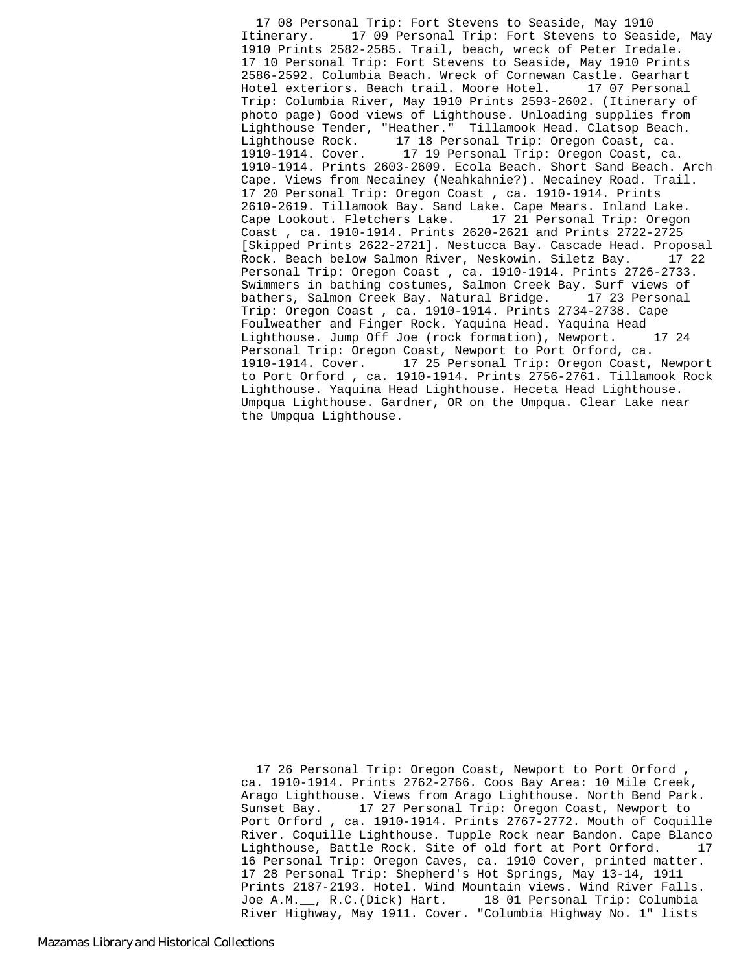17 08 Personal Trip: Fort Stevens to Seaside, May 1910 Itinerary. 17 09 Personal Trip: Fort Stevens to Seaside, May 1910 Prints 2582-2585. Trail, beach, wreck of Peter Iredale. 17 10 Personal Trip: Fort Stevens to Seaside, May 1910 Prints 2586-2592. Columbia Beach. Wreck of Cornewan Castle. Gearhart Hotel exteriors. Beach trail. Moore Hotel. 17 07 Personal Trip: Columbia River, May 1910 Prints 2593-2602. (Itinerary of photo page) Good views of Lighthouse. Unloading supplies from Lighthouse Tender, "Heather." Tillamook Head. Clatsop Beach. Lighthouse Rock. 17 18 Personal Trip: Oregon Coast, ca. 1910-1914. Cover. 17 19 Personal Trip: Oregon Coast, ca. 1910-1914. Prints 2603-2609. Ecola Beach. Short Sand Beach. Arch Cape. Views from Necainey (Neahkahnie?). Necainey Road. Trail. 17 20 Personal Trip: Oregon Coast , ca. 1910-1914. Prints 2610-2619. Tillamook Bay. Sand Lake. Cape Mears. Inland Lake. Cape Lookout. Fletchers Lake. 17 21 Personal Trip: Oregon Coast , ca. 1910-1914. Prints 2620-2621 and Prints 2722-2725 [Skipped Prints 2622-2721]. Nestucca Bay. Cascade Head. Proposal Rock. Beach below Salmon River, Neskowin. Siletz Bay. 17 22 Personal Trip: Oregon Coast , ca. 1910-1914. Prints 2726-2733. Swimmers in bathing costumes, Salmon Creek Bay. Surf views of bathers, Salmon Creek Bay. Natural Bridge. 17 23 Personal Trip: Oregon Coast , ca. 1910-1914. Prints 2734-2738. Cape Foulweather and Finger Rock. Yaquina Head. Yaquina Head Lighthouse. Jump Off Joe (rock formation), Newport. 17 24 Personal Trip: Oregon Coast, Newport to Port Orford, ca. 1910-1914. Cover. 17 25 Personal Trip: Oregon Coast, Newport to Port Orford , ca. 1910-1914. Prints 2756-2761. Tillamook Rock Lighthouse. Yaquina Head Lighthouse. Heceta Head Lighthouse. Umpqua Lighthouse. Gardner, OR on the Umpqua. Clear Lake near the Umpqua Lighthouse.

 17 26 Personal Trip: Oregon Coast, Newport to Port Orford , ca. 1910-1914. Prints 2762-2766. Coos Bay Area: 10 Mile Creek, Arago Lighthouse. Views from Arago Lighthouse. North Bend Park. Sunset Bay. 17 27 Personal Trip: Oregon Coast, Newport to Port Orford , ca. 1910-1914. Prints 2767-2772. Mouth of Coquille River. Coquille Lighthouse. Tupple Rock near Bandon. Cape Blanco Lighthouse, Battle Rock. Site of old fort at Port Orford. 17 16 Personal Trip: Oregon Caves, ca. 1910 Cover, printed matter. 17 28 Personal Trip: Shepherd's Hot Springs, May 13-14, 1911 Prints 2187-2193. Hotel. Wind Mountain views. Wind River Falls. Joe A.M.\_\_, R.C.(Dick) Hart. 18 01 Personal Trip: Columbia River Highway, May 1911. Cover. "Columbia Highway No. 1" lists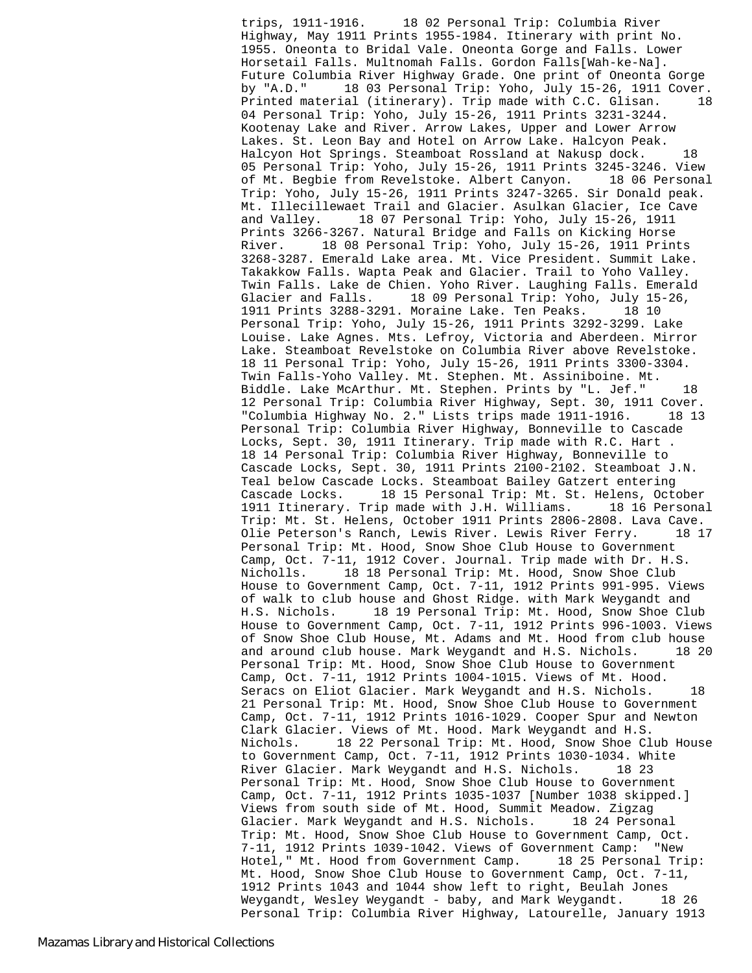trips, 1911-1916. 18 02 Personal Trip: Columbia River Highway, May 1911 Prints 1955-1984. Itinerary with print No. 1955. Oneonta to Bridal Vale. Oneonta Gorge and Falls. Lower Horsetail Falls. Multnomah Falls. Gordon Falls[Wah-ke-Na]. Future Columbia River Highway Grade. One print of Oneonta Gorge by "A.D." 18 03 Personal Trip: Yoho, July 15-26, 1911 Cover. Printed material (itinerary). Trip made with C.C. Glisan. 18 04 Personal Trip: Yoho, July 15-26, 1911 Prints 3231-3244. Kootenay Lake and River. Arrow Lakes, Upper and Lower Arrow Lakes. St. Leon Bay and Hotel on Arrow Lake. Halcyon Peak. Halcyon Hot Springs. Steamboat Rossland at Nakusp dock. 18 05 Personal Trip: Yoho, July 15-26, 1911 Prints 3245-3246. View of Mt. Begbie from Revelstoke. Albert Canyon. 18 06 Personal Trip: Yoho, July 15-26, 1911 Prints 3247-3265. Sir Donald peak. Mt. Illecillewaet Trail and Glacier. Asulkan Glacier, Ice Cave and Valley. 18 07 Personal Trip: Yoho, July 15-26, 1911 Prints 3266-3267. Natural Bridge and Falls on Kicking Horse River. 18 08 Personal Trip: Yoho, July 15-26, 1911 Prints 3268-3287. Emerald Lake area. Mt. Vice President. Summit Lake. Takakkow Falls. Wapta Peak and Glacier. Trail to Yoho Valley. Twin Falls. Lake de Chien. Yoho River. Laughing Falls. Emerald Glacier and Falls. 18 09 Personal Trip: Yoho, July 15-26, 1911 Prints 3288-3291. Moraine Lake. Ten Peaks. 18 10 Personal Trip: Yoho, July 15-26, 1911 Prints 3292-3299. Lake Louise. Lake Agnes. Mts. Lefroy, Victoria and Aberdeen. Mirror Lake. Steamboat Revelstoke on Columbia River above Revelstoke. 18 11 Personal Trip: Yoho, July 15-26, 1911 Prints 3300-3304. Twin Falls-Yoho Valley. Mt. Stephen. Mt. Assiniboine. Mt. Biddle. Lake McArthur. Mt. Stephen. Prints by "L. Jef." 18 12 Personal Trip: Columbia River Highway, Sept. 30, 1911 Cover. "Columbia Highway No. 2." Lists trips made 1911-1916. 18 13 Personal Trip: Columbia River Highway, Bonneville to Cascade Locks, Sept. 30, 1911 Itinerary. Trip made with R.C. Hart . 18 14 Personal Trip: Columbia River Highway, Bonneville to Cascade Locks, Sept. 30, 1911 Prints 2100-2102. Steamboat J.N. Teal below Cascade Locks. Steamboat Bailey Gatzert entering Cascade Locks. 18 15 Personal Trip: Mt. St. Helens, October 1911 Itinerary. Trip made with J.H. Williams. 18 16 Personal Trip: Mt. St. Helens, October 1911 Prints 2806-2808. Lava Cave. Olie Peterson's Ranch, Lewis River. Lewis River Ferry. 18 17 Personal Trip: Mt. Hood, Snow Shoe Club House to Government Camp, Oct. 7-11, 1912 Cover. Journal. Trip made with Dr. H.S. Nicholls. 18 18 Personal Trip: Mt. Hood, Snow Shoe Club House to Government Camp, Oct. 7-11, 1912 Prints 991-995. Views of walk to club house and Ghost Ridge. with Mark Weygandt and H.S. Nichols. 18 19 Personal Trip: Mt. Hood, Snow Shoe Club House to Government Camp, Oct. 7-11, 1912 Prints 996-1003. Views of Snow Shoe Club House, Mt. Adams and Mt. Hood from club house and around club house. Mark Weygandt and H.S. Nichols. 18 20 Personal Trip: Mt. Hood, Snow Shoe Club House to Government Camp, Oct. 7-11, 1912 Prints 1004-1015. Views of Mt. Hood. Seracs on Eliot Glacier. Mark Weygandt and H.S. Nichols. 18 21 Personal Trip: Mt. Hood, Snow Shoe Club House to Government Camp, Oct. 7-11, 1912 Prints 1016-1029. Cooper Spur and Newton Clark Glacier. Views of Mt. Hood. Mark Weygandt and H.S. Nichols. 18 22 Personal Trip: Mt. Hood, Snow Shoe Club House to Government Camp, Oct. 7-11, 1912 Prints 1030-1034. White River Glacier. Mark Weygandt and H.S. Nichols. 18 23 Personal Trip: Mt. Hood, Snow Shoe Club House to Government Camp, Oct. 7-11, 1912 Prints 1035-1037 [Number 1038 skipped.] Views from south side of Mt. Hood, Summit Meadow. Zigzag Glacier. Mark Weygandt and H.S. Nichols. 18 24 Personal Trip: Mt. Hood, Snow Shoe Club House to Government Camp, Oct. 7-11, 1912 Prints 1039-1042. Views of Government Camp: "New Hotel," Mt. Hood from Government Camp. 18 25 Personal Trip: Mt. Hood, Snow Shoe Club House to Government Camp, Oct. 7-11, 1912 Prints 1043 and 1044 show left to right, Beulah Jones<br>Weygandt, Wesley Weygandt - baby, and Mark Weygandt. 18 26 Weygandt, Wesley Weygandt - baby, and Mark Weygandt. Personal Trip: Columbia River Highway, Latourelle, January 1913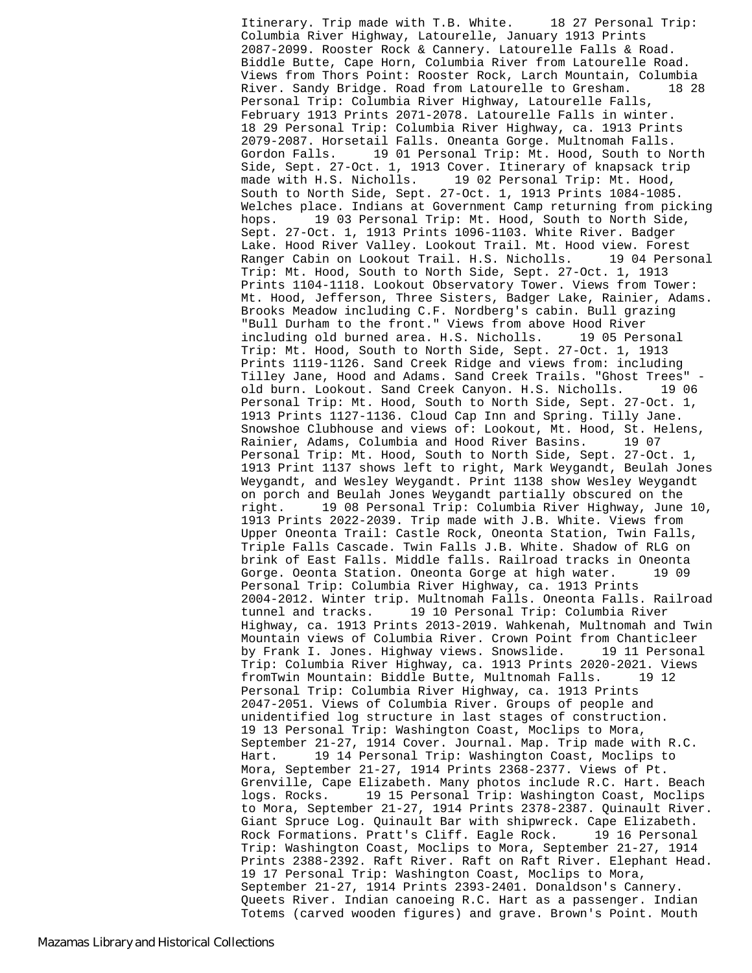Itinerary. Trip made with T.B. White. 18 27 Personal Trip: Columbia River Highway, Latourelle, January 1913 Prints 2087-2099. Rooster Rock & Cannery. Latourelle Falls & Road. Biddle Butte, Cape Horn, Columbia River from Latourelle Road. Views from Thors Point: Rooster Rock, Larch Mountain, Columbia River. Sandy Bridge. Road from Latourelle to Gresham. 18 28 Personal Trip: Columbia River Highway, Latourelle Falls, February 1913 Prints 2071-2078. Latourelle Falls in winter. 18 29 Personal Trip: Columbia River Highway, ca. 1913 Prints 2079-2087. Horsetail Falls. Oneanta Gorge. Multnomah Falls. Gordon Falls. 19 01 Personal Trip: Mt. Hood, South to North Side, Sept. 27-Oct. 1, 1913 Cover. Itinerary of knapsack trip made with H.S. Nicholls. 19 02 Personal Trip: Mt. Hood, South to North Side, Sept. 27-Oct. 1, 1913 Prints 1084-1085. Welches place. Indians at Government Camp returning from picking hops. 19 03 Personal Trip: Mt. Hood, South to North Side, Sept. 27-Oct. 1, 1913 Prints 1096-1103. White River. Badger Lake. Hood River Valley. Lookout Trail. Mt. Hood view. Forest Ranger Cabin on Lookout Trail. H.S. Nicholls. 19 04 Personal Trip: Mt. Hood, South to North Side, Sept. 27-Oct. 1, 1913 Prints 1104-1118. Lookout Observatory Tower. Views from Tower: Mt. Hood, Jefferson, Three Sisters, Badger Lake, Rainier, Adams. Brooks Meadow including C.F. Nordberg's cabin. Bull grazing "Bull Durham to the front." Views from above Hood River including old burned area. H.S. Nicholls. 19 05 Personal Trip: Mt. Hood, South to North Side, Sept. 27-Oct. 1, 1913 Prints 1119-1126. Sand Creek Ridge and views from: including Tilley Jane, Hood and Adams. Sand Creek Trails. "Ghost Trees" old burn. Lookout. Sand Creek Canyon. H.S. Nicholls. 19 06 Personal Trip: Mt. Hood, South to North Side, Sept. 27-Oct. 1, 1913 Prints 1127-1136. Cloud Cap Inn and Spring. Tilly Jane. Snowshoe Clubhouse and views of: Lookout, Mt. Hood, St. Helens, Rainier, Adams, Columbia and Hood River Basins. 19 07 Personal Trip: Mt. Hood, South to North Side, Sept. 27-Oct. 1, 1913 Print 1137 shows left to right, Mark Weygandt, Beulah Jones Weygandt, and Wesley Weygandt. Print 1138 show Wesley Weygandt on porch and Beulah Jones Weygandt partially obscured on the right. 19 08 Personal Trip: Columbia River Highway, June 10, 1913 Prints 2022-2039. Trip made with J.B. White. Views from Upper Oneonta Trail: Castle Rock, Oneonta Station, Twin Falls, Triple Falls Cascade. Twin Falls J.B. White. Shadow of RLG on brink of East Falls. Middle falls. Railroad tracks in Oneonta Gorge. Oeonta Station. Oneonta Gorge at high water. 19 09 Personal Trip: Columbia River Highway, ca. 1913 Prints 2004-2012. Winter trip. Multnomah Falls. Oneonta Falls. Railroad tunnel and tracks. 19 10 Personal Trip: Columbia River Highway, ca. 1913 Prints 2013-2019. Wahkenah, Multnomah and Twin Mountain views of Columbia River. Crown Point from Chanticleer by Frank I. Jones. Highway views. Snowslide. 19 11 Personal Trip: Columbia River Highway, ca. 1913 Prints 2020-2021. Views fromTwin Mountain: Biddle Butte, Multnomah Falls. 19 12 Personal Trip: Columbia River Highway, ca. 1913 Prints 2047-2051. Views of Columbia River. Groups of people and unidentified log structure in last stages of construction. 19 13 Personal Trip: Washington Coast, Moclips to Mora, September 21-27, 1914 Cover. Journal. Map. Trip made with R.C. Hart. 19 14 Personal Trip: Washington Coast, Moclips to Mora, September 21-27, 1914 Prints 2368-2377. Views of Pt. Grenville, Cape Elizabeth. Many photos include R.C. Hart. Beach logs. Rocks. 19 15 Personal Trip: Washington Coast, Moclips to Mora, September 21-27, 1914 Prints 2378-2387. Quinault River. Giant Spruce Log. Quinault Bar with shipwreck. Cape Elizabeth. Rock Formations. Pratt's Cliff. Eagle Rock. 19 16 Personal Trip: Washington Coast, Moclips to Mora, September 21-27, 1914 Prints 2388-2392. Raft River. Raft on Raft River. Elephant Head. 19 17 Personal Trip: Washington Coast, Moclips to Mora, September 21-27, 1914 Prints 2393-2401. Donaldson's Cannery. Queets River. Indian canoeing R.C. Hart as a passenger. Indian Totems (carved wooden figures) and grave. Brown's Point. Mouth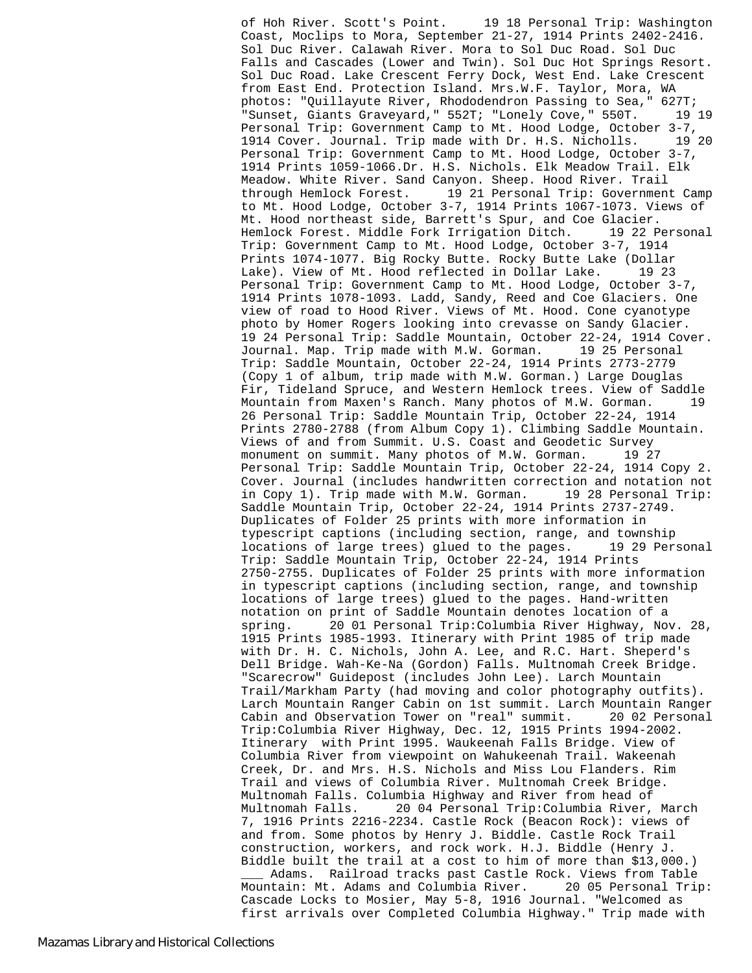of Hoh River. Scott's Point. 19 18 Personal Trip: Washington Coast, Moclips to Mora, September 21-27, 1914 Prints 2402-2416. Sol Duc River. Calawah River. Mora to Sol Duc Road. Sol Duc Falls and Cascades (Lower and Twin). Sol Duc Hot Springs Resort. Sol Duc Road. Lake Crescent Ferry Dock, West End. Lake Crescent from East End. Protection Island. Mrs.W.F. Taylor, Mora, WA photos: "Quillayute River, Rhododendron Passing to Sea," 627T; "Sunset, Giants Graveyard," 552T; "Lonely Cove," 550T. 19 19 Personal Trip: Government Camp to Mt. Hood Lodge, October 3-7,<br>1914 Cover. Journal. Trip made with Dr. H.S. Nicholls. 19 20 1914 Cover. Journal. Trip made with Dr. H.S. Nicholls. Personal Trip: Government Camp to Mt. Hood Lodge, October 3-7, 1914 Prints 1059-1066.Dr. H.S. Nichols. Elk Meadow Trail. Elk Meadow. White River. Sand Canyon. Sheep. Hood River. Trail through Hemlock Forest. 19 21 Personal Trip: Government Camp to Mt. Hood Lodge, October 3-7, 1914 Prints 1067-1073. Views of Mt. Hood northeast side, Barrett's Spur, and Coe Glacier. Hemlock Forest. Middle Fork Irrigation Ditch. 19 22 Personal Trip: Government Camp to Mt. Hood Lodge, October 3-7, 1914 Prints 1074-1077. Big Rocky Butte. Rocky Butte Lake (Dollar Lake). View of Mt. Hood reflected in Dollar Lake. 19 23 Personal Trip: Government Camp to Mt. Hood Lodge, October 3-7, 1914 Prints 1078-1093. Ladd, Sandy, Reed and Coe Glaciers. One view of road to Hood River. Views of Mt. Hood. Cone cyanotype photo by Homer Rogers looking into crevasse on Sandy Glacier. 19 24 Personal Trip: Saddle Mountain, October 22-24, 1914 Cover. Journal. Map. Trip made with M.W. Gorman. 19 25 Personal Trip: Saddle Mountain, October 22-24, 1914 Prints 2773-2779 (Copy 1 of album, trip made with M.W. Gorman.) Large Douglas Fir, Tideland Spruce, and Western Hemlock trees. View of Saddle Mountain from Maxen's Ranch. Many photos of M.W. Gorman. 19 26 Personal Trip: Saddle Mountain Trip, October 22-24, 1914 Prints 2780-2788 (from Album Copy 1). Climbing Saddle Mountain. Views of and from Summit. U.S. Coast and Geodetic Survey monument on summit. Many photos of M.W. Gorman. 19 27 Personal Trip: Saddle Mountain Trip, October 22-24, 1914 Copy 2. Cover. Journal (includes handwritten correction and notation not in Copy 1). Trip made with M.W. Gorman. 19 28 Personal Trip: Saddle Mountain Trip, October 22-24, 1914 Prints 2737-2749. Duplicates of Folder 25 prints with more information in typescript captions (including section, range, and township locations of large trees) glued to the pages. 19 29 Personal Trip: Saddle Mountain Trip, October 22-24, 1914 Prints 2750-2755. Duplicates of Folder 25 prints with more information in typescript captions (including section, range, and township locations of large trees) glued to the pages. Hand-written notation on print of Saddle Mountain denotes location of a spring. 20 01 Personal Trip:Columbia River Highway, Nov. 28, 1915 Prints 1985-1993. Itinerary with Print 1985 of trip made with Dr. H. C. Nichols, John A. Lee, and R.C. Hart. Sheperd's Dell Bridge. Wah-Ke-Na (Gordon) Falls. Multnomah Creek Bridge. "Scarecrow" Guidepost (includes John Lee). Larch Mountain Trail/Markham Party (had moving and color photography outfits). Larch Mountain Ranger Cabin on 1st summit. Larch Mountain Ranger Cabin and Observation Tower on "real" summit. 20 02 Personal Trip:Columbia River Highway, Dec. 12, 1915 Prints 1994-2002. Itinerary with Print 1995. Waukeenah Falls Bridge. View of Columbia River from viewpoint on Wahukeenah Trail. Wakeenah Creek, Dr. and Mrs. H.S. Nichols and Miss Lou Flanders. Rim Trail and views of Columbia River. Multnomah Creek Bridge. Multnomah Falls. Columbia Highway and River from head of Multnomah Falls. 20 04 Personal Trip:Columbia River, March 7, 1916 Prints 2216-2234. Castle Rock (Beacon Rock): views of and from. Some photos by Henry J. Biddle. Castle Rock Trail construction, workers, and rock work. H.J. Biddle (Henry J. Biddle built the trail at a cost to him of more than \$13,000.) Adams. Railroad tracks past Castle Rock. Views from Table Mountain: Mt. Adams and Columbia River. 20 05 Personal Trip: Cascade Locks to Mosier, May 5-8, 1916 Journal. "Welcomed as first arrivals over Completed Columbia Highway." Trip made with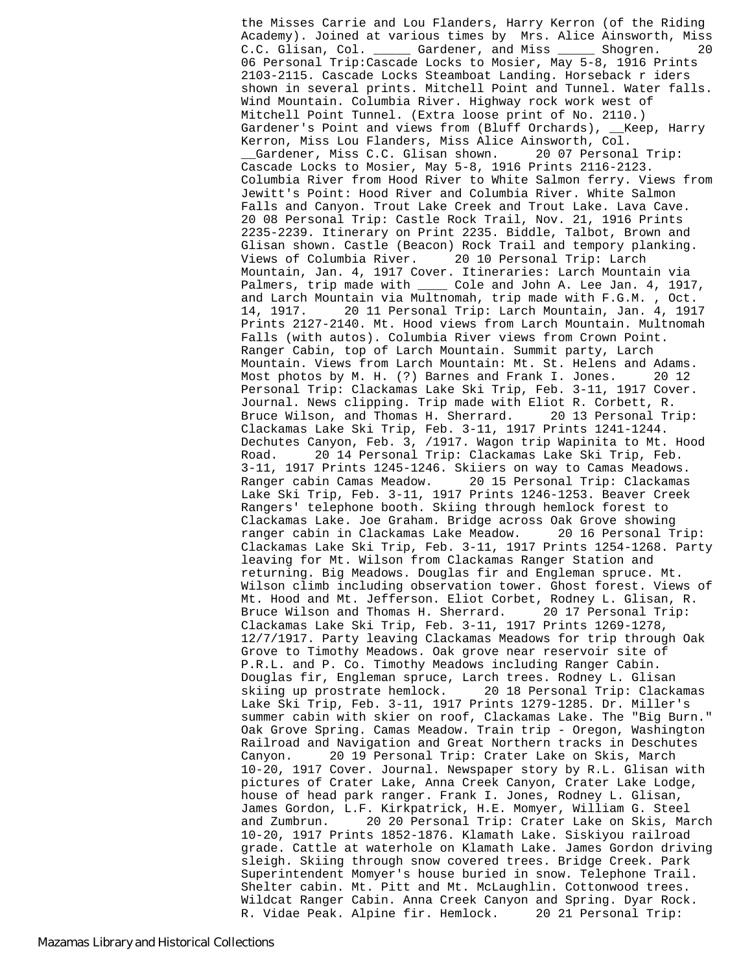the Misses Carrie and Lou Flanders, Harry Kerron (of the Riding Academy). Joined at various times by Mrs. Alice Ainsworth, Miss C.C. Glisan, Col. \_\_\_\_\_ Gardener, and Miss \_\_\_\_\_ Shogren. 20 06 Personal Trip:Cascade Locks to Mosier, May 5-8, 1916 Prints 2103-2115. Cascade Locks Steamboat Landing. Horseback r iders shown in several prints. Mitchell Point and Tunnel. Water falls. Wind Mountain. Columbia River. Highway rock work west of Mitchell Point Tunnel. (Extra loose print of No. 2110.) Gardener's Point and views from (Bluff Orchards), \_\_Keep, Harry Kerron, Miss Lou Flanders, Miss Alice Ainsworth, Col.<br>
\_\_Gardener, Miss C.C. Glisan shown. 20 07 Personal Trip: Gardener, Miss C.C. Glisan shown. Cascade Locks to Mosier, May 5-8, 1916 Prints 2116-2123. Columbia River from Hood River to White Salmon ferry. Views from Jewitt's Point: Hood River and Columbia River. White Salmon Falls and Canyon. Trout Lake Creek and Trout Lake. Lava Cave. 20 08 Personal Trip: Castle Rock Trail, Nov. 21, 1916 Prints 2235-2239. Itinerary on Print 2235. Biddle, Talbot, Brown and Glisan shown. Castle (Beacon) Rock Trail and tempory planking. Views of Columbia River. 20 10 Personal Trip: Larch Mountain, Jan. 4, 1917 Cover. Itineraries: Larch Mountain via Palmers, trip made with \_\_\_\_ Cole and John A. Lee Jan. 4, 1917, and Larch Mountain via Multnomah, trip made with F.G.M. , Oct. 14, 1917. 20 11 Personal Trip: Larch Mountain, Jan. 4, 1917 Prints 2127-2140. Mt. Hood views from Larch Mountain. Multnomah Falls (with autos). Columbia River views from Crown Point. Ranger Cabin, top of Larch Mountain. Summit party, Larch Mountain. Views from Larch Mountain: Mt. St. Helens and Adams. Most photos by M. H. (?) Barnes and Frank I. Jones. 20 12 Personal Trip: Clackamas Lake Ski Trip, Feb. 3-11, 1917 Cover. Journal. News clipping. Trip made with Eliot R. Corbett, R. Bruce Wilson, and Thomas H. Sherrard. 20 13 Personal Trip: Clackamas Lake Ski Trip, Feb. 3-11, 1917 Prints 1241-1244. Dechutes Canyon, Feb. 3, /1917. Wagon trip Wapinita to Mt. Hood Road. 20 14 Personal Trip: Clackamas Lake Ski Trip, Feb. 3-11, 1917 Prints 1245-1246. Skiiers on way to Camas Meadows. Ranger cabin Camas Meadow. 20 15 Personal Trip: Clackamas Lake Ski Trip, Feb. 3-11, 1917 Prints 1246-1253. Beaver Creek Rangers' telephone booth. Skiing through hemlock forest to Clackamas Lake. Joe Graham. Bridge across Oak Grove showing ranger cabin in Clackamas Lake Meadow. 20 16 Personal Trip: Clackamas Lake Ski Trip, Feb. 3-11, 1917 Prints 1254-1268. Party leaving for Mt. Wilson from Clackamas Ranger Station and returning. Big Meadows. Douglas fir and Engleman spruce. Mt. Wilson climb including observation tower. Ghost forest. Views of Mt. Hood and Mt. Jefferson. Eliot Corbet, Rodney L. Glisan, R. Bruce Wilson and Thomas H. Sherrard. 20 17 Personal Trip: Clackamas Lake Ski Trip, Feb. 3-11, 1917 Prints 1269-1278, 12/7/1917. Party leaving Clackamas Meadows for trip through Oak Grove to Timothy Meadows. Oak grove near reservoir site of P.R.L. and P. Co. Timothy Meadows including Ranger Cabin. Douglas fir, Engleman spruce, Larch trees. Rodney L. Glisan skiing up prostrate hemlock. 20 18 Personal Trip: Clackamas Lake Ski Trip, Feb. 3-11, 1917 Prints 1279-1285. Dr. Miller's summer cabin with skier on roof, Clackamas Lake. The "Big Burn." Oak Grove Spring. Camas Meadow. Train trip - Oregon, Washington Railroad and Navigation and Great Northern tracks in Deschutes Canyon. 20 19 Personal Trip: Crater Lake on Skis, March 10-20, 1917 Cover. Journal. Newspaper story by R.L. Glisan with pictures of Crater Lake, Anna Creek Canyon, Crater Lake Lodge, house of head park ranger. Frank I. Jones, Rodney L. Glisan, James Gordon, L.F. Kirkpatrick, H.E. Momyer, William G. Steel and Zumbrun. 20 20 Personal Trip: Crater Lake on Skis, March 10-20, 1917 Prints 1852-1876. Klamath Lake. Siskiyou railroad grade. Cattle at waterhole on Klamath Lake. James Gordon driving sleigh. Skiing through snow covered trees. Bridge Creek. Park Superintendent Momyer's house buried in snow. Telephone Trail. Shelter cabin. Mt. Pitt and Mt. McLaughlin. Cottonwood trees. Wildcat Ranger Cabin. Anna Creek Canyon and Spring. Dyar Rock. R. Vidae Peak. Alpine fir. Hemlock. 20 21 Personal Trip: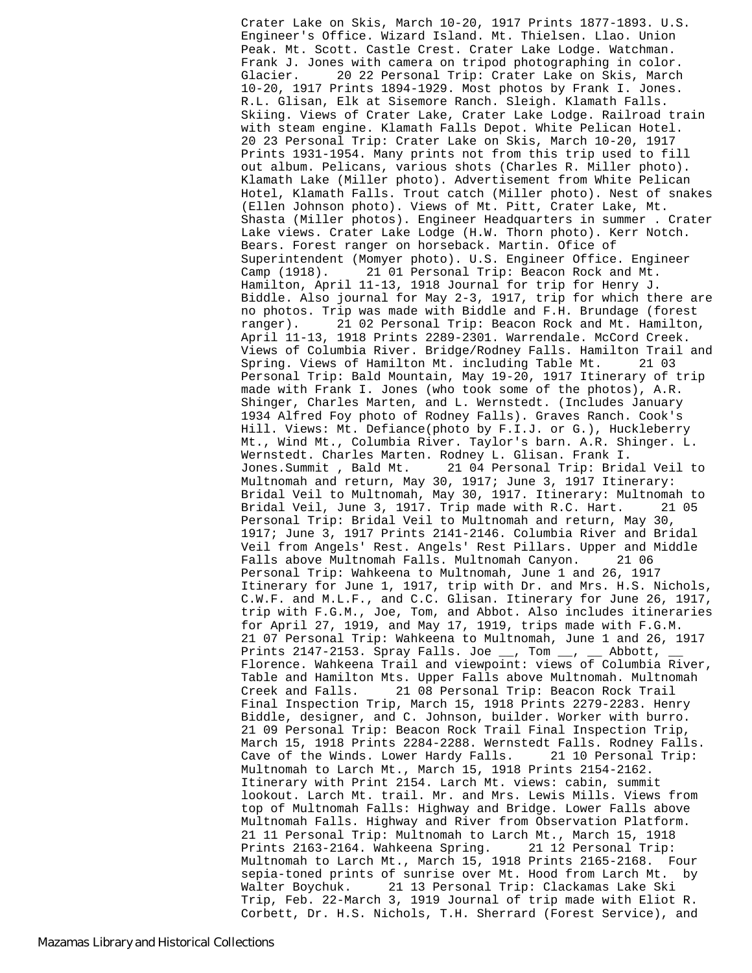Crater Lake on Skis, March 10-20, 1917 Prints 1877-1893. U.S. Engineer's Office. Wizard Island. Mt. Thielsen. Llao. Union Peak. Mt. Scott. Castle Crest. Crater Lake Lodge. Watchman. Frank J. Jones with camera on tripod photographing in color. Glacier. 20 22 Personal Trip: Crater Lake on Skis, March 10-20, 1917 Prints 1894-1929. Most photos by Frank I. Jones. R.L. Glisan, Elk at Sisemore Ranch. Sleigh. Klamath Falls. Skiing. Views of Crater Lake, Crater Lake Lodge. Railroad train with steam engine. Klamath Falls Depot. White Pelican Hotel. 20 23 Personal Trip: Crater Lake on Skis, March 10-20, 1917 Prints 1931-1954. Many prints not from this trip used to fill out album. Pelicans, various shots (Charles R. Miller photo). Klamath Lake (Miller photo). Advertisement from White Pelican Hotel, Klamath Falls. Trout catch (Miller photo). Nest of snakes (Ellen Johnson photo). Views of Mt. Pitt, Crater Lake, Mt. Shasta (Miller photos). Engineer Headquarters in summer . Crater Lake views. Crater Lake Lodge (H.W. Thorn photo). Kerr Notch. Bears. Forest ranger on horseback. Martin. Ofice of Superintendent (Momyer photo). U.S. Engineer Office. Engineer Camp (1918). 21 01 Personal Trip: Beacon Rock and Mt. Hamilton, April 11-13, 1918 Journal for trip for Henry J. Biddle. Also journal for May 2-3, 1917, trip for which there are no photos. Trip was made with Biddle and F.H. Brundage (forest ranger). 21 02 Personal Trip: Beacon Rock and Mt. Hamilton, April 11-13, 1918 Prints 2289-2301. Warrendale. McCord Creek. Views of Columbia River. Bridge/Rodney Falls. Hamilton Trail and Spring. Views of Hamilton Mt. including Table Mt. 21 03 Personal Trip: Bald Mountain, May 19-20, 1917 Itinerary of trip made with Frank I. Jones (who took some of the photos), A.R. Shinger, Charles Marten, and L. Wernstedt. (Includes January 1934 Alfred Foy photo of Rodney Falls). Graves Ranch. Cook's Hill. Views: Mt. Defiance(photo by F.I.J. or G.), Huckleberry Mt., Wind Mt., Columbia River. Taylor's barn. A.R. Shinger. L. Wernstedt. Charles Marten. Rodney L. Glisan. Frank I. Jones.Summit , Bald Mt. 21 04 Personal Trip: Bridal Veil to Multnomah and return, May 30, 1917; June 3, 1917 Itinerary: Bridal Veil to Multnomah, May 30, 1917. Itinerary: Multnomah to Bridal Veil, June 3, 1917. Trip made with R.C. Hart. 21 05 Personal Trip: Bridal Veil to Multnomah and return, May 30, 1917; June 3, 1917 Prints 2141-2146. Columbia River and Bridal Veil from Angels' Rest. Angels' Rest Pillars. Upper and Middle Falls above Multnomah Falls. Multnomah Canyon. 21 06 Personal Trip: Wahkeena to Multnomah, June 1 and 26, 1917 Itinerary for June 1, 1917, trip with Dr. and Mrs. H.S. Nichols, C.W.F. and M.L.F., and C.C. Glisan. Itinerary for June 26, 1917, trip with F.G.M., Joe, Tom, and Abbot. Also includes itineraries for April 27, 1919, and May 17, 1919, trips made with F.G.M. 21 07 Personal Trip: Wahkeena to Multnomah, June 1 and 26, 1917 Prints 2147-2153. Spray Falls. Joe  $\_\_$ , Tom  $\_\_$ ,  $\_\_$  Abbott, Florence. Wahkeena Trail and viewpoint: views of Columbia River, Table and Hamilton Mts. Upper Falls above Multnomah. Multnomah Creek and Falls. 21 08 Personal Trip: Beacon Rock Trail Final Inspection Trip, March 15, 1918 Prints 2279-2283. Henry Biddle, designer, and C. Johnson, builder. Worker with burro. 21 09 Personal Trip: Beacon Rock Trail Final Inspection Trip, March 15, 1918 Prints 2284-2288. Wernstedt Falls. Rodney Falls. Cave of the Winds. Lower Hardy Falls. 21 10 Personal Trip: Multnomah to Larch Mt., March 15, 1918 Prints 2154-2162. Itinerary with Print 2154. Larch Mt. views: cabin, summit lookout. Larch Mt. trail. Mr. and Mrs. Lewis Mills. Views from top of Multnomah Falls: Highway and Bridge. Lower Falls above Multnomah Falls. Highway and River from Observation Platform. 21 11 Personal Trip: Multnomah to Larch Mt., March 15, 1918<br>Prints 2163-2164. Wahkeena Spring. 21 12 Personal Trip: Prints 2163-2164. Wahkeena Spring. Multnomah to Larch Mt., March 15, 1918 Prints 2165-2168. Four sepia-toned prints of sunrise over Mt. Hood from Larch Mt. by Walter Boychuk. 21 13 Personal Trip: Clackamas Lake Ski Trip, Feb. 22-March 3, 1919 Journal of trip made with Eliot R. Corbett, Dr. H.S. Nichols, T.H. Sherrard (Forest Service), and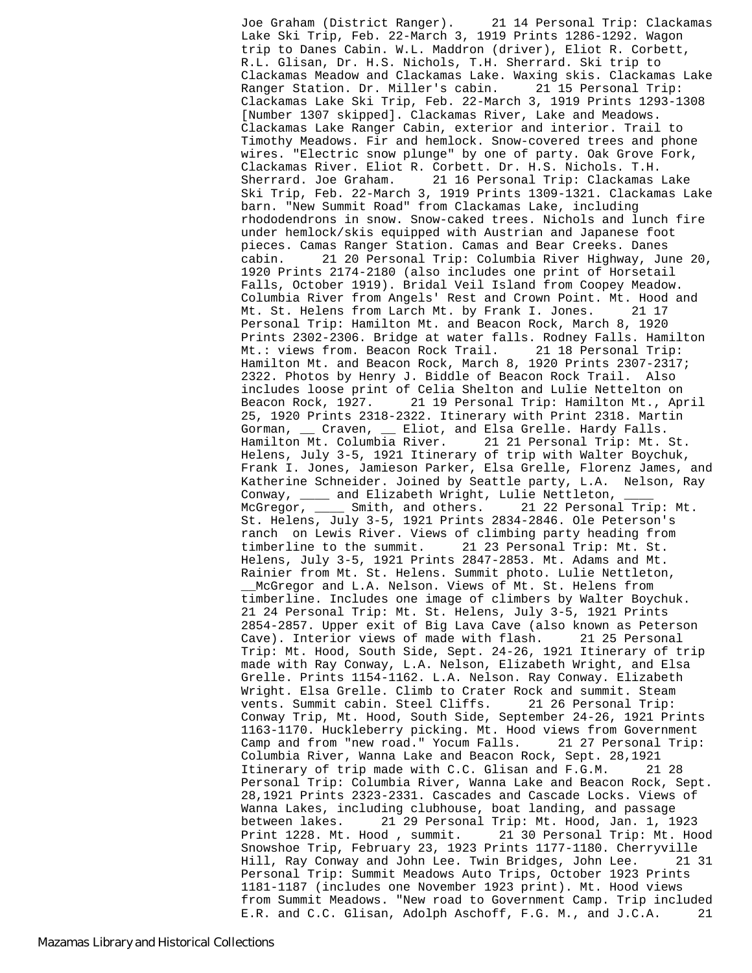Joe Graham (District Ranger). 21 14 Personal Trip: Clackamas Lake Ski Trip, Feb. 22-March 3, 1919 Prints 1286-1292. Wagon trip to Danes Cabin. W.L. Maddron (driver), Eliot R. Corbett, R.L. Glisan, Dr. H.S. Nichols, T.H. Sherrard. Ski trip to Clackamas Meadow and Clackamas Lake. Waxing skis. Clackamas Lake Ranger Station. Dr. Miller's cabin. 21 15 Personal Trip: Clackamas Lake Ski Trip, Feb. 22-March 3, 1919 Prints 1293-1308 [Number 1307 skipped]. Clackamas River, Lake and Meadows. Clackamas Lake Ranger Cabin, exterior and interior. Trail to Timothy Meadows. Fir and hemlock. Snow-covered trees and phone wires. "Electric snow plunge" by one of party. Oak Grove Fork, Clackamas River. Eliot R. Corbett. Dr. H.S. Nichols. T.H. Sherrard. Joe Graham. 21 16 Personal Trip: Clackamas Lake Ski Trip, Feb. 22-March 3, 1919 Prints 1309-1321. Clackamas Lake barn. "New Summit Road" from Clackamas Lake, including rhododendrons in snow. Snow-caked trees. Nichols and lunch fire under hemlock/skis equipped with Austrian and Japanese foot pieces. Camas Ranger Station. Camas and Bear Creeks. Danes cabin. 21 20 Personal Trip: Columbia River Highway, June 20, 1920 Prints 2174-2180 (also includes one print of Horsetail Falls, October 1919). Bridal Veil Island from Coopey Meadow. Columbia River from Angels' Rest and Crown Point. Mt. Hood and Mt. St. Helens from Larch Mt. by Frank I. Jones. 21 17 Personal Trip: Hamilton Mt. and Beacon Rock, March 8, 1920 Prints 2302-2306. Bridge at water falls. Rodney Falls. Hamilton Mt.: views from. Beacon Rock Trail. 21 18 Personal Trip: Hamilton Mt. and Beacon Rock, March 8, 1920 Prints 2307-2317; 2322. Photos by Henry J. Biddle of Beacon Rock Trail. Also includes loose print of Celia Shelton and Lulie Nettelton on Beacon Rock, 1927. 21 19 Personal Trip: Hamilton Mt., April 25, 1920 Prints 2318-2322. Itinerary with Print 2318. Martin Gorman, \_\_ Craven, \_\_ Eliot, and Elsa Grelle. Hardy Falls. Hamilton Mt. Columbia River. 21 21 Personal Trip: Mt. St. Helens, July 3-5, 1921 Itinerary of trip with Walter Boychuk, Frank I. Jones, Jamieson Parker, Elsa Grelle, Florenz James, and Katherine Schneider. Joined by Seattle party, L.A. Nelson, Ray Conway, \_\_\_\_ and Elizabeth Wright, Lulie Nettleton, McGregor, \_\_\_\_ Smith, and others. 21 22 Personal Trip: Mt. St. Helens, July 3-5, 1921 Prints 2834-2846. Ole Peterson's ranch on Lewis River. Views of climbing party heading from timberline to the summit. 21 23 Personal Trip: Mt. St. Helens, July 3-5, 1921 Prints 2847-2853. Mt. Adams and Mt. Rainier from Mt. St. Helens. Summit photo. Lulie Nettleton, \_\_McGregor and L.A. Nelson. Views of Mt. St. Helens from timberline. Includes one image of climbers by Walter Boychuk. 21 24 Personal Trip: Mt. St. Helens, July 3-5, 1921 Prints 2854-2857. Upper exit of Big Lava Cave (also known as Peterson Cave). Interior views of made with flash. 21 25 Personal Trip: Mt. Hood, South Side, Sept. 24-26, 1921 Itinerary of trip made with Ray Conway, L.A. Nelson, Elizabeth Wright, and Elsa Grelle. Prints 1154-1162. L.A. Nelson. Ray Conway. Elizabeth Wright. Elsa Grelle. Climb to Crater Rock and summit. Steam vents. Summit cabin. Steel Cliffs. 21 26 Personal Trip: Conway Trip, Mt. Hood, South Side, September 24-26, 1921 Prints 1163-1170. Huckleberry picking. Mt. Hood views from Government Camp and from "new road." Yocum Falls. 21 27 Personal Trip: Columbia River, Wanna Lake and Beacon Rock, Sept. 28,1921 Itinerary of trip made with C.C. Glisan and F.G.M. 21 28 Personal Trip: Columbia River, Wanna Lake and Beacon Rock, Sept. 28,1921 Prints 2323-2331. Cascades and Cascade Locks. Views of Wanna Lakes, including clubhouse, boat landing, and passage between lakes. 21 29 Personal Trip: Mt. Hood, Jan. 1, 1923 Print 1228. Mt. Hood , summit. 21 30 Personal Trip: Mt. Hood Snowshoe Trip, February 23, 1923 Prints 1177-1180. Cherryville Hill, Ray Conway and John Lee. Twin Bridges, John Lee. 21 31 Personal Trip: Summit Meadows Auto Trips, October 1923 Prints 1181-1187 (includes one November 1923 print). Mt. Hood views from Summit Meadows. "New road to Government Camp. Trip included E.R. and C.C. Glisan, Adolph Aschoff, F.G. M., and J.C.A. 21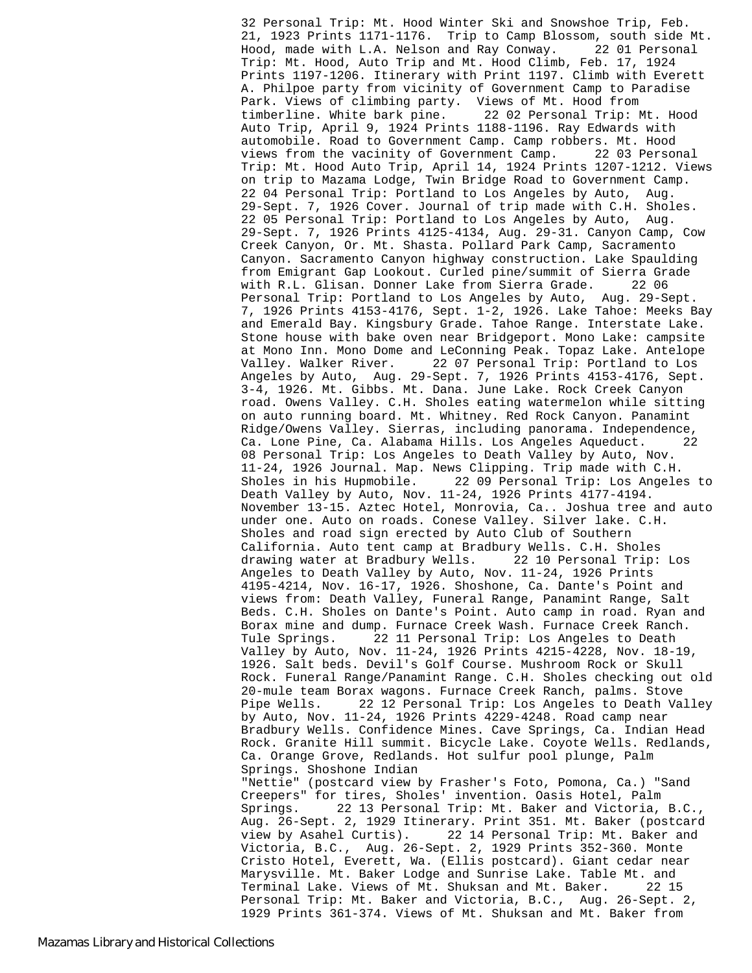32 Personal Trip: Mt. Hood Winter Ski and Snowshoe Trip, Feb. 21, 1923 Prints 1171-1176. Trip to Camp Blossom, south side Mt. Hood, made with L.A. Nelson and Ray Conway. 22 01 Personal Trip: Mt. Hood, Auto Trip and Mt. Hood Climb, Feb. 17, 1924 Prints 1197-1206. Itinerary with Print 1197. Climb with Everett A. Philpoe party from vicinity of Government Camp to Paradise Park. Views of climbing party. Views of Mt. Hood from timberline. White bark pine. 22 02 Personal Trip: Mt. Hood Auto Trip, April 9, 1924 Prints 1188-1196. Ray Edwards with automobile. Road to Government Camp. Camp robbers. Mt. Hood views from the vacinity of Government Camp. 22 03 Personal Trip: Mt. Hood Auto Trip, April 14, 1924 Prints 1207-1212. Views on trip to Mazama Lodge, Twin Bridge Road to Government Camp. 22 04 Personal Trip: Portland to Los Angeles by Auto, Aug. 29-Sept. 7, 1926 Cover. Journal of trip made with C.H. Sholes. 22 05 Personal Trip: Portland to Los Angeles by Auto, Aug. 29-Sept. 7, 1926 Prints 4125-4134, Aug. 29-31. Canyon Camp, Cow Creek Canyon, Or. Mt. Shasta. Pollard Park Camp, Sacramento Canyon. Sacramento Canyon highway construction. Lake Spaulding from Emigrant Gap Lookout. Curled pine/summit of Sierra Grade with R.L. Glisan. Donner Lake from Sierra Grade. Personal Trip: Portland to Los Angeles by Auto, Aug. 29-Sept. 7, 1926 Prints 4153-4176, Sept. 1-2, 1926. Lake Tahoe: Meeks Bay and Emerald Bay. Kingsbury Grade. Tahoe Range. Interstate Lake. Stone house with bake oven near Bridgeport. Mono Lake: campsite at Mono Inn. Mono Dome and LeConning Peak. Topaz Lake. Antelope Valley. Walker River. 22 07 Personal Trip: Portland to Los Angeles by Auto, Aug. 29-Sept. 7, 1926 Prints 4153-4176, Sept. 3-4, 1926. Mt. Gibbs. Mt. Dana. June Lake. Rock Creek Canyon road. Owens Valley. C.H. Sholes eating watermelon while sitting on auto running board. Mt. Whitney. Red Rock Canyon. Panamint Ridge/Owens Valley. Sierras, including panorama. Independence, Ca. Lone Pine, Ca. Alabama Hills. Los Angeles Aqueduct. 22 08 Personal Trip: Los Angeles to Death Valley by Auto, Nov. 11-24, 1926 Journal. Map. News Clipping. Trip made with C.H. Sholes in his Hupmobile. 22 09 Personal Trip: Los Angeles to Death Valley by Auto, Nov. 11-24, 1926 Prints 4177-4194. November 13-15. Aztec Hotel, Monrovia, Ca.. Joshua tree and auto under one. Auto on roads. Conese Valley. Silver lake. C.H. Sholes and road sign erected by Auto Club of Southern California. Auto tent camp at Bradbury Wells. C.H. Sholes<br>drawing water at Bradbury Wells. 22 10 Personal Trip: Los drawing water at Bradbury Wells. Angeles to Death Valley by Auto, Nov. 11-24, 1926 Prints 4195-4214, Nov. 16-17, 1926. Shoshone, Ca. Dante's Point and views from: Death Valley, Funeral Range, Panamint Range, Salt Beds. C.H. Sholes on Dante's Point. Auto camp in road. Ryan and Borax mine and dump. Furnace Creek Wash. Furnace Creek Ranch. Tule Springs. 22 11 Personal Trip: Los Angeles to Death Valley by Auto, Nov. 11-24, 1926 Prints 4215-4228, Nov. 18-19, 1926. Salt beds. Devil's Golf Course. Mushroom Rock or Skull Rock. Funeral Range/Panamint Range. C.H. Sholes checking out old 20-mule team Borax wagons. Furnace Creek Ranch, palms. Stove Pipe Wells. 22 12 Personal Trip: Los Angeles to Death Valley by Auto, Nov. 11-24, 1926 Prints 4229-4248. Road camp near Bradbury Wells. Confidence Mines. Cave Springs, Ca. Indian Head Rock. Granite Hill summit. Bicycle Lake. Coyote Wells. Redlands, Ca. Orange Grove, Redlands. Hot sulfur pool plunge, Palm Springs. Shoshone Indian "Nettie" (postcard view by Frasher's Foto, Pomona, Ca.) "Sand Creepers" for tires, Sholes' invention. Oasis Hotel, Palm Springs. 22 13 Personal Trip: Mt. Baker and Victoria, B.C., Aug. 26-Sept. 2, 1929 Itinerary. Print 351. Mt. Baker (postcard view by Asahel Curtis). 22 14 Personal Trip: Mt. Baker and Victoria, B.C., Aug. 26-Sept. 2, 1929 Prints 352-360. Monte Cristo Hotel, Everett, Wa. (Ellis postcard). Giant cedar near Marysville. Mt. Baker Lodge and Sunrise Lake. Table Mt. and Terminal Lake. Views of Mt. Shuksan and Mt. Baker. 22 15 Personal Trip: Mt. Baker and Victoria, B.C., Aug. 26-Sept. 2, 1929 Prints 361-374. Views of Mt. Shuksan and Mt. Baker from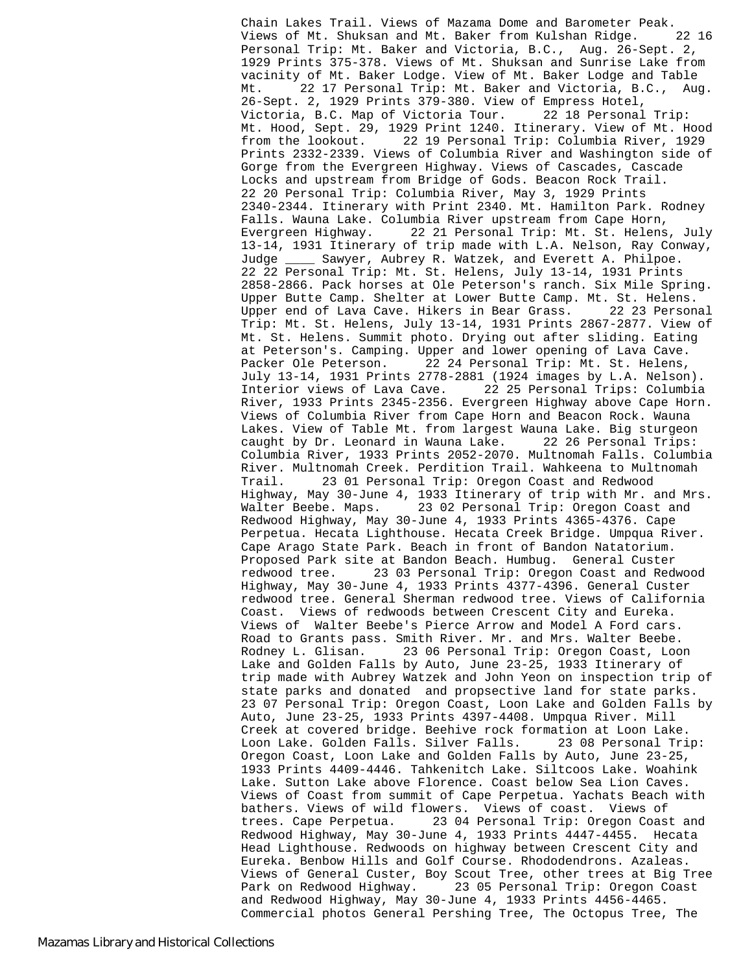Chain Lakes Trail. Views of Mazama Dome and Barometer Peak. Views of Mt. Shuksan and Mt. Baker from Kulshan Ridge. 22 16 Personal Trip: Mt. Baker and Victoria, B.C., Aug. 26-Sept. 2, 1929 Prints 375-378. Views of Mt. Shuksan and Sunrise Lake from vacinity of Mt. Baker Lodge. View of Mt. Baker Lodge and Table Mt. 22 17 Personal Trip: Mt. Baker and Victoria, B.C., Aug. 26-Sept. 2, 1929 Prints 379-380. View of Empress Hotel, Victoria, B.C. Map of Victoria Tour. 22 18 Personal Trip: Mt. Hood, Sept. 29, 1929 Print 1240. Itinerary. View of Mt. Hood from the lookout. 22 19 Personal Trip: Columbia River, 1929 Prints 2332-2339. Views of Columbia River and Washington side of Gorge from the Evergreen Highway. Views of Cascades, Cascade Locks and upstream from Bridge of Gods. Beacon Rock Trail. 22 20 Personal Trip: Columbia River, May 3, 1929 Prints 2340-2344. Itinerary with Print 2340. Mt. Hamilton Park. Rodney Falls. Wauna Lake. Columbia River upstream from Cape Horn, Evergreen Highway. 22 21 Personal Trip: Mt. St. Helens, July 13-14, 1931 Itinerary of trip made with L.A. Nelson, Ray Conway, Judge \_\_\_\_ Sawyer, Aubrey R. Watzek, and Everett A. Philpoe. 22 22 Personal Trip: Mt. St. Helens, July 13-14, 1931 Prints 2858-2866. Pack horses at Ole Peterson's ranch. Six Mile Spring. Upper Butte Camp. Shelter at Lower Butte Camp. Mt. St. Helens. Upper end of Lava Cave. Hikers in Bear Grass. 22 23 Personal Trip: Mt. St. Helens, July 13-14, 1931 Prints 2867-2877. View of Mt. St. Helens. Summit photo. Drying out after sliding. Eating at Peterson's. Camping. Upper and lower opening of Lava Cave. Packer Ole Peterson. 22 24 Personal Trip: Mt. St. Helens, July 13-14, 1931 Prints 2778-2881 (1924 images by L.A. Nelson). Interior views of Lava Cave. 22 25 Personal Trips: Columbia River, 1933 Prints 2345-2356. Evergreen Highway above Cape Horn. Views of Columbia River from Cape Horn and Beacon Rock. Wauna Lakes. View of Table Mt. from largest Wauna Lake. Big sturgeon caught by Dr. Leonard in Wauna Lake. 22 26 Personal Trips: Columbia River, 1933 Prints 2052-2070. Multnomah Falls. Columbia River. Multnomah Creek. Perdition Trail. Wahkeena to Multnomah Trail. 23 01 Personal Trip: Oregon Coast and Redwood Highway, May 30-June 4, 1933 Itinerary of trip with Mr. and Mrs. Walter Beebe. Maps. 23 02 Personal Trip: Oregon Coast and Redwood Highway, May 30-June 4, 1933 Prints 4365-4376. Cape Perpetua. Hecata Lighthouse. Hecata Creek Bridge. Umpqua River. Cape Arago State Park. Beach in front of Bandon Natatorium. Proposed Park site at Bandon Beach. Humbug. General Custer redwood tree. 23 03 Personal Trip: Oregon Coast and Redwood Highway, May 30-June 4, 1933 Prints 4377-4396. General Custer redwood tree. General Sherman redwood tree. Views of California Coast. Views of redwoods between Crescent City and Eureka. Views of Walter Beebe's Pierce Arrow and Model A Ford cars. Road to Grants pass. Smith River. Mr. and Mrs. Walter Beebe. Rodney L. Glisan. 23 06 Personal Trip: Oregon Coast, Loon Lake and Golden Falls by Auto, June 23-25, 1933 Itinerary of trip made with Aubrey Watzek and John Yeon on inspection trip of state parks and donated and propsective land for state parks. 23 07 Personal Trip: Oregon Coast, Loon Lake and Golden Falls by Auto, June 23-25, 1933 Prints 4397-4408. Umpqua River. Mill Creek at covered bridge. Beehive rock formation at Loon Lake. Loon Lake. Golden Falls. Silver Falls. 23 08 Personal Trip: Oregon Coast, Loon Lake and Golden Falls by Auto, June 23-25, 1933 Prints 4409-4446. Tahkenitch Lake. Siltcoos Lake. Woahink Lake. Sutton Lake above Florence. Coast below Sea Lion Caves. Views of Coast from summit of Cape Perpetua. Yachats Beach with bathers. Views of wild flowers. Views of coast. Views of trees. Cape Perpetua. 23 04 Personal Trip: Oregon Coast and Redwood Highway, May 30-June 4, 1933 Prints 4447-4455. Hecata Head Lighthouse. Redwoods on highway between Crescent City and Eureka. Benbow Hills and Golf Course. Rhododendrons. Azaleas. Views of General Custer, Boy Scout Tree, other trees at Big Tree Park on Redwood Highway. 23 05 Personal Trip: Oregon Coast and Redwood Highway, May 30-June 4, 1933 Prints 4456-4465. Commercial photos General Pershing Tree, The Octopus Tree, The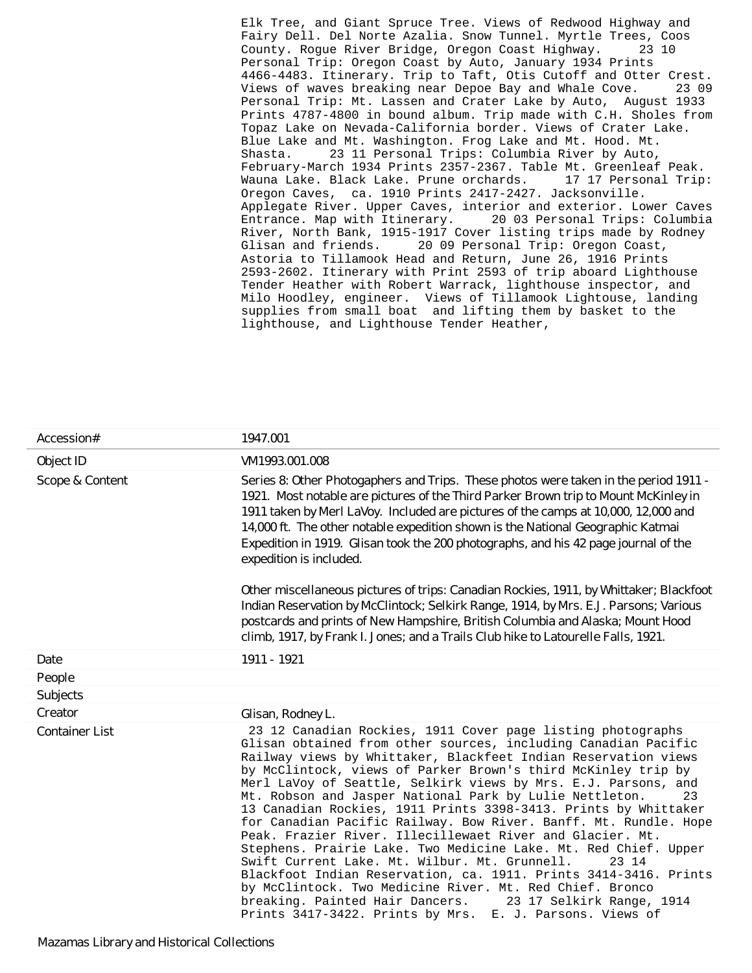Elk Tree, and Giant Spruce Tree. Views of Redwood Highway and Fairy Dell. Del Norte Azalia. Snow Tunnel. Myrtle Trees, Coos County. Rogue River Bridge, Oregon Coast Highway. Personal Trip: Oregon Coast by Auto, January 1934 Prints 4466-4483. Itinerary. Trip to Taft, Otis Cutoff and Otter Crest. Views of waves breaking near Depoe Bay and Whale Cove. 23 09 Personal Trip: Mt. Lassen and Crater Lake by Auto, August 1933 Prints 4787-4800 in bound album. Trip made with C.H. Sholes from Topaz Lake on Nevada-California border. Views of Crater Lake. Blue Lake and Mt. Washington. Frog Lake and Mt. Hood. Mt. Shasta. 23 11 Personal Trips: Columbia River by Auto, February-March 1934 Prints 2357-2367. Table Mt. Greenleaf Peak. Wauna Lake. Black Lake. Prune orchards. 17 17 Personal Trip: Oregon Caves, ca. 1910 Prints 2417-2427. Jacksonville. Applegate River. Upper Caves, interior and exterior. Lower Caves Entrance. Map with Itinerary. 20 03 Personal Trips: Columbia River, North Bank, 1915-1917 Cover listing trips made by Rodney Glisan and friends. 20 09 Personal Trip: Oregon Coast, Astoria to Tillamook Head and Return, June 26, 1916 Prints 2593-2602. Itinerary with Print 2593 of trip aboard Lighthouse Tender Heather with Robert Warrack, lighthouse inspector, and Milo Hoodley, engineer. Views of Tillamook Lightouse, landing supplies from small boat and lifting them by basket to the lighthouse, and Lighthouse Tender Heather,

| Accession#            | 1947.001                                                                                                                                                                                                                                                                                                                                                                                                                                                                                                                                                                                                                                                                                                                                                                                                                                                                                                                                                                                         |
|-----------------------|--------------------------------------------------------------------------------------------------------------------------------------------------------------------------------------------------------------------------------------------------------------------------------------------------------------------------------------------------------------------------------------------------------------------------------------------------------------------------------------------------------------------------------------------------------------------------------------------------------------------------------------------------------------------------------------------------------------------------------------------------------------------------------------------------------------------------------------------------------------------------------------------------------------------------------------------------------------------------------------------------|
| Object ID             | VM1993.001.008                                                                                                                                                                                                                                                                                                                                                                                                                                                                                                                                                                                                                                                                                                                                                                                                                                                                                                                                                                                   |
| Scope & Content       | Series 8: Other Photogaphers and Trips. These photos were taken in the period 1911 -<br>1921. Most notable are pictures of the Third Parker Brown trip to Mount McKinley in<br>1911 taken by Merl LaVoy. Included are pictures of the camps at 10,000, 12,000 and<br>14,000 ft. The other notable expedition shown is the National Geographic Katmai<br>Expedition in 1919. Glisan took the 200 photographs, and his 42 page journal of the<br>expedition is included.<br>Other miscellaneous pictures of trips: Canadian Rockies, 1911, by Whittaker; Blackfoot<br>Indian Reservation by McClintock; Selkirk Range, 1914, by Mrs. E.J. Parsons; Various<br>postcards and prints of New Hampshire, British Columbia and Alaska; Mount Hood<br>climb, 1917, by Frank I. Jones; and a Trails Club hike to Latourelle Falls, 1921.                                                                                                                                                                  |
| Date                  | 1911 - 1921                                                                                                                                                                                                                                                                                                                                                                                                                                                                                                                                                                                                                                                                                                                                                                                                                                                                                                                                                                                      |
| People                |                                                                                                                                                                                                                                                                                                                                                                                                                                                                                                                                                                                                                                                                                                                                                                                                                                                                                                                                                                                                  |
| Subjects              |                                                                                                                                                                                                                                                                                                                                                                                                                                                                                                                                                                                                                                                                                                                                                                                                                                                                                                                                                                                                  |
| Creator               | Glisan, Rodney L.                                                                                                                                                                                                                                                                                                                                                                                                                                                                                                                                                                                                                                                                                                                                                                                                                                                                                                                                                                                |
| <b>Container List</b> | 23 12 Canadian Rockies, 1911 Cover page listing photographs<br>Glisan obtained from other sources, including Canadian Pacific<br>Railway views by Whittaker, Blackfeet Indian Reservation views<br>by McClintock, views of Parker Brown's third McKinley trip by<br>Merl LaVoy of Seattle, Selkirk views by Mrs. E.J. Parsons, and<br>Mt. Robson and Jasper National Park by Lulie Nettleton.<br>23<br>13 Canadian Rockies, 1911 Prints 3398-3413. Prints by Whittaker<br>for Canadian Pacific Railway. Bow River. Banff. Mt. Rundle. Hope<br>Peak. Frazier River. Illecillewaet River and Glacier. Mt.<br>Stephens. Prairie Lake. Two Medicine Lake. Mt. Red Chief. Upper<br>Swift Current Lake. Mt. Wilbur. Mt. Grunnell.<br>23 14<br>Blackfoot Indian Reservation, ca. 1911. Prints 3414-3416. Prints<br>by McClintock. Two Medicine River. Mt. Red Chief. Bronco<br>breaking. Painted Hair Dancers.<br>23 17 Selkirk Range, 1914<br>Prints 3417-3422. Prints by Mrs. E. J. Parsons. Views of |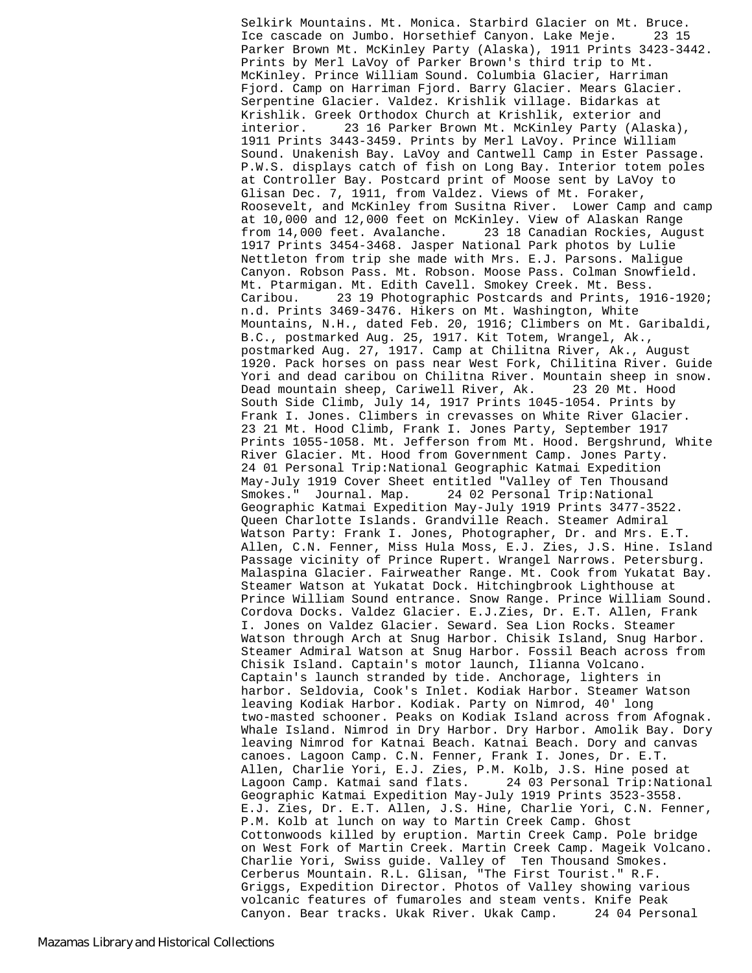Selkirk Mountains. Mt. Monica. Starbird Glacier on Mt. Bruce. Ice cascade on Jumbo. Horsethief Canyon. Lake Meje. 23 15 Parker Brown Mt. McKinley Party (Alaska), 1911 Prints 3423-3442. Prints by Merl LaVoy of Parker Brown's third trip to Mt. McKinley. Prince William Sound. Columbia Glacier, Harriman Fjord. Camp on Harriman Fjord. Barry Glacier. Mears Glacier. Serpentine Glacier. Valdez. Krishlik village. Bidarkas at Krishlik. Greek Orthodox Church at Krishlik, exterior and interior. 23 16 Parker Brown Mt. McKinley Party (Alaska), 1911 Prints 3443-3459. Prints by Merl LaVoy. Prince William Sound. Unakenish Bay. LaVoy and Cantwell Camp in Ester Passage. P.W.S. displays catch of fish on Long Bay. Interior totem poles at Controller Bay. Postcard print of Moose sent by LaVoy to Glisan Dec. 7, 1911, from Valdez. Views of Mt. Foraker, Roosevelt, and McKinley from Susitna River. Lower Camp and camp at 10,000 and 12,000 feet on McKinley. View of Alaskan Range from 14,000 feet. Avalanche. 23 18 Canadian Rockies, August 1917 Prints 3454-3468. Jasper National Park photos by Lulie Nettleton from trip she made with Mrs. E.J. Parsons. Maligue Canyon. Robson Pass. Mt. Robson. Moose Pass. Colman Snowfield. Mt. Ptarmigan. Mt. Edith Cavell. Smokey Creek. Mt. Bess. Caribou. 23 19 Photographic Postcards and Prints, 1916-1920; n.d. Prints 3469-3476. Hikers on Mt. Washington, White Mountains, N.H., dated Feb. 20, 1916; Climbers on Mt. Garibaldi, B.C., postmarked Aug. 25, 1917. Kit Totem, Wrangel, Ak., postmarked Aug. 27, 1917. Camp at Chilitna River, Ak., August 1920. Pack horses on pass near West Fork, Chilitina River. Guide Yori and dead caribou on Chilitna River. Mountain sheep in snow. Dead mountain sheep, Cariwell River, Ak. 23 20 Mt. Hood South Side Climb, July 14, 1917 Prints 1045-1054. Prints by Frank I. Jones. Climbers in crevasses on White River Glacier. 23 21 Mt. Hood Climb, Frank I. Jones Party, September 1917 Prints 1055-1058. Mt. Jefferson from Mt. Hood. Bergshrund, White River Glacier. Mt. Hood from Government Camp. Jones Party. 24 01 Personal Trip:National Geographic Katmai Expedition May-July 1919 Cover Sheet entitled "Valley of Ten Thousand Smokes." Journal. Map. 24 02 Personal Trip:National Geographic Katmai Expedition May-July 1919 Prints 3477-3522. Queen Charlotte Islands. Grandville Reach. Steamer Admiral Watson Party: Frank I. Jones, Photographer, Dr. and Mrs. E.T. Allen, C.N. Fenner, Miss Hula Moss, E.J. Zies, J.S. Hine. Island Passage vicinity of Prince Rupert. Wrangel Narrows. Petersburg. Malaspina Glacier. Fairweather Range. Mt. Cook from Yukatat Bay. Steamer Watson at Yukatat Dock. Hitchingbrook Lighthouse at Prince William Sound entrance. Snow Range. Prince William Sound. Cordova Docks. Valdez Glacier. E.J.Zies, Dr. E.T. Allen, Frank I. Jones on Valdez Glacier. Seward. Sea Lion Rocks. Steamer Watson through Arch at Snug Harbor. Chisik Island, Snug Harbor. Steamer Admiral Watson at Snug Harbor. Fossil Beach across from Chisik Island. Captain's motor launch, Ilianna Volcano. Captain's launch stranded by tide. Anchorage, lighters in harbor. Seldovia, Cook's Inlet. Kodiak Harbor. Steamer Watson leaving Kodiak Harbor. Kodiak. Party on Nimrod, 40' long two-masted schooner. Peaks on Kodiak Island across from Afognak. Whale Island. Nimrod in Dry Harbor. Dry Harbor. Amolik Bay. Dory leaving Nimrod for Katnai Beach. Katnai Beach. Dory and canvas canoes. Lagoon Camp. C.N. Fenner, Frank I. Jones, Dr. E.T. Allen, Charlie Yori, E.J. Zies, P.M. Kolb, J.S. Hine posed at Lagoon Camp. Katmai sand flats. 24 03 Personal Trip:National Geographic Katmai Expedition May-July 1919 Prints 3523-3558. E.J. Zies, Dr. E.T. Allen, J.S. Hine, Charlie Yori, C.N. Fenner, P.M. Kolb at lunch on way to Martin Creek Camp. Ghost Cottonwoods killed by eruption. Martin Creek Camp. Pole bridge on West Fork of Martin Creek. Martin Creek Camp. Mageik Volcano. Charlie Yori, Swiss guide. Valley of Ten Thousand Smokes. Cerberus Mountain. R.L. Glisan, "The First Tourist." R.F. Griggs, Expedition Director. Photos of Valley showing various volcanic features of fumaroles and steam vents. Knife Peak Canyon. Bear tracks. Ukak River. Ukak Camp. 24 04 Personal